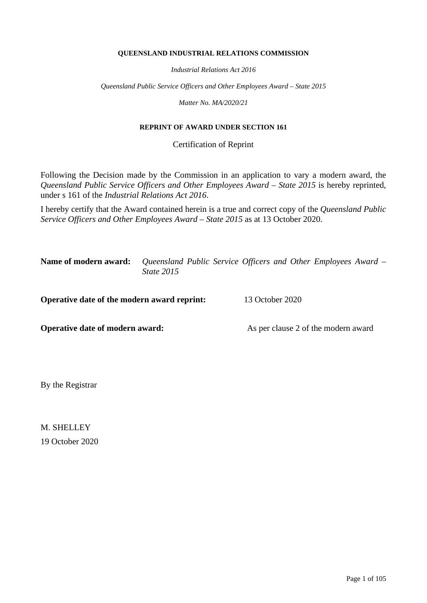#### **QUEENSLAND INDUSTRIAL RELATIONS COMMISSION**

*Industrial Relations Act 2016*

*Queensland Public Service Officers and Other Employees Award – State 2015*

*Matter No. MA/2020/21*

#### **REPRINT OF AWARD UNDER SECTION 161**

Certification of Reprint

Following the Decision made by the Commission in an application to vary a modern award, the *Queensland Public Service Officers and Other Employees Award – State 2015* is hereby reprinted, under s 161 of the *Industrial Relations Act 2016*.

I hereby certify that the Award contained herein is a true and correct copy of the *Queensland Public Service Officers and Other Employees Award – State 2015* as at 13 October 2020.

**Name of modern award:** *Queensland Public Service Officers and Other Employees Award – State 2015*

**Operative date of the modern award reprint:** 13 October 2020

**Operative date of modern award:** As per clause 2 of the modern award

By the Registrar

M. SHELLEY 19 October 2020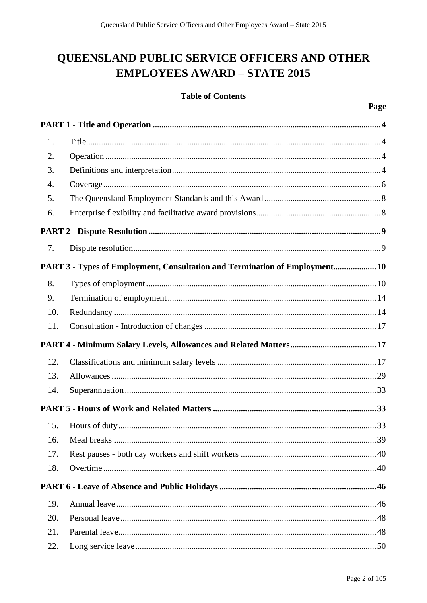# QUEENSLAND PUBLIC SERVICE OFFICERS AND OTHER **EMPLOYEES AWARD - STATE 2015**

## **Table of Contents**

| 1.  |                                                                             |
|-----|-----------------------------------------------------------------------------|
| 2.  |                                                                             |
| 3.  |                                                                             |
| 4.  |                                                                             |
| 5.  |                                                                             |
| 6.  |                                                                             |
|     |                                                                             |
| 7.  |                                                                             |
|     | PART 3 - Types of Employment, Consultation and Termination of Employment 10 |
| 8.  |                                                                             |
| 9.  |                                                                             |
| 10. |                                                                             |
| 11. |                                                                             |
|     |                                                                             |
| 12. |                                                                             |
| 13. |                                                                             |
| 14. |                                                                             |
|     |                                                                             |
| 15. |                                                                             |
|     |                                                                             |
| 17. |                                                                             |
| 18. |                                                                             |
|     |                                                                             |
| 19. |                                                                             |
| 20. |                                                                             |
| 21. |                                                                             |
| 22. |                                                                             |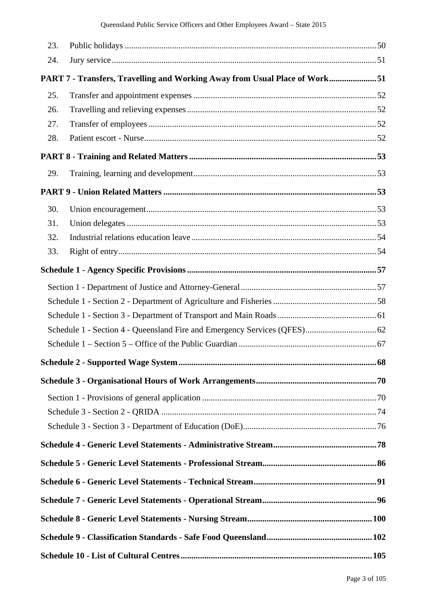| 23. |                                                                            |  |
|-----|----------------------------------------------------------------------------|--|
| 24. |                                                                            |  |
|     | PART 7 - Transfers, Travelling and Working Away from Usual Place of Work51 |  |
| 25. |                                                                            |  |
| 26. |                                                                            |  |
| 27. |                                                                            |  |
| 28. |                                                                            |  |
|     |                                                                            |  |
| 29. |                                                                            |  |
|     |                                                                            |  |
| 30. |                                                                            |  |
| 31. |                                                                            |  |
| 32. |                                                                            |  |
| 33. |                                                                            |  |
|     |                                                                            |  |
|     |                                                                            |  |
|     |                                                                            |  |
|     |                                                                            |  |
|     |                                                                            |  |
|     |                                                                            |  |
|     |                                                                            |  |
|     |                                                                            |  |
|     |                                                                            |  |
|     |                                                                            |  |
|     |                                                                            |  |
|     |                                                                            |  |
|     |                                                                            |  |
|     |                                                                            |  |
|     |                                                                            |  |
|     |                                                                            |  |
|     |                                                                            |  |
|     |                                                                            |  |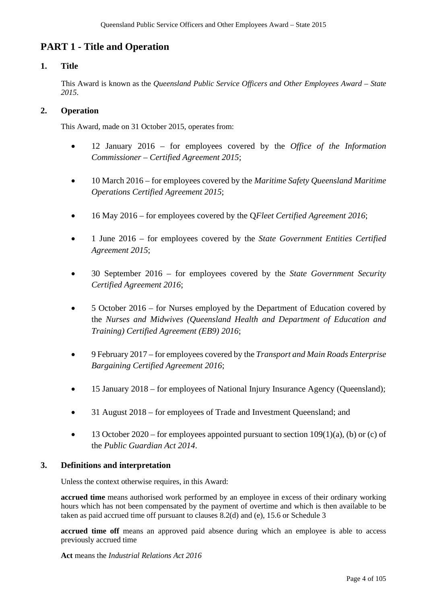## **PART 1 - Title and Operation**

## **1. Title**

This Award is known as the *Queensland Public Service Officers and Other Employees Award* – *State 2015*.

## **2. Operation**

This Award, made on 31 October 2015, operates from:

- 12 January 2016 for employees covered by the *Office of the Information Commissioner – Certified Agreement 2015*;
- 10 March 2016 for employees covered by the *Maritime Safety Queensland Maritime Operations Certified Agreement 2015*;
- 16 May 2016 for employees covered by the Q*Fleet Certified Agreement 2016*;
- 1 June 2016 for employees covered by the *State Government Entities Certified Agreement 2015*;
- 30 September 2016 for employees covered by the *State Government Security Certified Agreement 2016*;
- 5 October 2016 for Nurses employed by the Department of Education covered by the *Nurses and Midwives (Queensland Health and Department of Education and Training) Certified Agreement (EB9) 2016*;
- 9 February 2017 for employees covered by the *Transport and Main Roads Enterprise Bargaining Certified Agreement 2016*;
- 15 January 2018 for employees of National Injury Insurance Agency (Queensland);
- 31 August 2018 for employees of Trade and Investment Oueensland: and
- 13 October 2020 for employees appointed pursuant to section  $109(1)(a)$ , (b) or (c) of the *Public Guardian Act 2014*.

## **3. Definitions and interpretation**

Unless the context otherwise requires, in this Award:

**accrued time** means authorised work performed by an employee in excess of their ordinary working hours which has not been compensated by the payment of overtime and which is then available to be taken as paid accrued time off pursuant to clauses 8.2(d) and (e), 15.6 or Schedule 3

accrued time off means an approved paid absence during which an employee is able to access previously accrued time

**Act** means the *Industrial Relations Act 2016*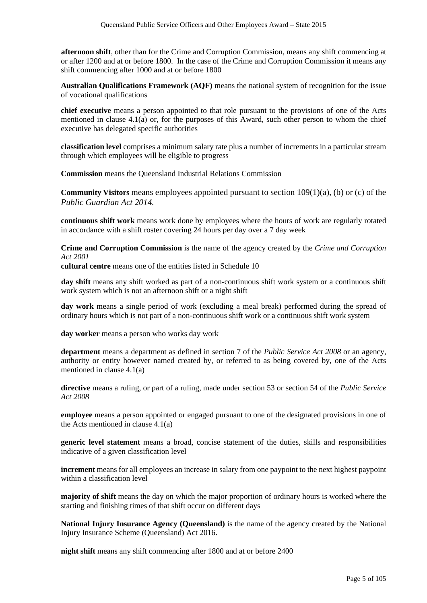**afternoon shift**, other than for the Crime and Corruption Commission, means any shift commencing at or after 1200 and at or before 1800. In the case of the Crime and Corruption Commission it means any shift commencing after 1000 and at or before 1800

**Australian Qualifications Framework (AQF)** means the national system of recognition for the issue of vocational qualifications

**chief executive** means a person appointed to that role pursuant to the provisions of one of the Acts mentioned in clause 4.1(a) or, for the purposes of this Award, such other person to whom the chief executive has delegated specific authorities

**classification level** comprises a minimum salary rate plus a number of increments in a particular stream through which employees will be eligible to progress

**Commission** means the Queensland Industrial Relations Commission

**Community Visitors** means employees appointed pursuant to section 109(1)(a), (b) or (c) of the *Public Guardian Act 2014.*

**continuous shift work** means work done by employees where the hours of work are regularly rotated in accordance with a shift roster covering 24 hours per day over a 7 day week

**Crime and Corruption Commission** is the name of the agency created by the *Crime and Corruption Act 2001*

**cultural centre** means one of the entities listed in Schedule 10

**day shift** means any shift worked as part of a non-continuous shift work system or a continuous shift work system which is not an afternoon shift or a night shift

**day work** means a single period of work (excluding a meal break) performed during the spread of ordinary hours which is not part of a non-continuous shift work or a continuous shift work system

**day worker** means a person who works day work

**department** means a department as defined in section 7 of the *Public Service Act 2008* or an agency, authority or entity however named created by, or referred to as being covered by, one of the Acts mentioned in clause 4.1(a)

**directive** means a ruling, or part of a ruling, made under section 53 or section 54 of the *Public Service Act 2008*

**employee** means a person appointed or engaged pursuant to one of the designated provisions in one of the Acts mentioned in clause 4.1(a)

**generic level statement** means a broad, concise statement of the duties, skills and responsibilities indicative of a given classification level

**increment** means for all employees an increase in salary from one paypoint to the next highest paypoint within a classification level

**majority of shift** means the day on which the major proportion of ordinary hours is worked where the starting and finishing times of that shift occur on different days

**National Injury Insurance Agency (Queensland)** is the name of the agency created by the National Injury Insurance Scheme (Queensland) Act 2016.

**night shift** means any shift commencing after 1800 and at or before 2400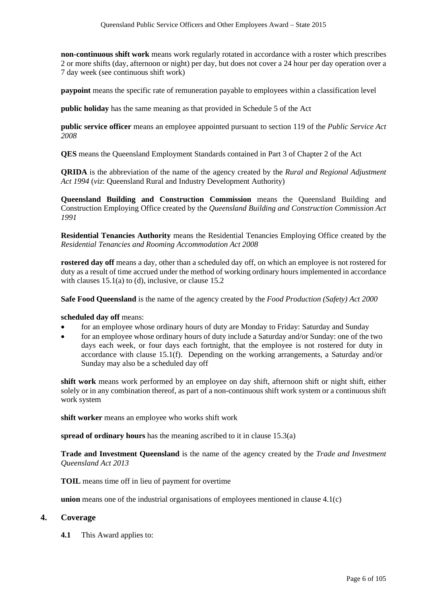**non-continuous shift work** means work regularly rotated in accordance with a roster which prescribes 2 or more shifts (day, afternoon or night) per day, but does not cover a 24 hour per day operation over a 7 day week (see continuous shift work)

**paypoint** means the specific rate of remuneration payable to employees within a classification level

**public holiday** has the same meaning as that provided in Schedule 5 of the Act

**public service officer** means an employee appointed pursuant to section 119 of the *Public Service Act 2008*

**QES** means the Queensland Employment Standards contained in Part 3 of Chapter 2 of the Act

**QRIDA** is the abbreviation of the name of the agency created by the *Rural and Regional Adjustment Act 1994* (*viz*: Queensland Rural and Industry Development Authority)

**Queensland Building and Construction Commission** means the Queensland Building and Construction Employing Office created by the *Queensland Building and Construction Commission Act 1991* 

**Residential Tenancies Authority** means the Residential Tenancies Employing Office created by the *Residential Tenancies and Rooming Accommodation Act 2008*

**rostered day off** means a day, other than a scheduled day off, on which an employee is not rostered for duty as a result of time accrued under the method of working ordinary hours implemented in accordance with clauses  $15.1(a)$  to (d), inclusive, or clause  $15.2$ 

**Safe Food Queensland** is the name of the agency created by the *Food Production (Safety) Act 2000* 

**scheduled day off** means:

- for an employee whose ordinary hours of duty are Monday to Friday: Saturday and Sunday
- for an employee whose ordinary hours of duty include a Saturday and/or Sunday: one of the two days each week, or four days each fortnight, that the employee is not rostered for duty in accordance with clause 15.1(f). Depending on the working arrangements, a Saturday and/or Sunday may also be a scheduled day off

**shift work** means work performed by an employee on day shift, afternoon shift or night shift, either solely or in any combination thereof, as part of a non-continuous shift work system or a continuous shift work system

**shift worker** means an employee who works shift work

**spread of ordinary hours** has the meaning ascribed to it in clause 15.3(a)

**Trade and Investment Queensland** is the name of the agency created by the *Trade and Investment Queensland Act 2013* 

**TOIL** means time off in lieu of payment for overtime

**union** means one of the industrial organisations of employees mentioned in clause 4.1(c)

#### **4. Coverage**

**4.1** This Award applies to: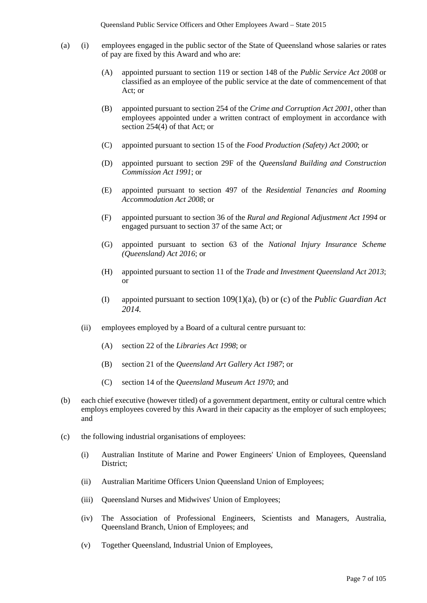- (a) (i) employees engaged in the public sector of the State of Queensland whose salaries or rates of pay are fixed by this Award and who are:
	- (A) appointed pursuant to section 119 or section 148 of the *Public Service Act 2008* or classified as an employee of the public service at the date of commencement of that Act; or
	- (B) appointed pursuant to section 254 of the *Crime and Corruption Act 2001*, other than employees appointed under a written contract of employment in accordance with section 254(4) of that Act; or
	- (C) appointed pursuant to section 15 of the *Food Production (Safety) Act 2000*; or
	- (D) appointed pursuant to section 29F of the *Queensland Building and Construction Commission Act 1991*; or
	- (E) appointed pursuant to section 497 of the *Residential Tenancies and Rooming Accommodation Act 2008*; or
	- (F) appointed pursuant to section 36 of the *Rural and Regional Adjustment Act 1994* or engaged pursuant to section 37 of the same Act; or
	- (G) appointed pursuant to section 63 of the *National Injury Insurance Scheme (Queensland) Act 2016*; or
	- (H) appointed pursuant to section 11 of the *Trade and Investment Queensland Act 2013*; or
	- (I) appointed pursuant to section 109(1)(a), (b) or (c) of the *Public Guardian Act 2014.*
	- (ii) employees employed by a Board of a cultural centre pursuant to:
		- (A) section 22 of the *Libraries Act 1998*; or
		- (B) section 21 of the *Queensland Art Gallery Act 1987*; or
		- (C) section 14 of the *Queensland Museum Act 1970*; and
- (b) each chief executive (however titled) of a government department, entity or cultural centre which employs employees covered by this Award in their capacity as the employer of such employees; and
- (c) the following industrial organisations of employees:
	- (i) Australian Institute of Marine and Power Engineers' Union of Employees, Queensland District;
	- (ii) Australian Maritime Officers Union Queensland Union of Employees;
	- (iii) Queensland Nurses and Midwives' Union of Employees;
	- (iv) The Association of Professional Engineers, Scientists and Managers, Australia, Queensland Branch, Union of Employees; and
	- (v) Together Queensland, Industrial Union of Employees,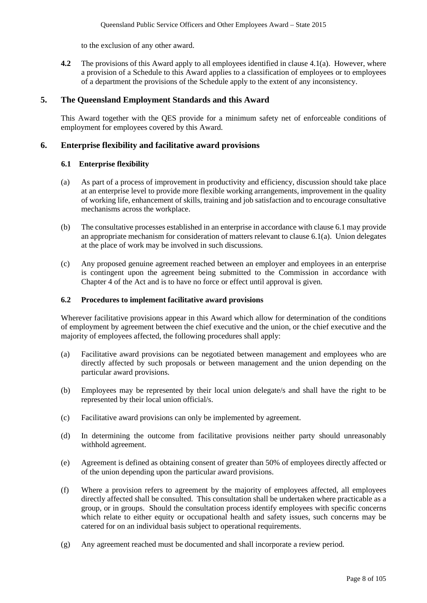to the exclusion of any other award.

**4.2** The provisions of this Award apply to all employees identified in clause 4.1(a). However, where a provision of a Schedule to this Award applies to a classification of employees or to employees of a department the provisions of the Schedule apply to the extent of any inconsistency.

## **5. The Queensland Employment Standards and this Award**

This Award together with the QES provide for a minimum safety net of enforceable conditions of employment for employees covered by this Award.

## **6. Enterprise flexibility and facilitative award provisions**

## **6.1 Enterprise flexibility**

- (a) As part of a process of improvement in productivity and efficiency, discussion should take place at an enterprise level to provide more flexible working arrangements, improvement in the quality of working life, enhancement of skills, training and job satisfaction and to encourage consultative mechanisms across the workplace.
- (b) The consultative processes established in an enterprise in accordance with clause 6.1 may provide an appropriate mechanism for consideration of matters relevant to clause 6.1(a). Union delegates at the place of work may be involved in such discussions.
- (c) Any proposed genuine agreement reached between an employer and employees in an enterprise is contingent upon the agreement being submitted to the Commission in accordance with Chapter 4 of the Act and is to have no force or effect until approval is given.

## **6.2 Procedures to implement facilitative award provisions**

Wherever facilitative provisions appear in this Award which allow for determination of the conditions of employment by agreement between the chief executive and the union, or the chief executive and the majority of employees affected, the following procedures shall apply:

- (a) Facilitative award provisions can be negotiated between management and employees who are directly affected by such proposals or between management and the union depending on the particular award provisions.
- (b) Employees may be represented by their local union delegate/s and shall have the right to be represented by their local union official/s.
- (c) Facilitative award provisions can only be implemented by agreement.
- (d) In determining the outcome from facilitative provisions neither party should unreasonably withhold agreement.
- (e) Agreement is defined as obtaining consent of greater than 50% of employees directly affected or of the union depending upon the particular award provisions.
- (f) Where a provision refers to agreement by the majority of employees affected, all employees directly affected shall be consulted. This consultation shall be undertaken where practicable as a group, or in groups. Should the consultation process identify employees with specific concerns which relate to either equity or occupational health and safety issues, such concerns may be catered for on an individual basis subject to operational requirements.
- (g) Any agreement reached must be documented and shall incorporate a review period.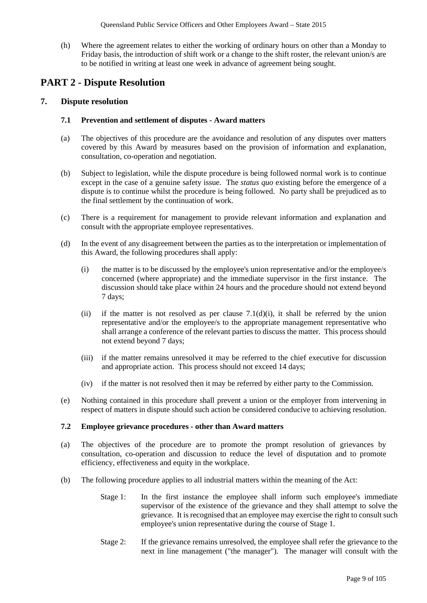(h) Where the agreement relates to either the working of ordinary hours on other than a Monday to Friday basis, the introduction of shift work or a change to the shift roster, the relevant union/s are to be notified in writing at least one week in advance of agreement being sought.

## **PART 2 - Dispute Resolution**

## **7. Dispute resolution**

## **7.1 Prevention and settlement of disputes - Award matters**

- (a) The objectives of this procedure are the avoidance and resolution of any disputes over matters covered by this Award by measures based on the provision of information and explanation, consultation, co-operation and negotiation.
- (b) Subject to legislation, while the dispute procedure is being followed normal work is to continue except in the case of a genuine safety issue. The *status quo* existing before the emergence of a dispute is to continue whilst the procedure is being followed. No party shall be prejudiced as to the final settlement by the continuation of work.
- (c) There is a requirement for management to provide relevant information and explanation and consult with the appropriate employee representatives.
- (d) In the event of any disagreement between the parties as to the interpretation or implementation of this Award, the following procedures shall apply:
	- (i) the matter is to be discussed by the employee's union representative and/or the employee/s concerned (where appropriate) and the immediate supervisor in the first instance. The discussion should take place within 24 hours and the procedure should not extend beyond 7 days;
	- (ii) if the matter is not resolved as per clause  $7.1(d)(i)$ , it shall be referred by the union representative and/or the employee/s to the appropriate management representative who shall arrange a conference of the relevant parties to discuss the matter. This process should not extend beyond 7 days;
	- (iii) if the matter remains unresolved it may be referred to the chief executive for discussion and appropriate action. This process should not exceed 14 days;
	- (iv) if the matter is not resolved then it may be referred by either party to the Commission.
- (e) Nothing contained in this procedure shall prevent a union or the employer from intervening in respect of matters in dispute should such action be considered conducive to achieving resolution.

#### **7.2 Employee grievance procedures - other than Award matters**

- (a) The objectives of the procedure are to promote the prompt resolution of grievances by consultation, co-operation and discussion to reduce the level of disputation and to promote efficiency, effectiveness and equity in the workplace.
- (b) The following procedure applies to all industrial matters within the meaning of the Act:
	- Stage 1: In the first instance the employee shall inform such employee's immediate supervisor of the existence of the grievance and they shall attempt to solve the grievance. It is recognised that an employee may exercise the right to consult such employee's union representative during the course of Stage 1.
	- Stage 2: If the grievance remains unresolved, the employee shall refer the grievance to the next in line management ("the manager"). The manager will consult with the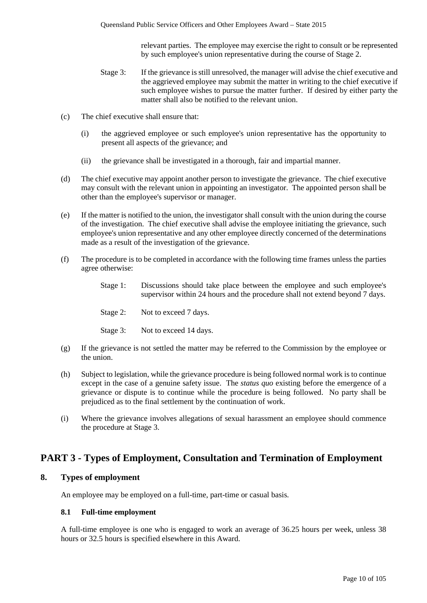relevant parties. The employee may exercise the right to consult or be represented by such employee's union representative during the course of Stage 2.

- Stage 3: If the grievance is still unresolved, the manager will advise the chief executive and the aggrieved employee may submit the matter in writing to the chief executive if such employee wishes to pursue the matter further. If desired by either party the matter shall also be notified to the relevant union.
- (c) The chief executive shall ensure that:
	- (i) the aggrieved employee or such employee's union representative has the opportunity to present all aspects of the grievance; and
	- (ii) the grievance shall be investigated in a thorough, fair and impartial manner.
- (d) The chief executive may appoint another person to investigate the grievance. The chief executive may consult with the relevant union in appointing an investigator. The appointed person shall be other than the employee's supervisor or manager.
- (e) If the matter is notified to the union, the investigator shall consult with the union during the course of the investigation. The chief executive shall advise the employee initiating the grievance, such employee's union representative and any other employee directly concerned of the determinations made as a result of the investigation of the grievance.
- (f) The procedure is to be completed in accordance with the following time frames unless the parties agree otherwise:
	- Stage 1: Discussions should take place between the employee and such employee's supervisor within 24 hours and the procedure shall not extend beyond 7 days.
	- Stage 2: Not to exceed 7 days.
	- Stage 3: Not to exceed 14 days.
- (g) If the grievance is not settled the matter may be referred to the Commission by the employee or the union.
- (h) Subject to legislation, while the grievance procedure is being followed normal work is to continue except in the case of a genuine safety issue. The *status quo* existing before the emergence of a grievance or dispute is to continue while the procedure is being followed. No party shall be prejudiced as to the final settlement by the continuation of work.
- (i) Where the grievance involves allegations of sexual harassment an employee should commence the procedure at Stage 3.

## **PART 3 - Types of Employment, Consultation and Termination of Employment**

#### **8. Types of employment**

An employee may be employed on a full-time, part-time or casual basis.

#### **8.1 Full-time employment**

A full-time employee is one who is engaged to work an average of 36.25 hours per week, unless 38 hours or 32.5 hours is specified elsewhere in this Award.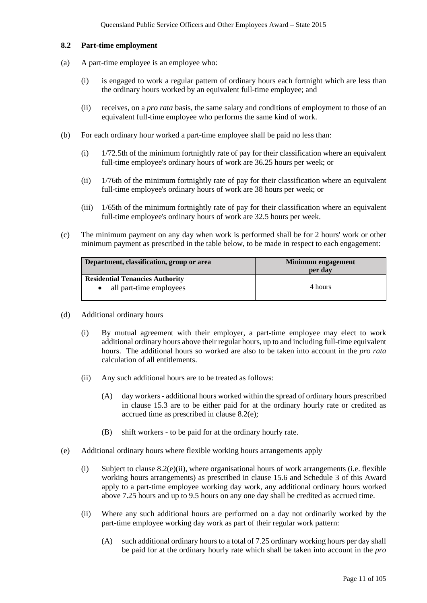#### **8.2 Part-time employment**

- (a) A part-time employee is an employee who:
	- (i) is engaged to work a regular pattern of ordinary hours each fortnight which are less than the ordinary hours worked by an equivalent full-time employee; and
	- (ii) receives, on a *pro rata* basis, the same salary and conditions of employment to those of an equivalent full-time employee who performs the same kind of work.
- (b) For each ordinary hour worked a part-time employee shall be paid no less than:
	- (i) 1/72.5th of the minimum fortnightly rate of pay for their classification where an equivalent full-time employee's ordinary hours of work are 36.25 hours per week; or
	- (ii) 1/76th of the minimum fortnightly rate of pay for their classification where an equivalent full-time employee's ordinary hours of work are 38 hours per week; or
	- (iii) 1/65th of the minimum fortnightly rate of pay for their classification where an equivalent full-time employee's ordinary hours of work are 32.5 hours per week.
- (c) The minimum payment on any day when work is performed shall be for 2 hours' work or other minimum payment as prescribed in the table below, to be made in respect to each engagement:

| Department, classification, group or area | Minimum engagement<br>per day |  |
|-------------------------------------------|-------------------------------|--|
| <b>Residential Tenancies Authority</b>    |                               |  |
| all part-time employees                   | 4 hours                       |  |

- (d) Additional ordinary hours
	- (i) By mutual agreement with their employer, a part-time employee may elect to work additional ordinary hours above their regular hours, up to and including full-time equivalent hours. The additional hours so worked are also to be taken into account in the *pro rata*  calculation of all entitlements.
	- (ii) Any such additional hours are to be treated as follows:
		- (A) day workers additional hours worked within the spread of ordinary hours prescribed in clause 15.3 are to be either paid for at the ordinary hourly rate or credited as accrued time as prescribed in clause 8.2(e);
		- (B) shift workers to be paid for at the ordinary hourly rate.
- (e) Additional ordinary hours where flexible working hours arrangements apply
	- (i) Subject to clause 8.2(e)(ii), where organisational hours of work arrangements (i.e. flexible working hours arrangements) as prescribed in clause 15.6 and Schedule 3 of this Award apply to a part-time employee working day work, any additional ordinary hours worked above 7.25 hours and up to 9.5 hours on any one day shall be credited as accrued time.
	- (ii) Where any such additional hours are performed on a day not ordinarily worked by the part-time employee working day work as part of their regular work pattern:
		- (A) such additional ordinary hours to a total of 7.25 ordinary working hours per day shall be paid for at the ordinary hourly rate which shall be taken into account in the *pro*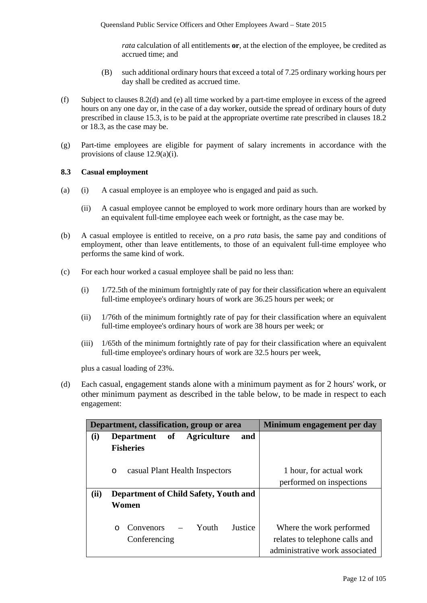*rata* calculation of all entitlements **or**, at the election of the employee, be credited as accrued time; and

- (B) such additional ordinary hours that exceed a total of 7.25 ordinary working hours per day shall be credited as accrued time.
- (f) Subject to clauses 8.2(d) and (e) all time worked by a part-time employee in excess of the agreed hours on any one day or, in the case of a day worker, outside the spread of ordinary hours of duty prescribed in clause 15.3, is to be paid at the appropriate overtime rate prescribed in clauses 18.2 or 18.3, as the case may be.
- (g) Part-time employees are eligible for payment of salary increments in accordance with the provisions of clause 12.9(a)(i).

#### **8.3 Casual employment**

- (a) (i) A casual employee is an employee who is engaged and paid as such.
	- (ii) A casual employee cannot be employed to work more ordinary hours than are worked by an equivalent full-time employee each week or fortnight, as the case may be.
- (b) A casual employee is entitled to receive, on a *pro rata* basis, the same pay and conditions of employment, other than leave entitlements, to those of an equivalent full-time employee who performs the same kind of work.
- (c) For each hour worked a casual employee shall be paid no less than:
	- (i) 1/72.5th of the minimum fortnightly rate of pay for their classification where an equivalent full-time employee's ordinary hours of work are 36.25 hours per week; or
	- (ii) 1/76th of the minimum fortnightly rate of pay for their classification where an equivalent full-time employee's ordinary hours of work are 38 hours per week; or
	- (iii) 1/65th of the minimum fortnightly rate of pay for their classification where an equivalent full-time employee's ordinary hours of work are 32.5 hours per week,

plus a casual loading of 23%.

(d) Each casual, engagement stands alone with a minimum payment as for 2 hours' work, or other minimum payment as described in the table below, to be made in respect to each engagement:

|      | Department, classification, group or area     | Minimum engagement per day     |
|------|-----------------------------------------------|--------------------------------|
| (i)  | of Agriculture<br><b>Department</b><br>and    |                                |
|      | <b>Fisheries</b>                              |                                |
|      |                                               |                                |
|      | casual Plant Health Inspectors<br>$\circ$     | 1 hour, for actual work        |
|      |                                               | performed on inspections       |
| (ii) | Department of Child Safety, Youth and         |                                |
|      | Women                                         |                                |
|      |                                               |                                |
|      | $-$ Youth<br>Convenors<br>Justice<br>$\Omega$ | Where the work performed       |
|      | Conferencing                                  | relates to telephone calls and |
|      |                                               | administrative work associated |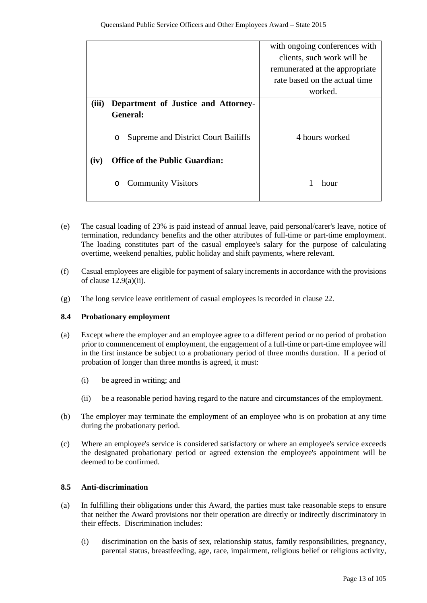|       |                                          | with ongoing conferences with  |
|-------|------------------------------------------|--------------------------------|
|       |                                          | clients, such work will be     |
|       |                                          | remunerated at the appropriate |
|       |                                          | rate based on the actual time  |
|       |                                          | worked.                        |
| (iii) | Department of Justice and Attorney-      |                                |
|       | <b>General:</b>                          |                                |
|       | Supreme and District Court Bailiffs<br>O | 4 hours worked                 |
| (iv)  | <b>Office of the Public Guardian:</b>    |                                |
|       | <b>Community Visitors</b><br>O           | hour                           |

- (e) The casual loading of 23% is paid instead of annual leave, paid personal/carer's leave, notice of termination, redundancy benefits and the other attributes of full-time or part-time employment. The loading constitutes part of the casual employee's salary for the purpose of calculating overtime, weekend penalties, public holiday and shift payments, where relevant.
- (f) Casual employees are eligible for payment of salary increments in accordance with the provisions of clause  $12.9(a)(ii)$ .
- (g) The long service leave entitlement of casual employees is recorded in clause 22.

## **8.4 Probationary employment**

- (a) Except where the employer and an employee agree to a different period or no period of probation prior to commencement of employment, the engagement of a full-time or part-time employee will in the first instance be subject to a probationary period of three months duration. If a period of probation of longer than three months is agreed, it must:
	- (i) be agreed in writing; and
	- (ii) be a reasonable period having regard to the nature and circumstances of the employment.
- (b) The employer may terminate the employment of an employee who is on probation at any time during the probationary period.
- (c) Where an employee's service is considered satisfactory or where an employee's service exceeds the designated probationary period or agreed extension the employee's appointment will be deemed to be confirmed.

## **8.5 Anti-discrimination**

- (a) In fulfilling their obligations under this Award, the parties must take reasonable steps to ensure that neither the Award provisions nor their operation are directly or indirectly discriminatory in their effects. Discrimination includes:
	- (i) discrimination on the basis of sex, relationship status, family responsibilities, pregnancy, parental status, breastfeeding, age, race, impairment, religious belief or religious activity,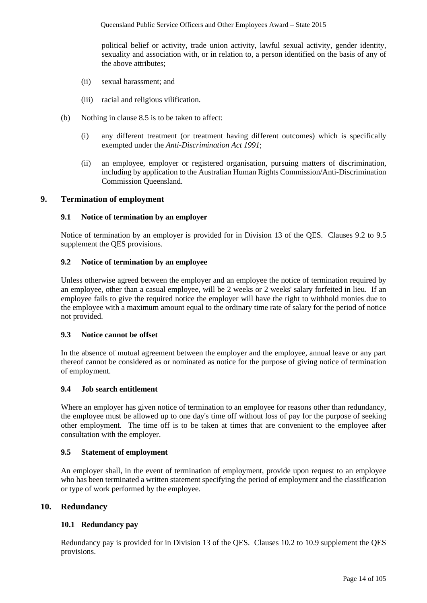political belief or activity, trade union activity, lawful sexual activity, gender identity, sexuality and association with, or in relation to, a person identified on the basis of any of the above attributes;

- (ii) sexual harassment; and
- (iii) racial and religious vilification.
- (b) Nothing in clause 8.5 is to be taken to affect:
	- (i) any different treatment (or treatment having different outcomes) which is specifically exempted under the *Anti-Discrimination Act 1991*;
	- (ii) an employee, employer or registered organisation, pursuing matters of discrimination, including by application to the Australian Human Rights Commission/Anti-Discrimination Commission Queensland.

#### **9. Termination of employment**

#### **9.1 Notice of termination by an employer**

Notice of termination by an employer is provided for in Division 13 of the QES. Clauses 9.2 to 9.5 supplement the QES provisions.

## **9.2 Notice of termination by an employee**

Unless otherwise agreed between the employer and an employee the notice of termination required by an employee, other than a casual employee, will be 2 weeks or 2 weeks' salary forfeited in lieu. If an employee fails to give the required notice the employer will have the right to withhold monies due to the employee with a maximum amount equal to the ordinary time rate of salary for the period of notice not provided.

#### **9.3 Notice cannot be offset**

In the absence of mutual agreement between the employer and the employee, annual leave or any part thereof cannot be considered as or nominated as notice for the purpose of giving notice of termination of employment.

#### **9.4 Job search entitlement**

Where an employer has given notice of termination to an employee for reasons other than redundancy, the employee must be allowed up to one day's time off without loss of pay for the purpose of seeking other employment. The time off is to be taken at times that are convenient to the employee after consultation with the employer.

#### **9.5 Statement of employment**

An employer shall, in the event of termination of employment, provide upon request to an employee who has been terminated a written statement specifying the period of employment and the classification or type of work performed by the employee.

## **10. Redundancy**

#### **10.1 Redundancy pay**

Redundancy pay is provided for in Division 13 of the QES. Clauses 10.2 to 10.9 supplement the QES provisions.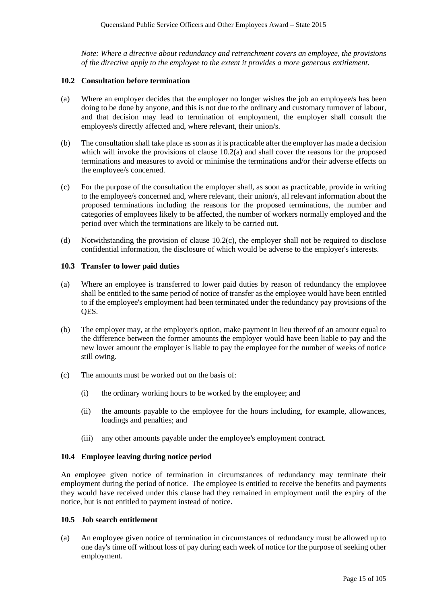*Note: Where a directive about redundancy and retrenchment covers an employee, the provisions of the directive apply to the employee to the extent it provides a more generous entitlement.*

#### **10.2 Consultation before termination**

- (a) Where an employer decides that the employer no longer wishes the job an employee/s has been doing to be done by anyone, and this is not due to the ordinary and customary turnover of labour, and that decision may lead to termination of employment, the employer shall consult the employee/s directly affected and, where relevant, their union/s.
- (b) The consultation shall take place as soon as it is practicable after the employer has made a decision which will invoke the provisions of clause 10.2(a) and shall cover the reasons for the proposed terminations and measures to avoid or minimise the terminations and/or their adverse effects on the employee/s concerned.
- (c) For the purpose of the consultation the employer shall, as soon as practicable, provide in writing to the employee/s concerned and, where relevant, their union/s, all relevant information about the proposed terminations including the reasons for the proposed terminations, the number and categories of employees likely to be affected, the number of workers normally employed and the period over which the terminations are likely to be carried out.
- (d) Notwithstanding the provision of clause 10.2(c), the employer shall not be required to disclose confidential information, the disclosure of which would be adverse to the employer's interests.

#### **10.3 Transfer to lower paid duties**

- (a) Where an employee is transferred to lower paid duties by reason of redundancy the employee shall be entitled to the same period of notice of transfer as the employee would have been entitled to if the employee's employment had been terminated under the redundancy pay provisions of the QES.
- (b) The employer may, at the employer's option, make payment in lieu thereof of an amount equal to the difference between the former amounts the employer would have been liable to pay and the new lower amount the employer is liable to pay the employee for the number of weeks of notice still owing.
- (c) The amounts must be worked out on the basis of:
	- (i) the ordinary working hours to be worked by the employee; and
	- (ii) the amounts payable to the employee for the hours including, for example, allowances, loadings and penalties; and
	- (iii) any other amounts payable under the employee's employment contract.

#### **10.4 Employee leaving during notice period**

An employee given notice of termination in circumstances of redundancy may terminate their employment during the period of notice. The employee is entitled to receive the benefits and payments they would have received under this clause had they remained in employment until the expiry of the notice, but is not entitled to payment instead of notice.

#### **10.5 Job search entitlement**

(a) An employee given notice of termination in circumstances of redundancy must be allowed up to one day's time off without loss of pay during each week of notice for the purpose of seeking other employment.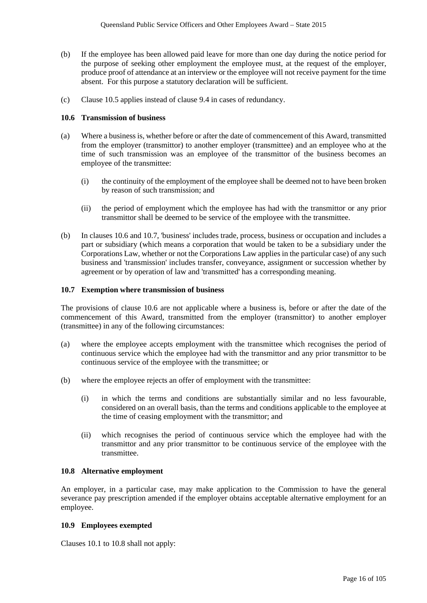- (b) If the employee has been allowed paid leave for more than one day during the notice period for the purpose of seeking other employment the employee must, at the request of the employer, produce proof of attendance at an interview or the employee will not receive payment for the time absent. For this purpose a statutory declaration will be sufficient.
- (c) Clause 10.5 applies instead of clause 9.4 in cases of redundancy.

#### **10.6 Transmission of business**

- (a) Where a business is, whether before or after the date of commencement of this Award, transmitted from the employer (transmittor) to another employer (transmittee) and an employee who at the time of such transmission was an employee of the transmittor of the business becomes an employee of the transmittee:
	- (i) the continuity of the employment of the employee shall be deemed not to have been broken by reason of such transmission; and
	- (ii) the period of employment which the employee has had with the transmittor or any prior transmittor shall be deemed to be service of the employee with the transmittee.
- (b) In clauses 10.6 and 10.7, 'business' includes trade, process, business or occupation and includes a part or subsidiary (which means a corporation that would be taken to be a subsidiary under the Corporations Law, whether or not the Corporations Law applies in the particular case) of any such business and 'transmission' includes transfer, conveyance, assignment or succession whether by agreement or by operation of law and 'transmitted' has a corresponding meaning.

## **10.7 Exemption where transmission of business**

The provisions of clause 10.6 are not applicable where a business is, before or after the date of the commencement of this Award, transmitted from the employer (transmittor) to another employer (transmittee) in any of the following circumstances:

- (a) where the employee accepts employment with the transmittee which recognises the period of continuous service which the employee had with the transmittor and any prior transmittor to be continuous service of the employee with the transmittee; or
- (b) where the employee rejects an offer of employment with the transmittee:
	- (i) in which the terms and conditions are substantially similar and no less favourable, considered on an overall basis, than the terms and conditions applicable to the employee at the time of ceasing employment with the transmittor; and
	- (ii) which recognises the period of continuous service which the employee had with the transmittor and any prior transmittor to be continuous service of the employee with the transmittee.

#### **10.8 Alternative employment**

An employer, in a particular case, may make application to the Commission to have the general severance pay prescription amended if the employer obtains acceptable alternative employment for an employee.

#### **10.9 Employees exempted**

Clauses 10.1 to 10.8 shall not apply: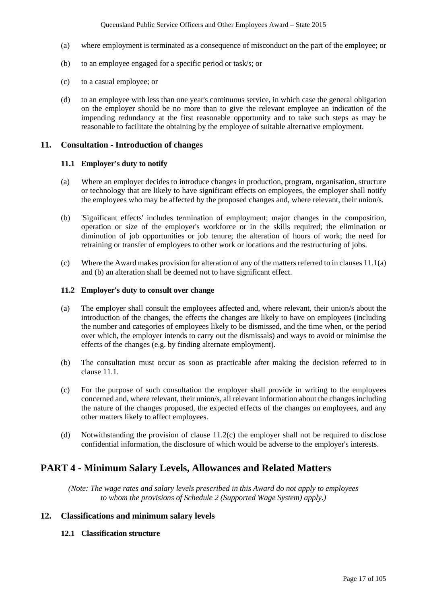- (a) where employment is terminated as a consequence of misconduct on the part of the employee; or
- (b) to an employee engaged for a specific period or task/s; or
- (c) to a casual employee; or
- (d) to an employee with less than one year's continuous service, in which case the general obligation on the employer should be no more than to give the relevant employee an indication of the impending redundancy at the first reasonable opportunity and to take such steps as may be reasonable to facilitate the obtaining by the employee of suitable alternative employment.

#### **11. Consultation - Introduction of changes**

#### **11.1 Employer's duty to notify**

- (a) Where an employer decides to introduce changes in production, program, organisation, structure or technology that are likely to have significant effects on employees, the employer shall notify the employees who may be affected by the proposed changes and, where relevant, their union/s.
- (b) 'Significant effects' includes termination of employment; major changes in the composition, operation or size of the employer's workforce or in the skills required; the elimination or diminution of job opportunities or job tenure; the alteration of hours of work; the need for retraining or transfer of employees to other work or locations and the restructuring of jobs.
- (c) Where the Award makes provision for alteration of any of the matters referred to in clauses 11.1(a) and (b) an alteration shall be deemed not to have significant effect.

## **11.2 Employer's duty to consult over change**

- (a) The employer shall consult the employees affected and, where relevant, their union/s about the introduction of the changes, the effects the changes are likely to have on employees (including the number and categories of employees likely to be dismissed, and the time when, or the period over which, the employer intends to carry out the dismissals) and ways to avoid or minimise the effects of the changes (e.g. by finding alternate employment).
- (b) The consultation must occur as soon as practicable after making the decision referred to in clause 11.1.
- (c) For the purpose of such consultation the employer shall provide in writing to the employees concerned and, where relevant, their union/s, all relevant information about the changes including the nature of the changes proposed, the expected effects of the changes on employees, and any other matters likely to affect employees.
- (d) Notwithstanding the provision of clause 11.2(c) the employer shall not be required to disclose confidential information, the disclosure of which would be adverse to the employer's interests.

## **PART 4 - Minimum Salary Levels, Allowances and Related Matters**

*(Note: The wage rates and salary levels prescribed in this Award do not apply to employees to whom the provisions of Schedule 2 (Supported Wage System) apply.)*

## **12. Classifications and minimum salary levels**

#### **12.1 Classification structure**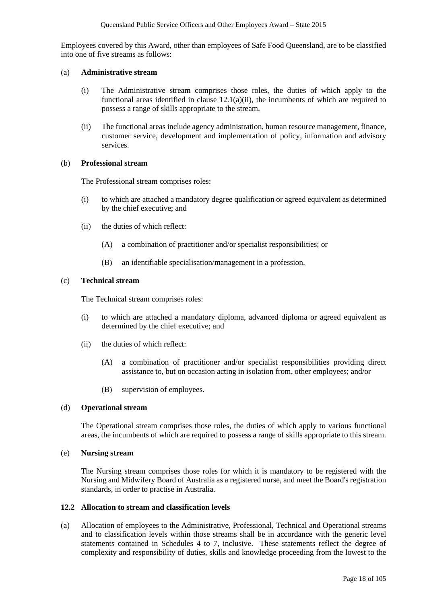Employees covered by this Award, other than employees of Safe Food Queensland, are to be classified into one of five streams as follows:

#### (a) **Administrative stream**

- (i) The Administrative stream comprises those roles, the duties of which apply to the functional areas identified in clause 12.1(a)(ii), the incumbents of which are required to possess a range of skills appropriate to the stream.
- (ii) The functional areas include agency administration, human resource management, finance, customer service, development and implementation of policy, information and advisory services.

#### (b) **Professional stream**

The Professional stream comprises roles:

- (i) to which are attached a mandatory degree qualification or agreed equivalent as determined by the chief executive; and
- (ii) the duties of which reflect:
	- (A) a combination of practitioner and/or specialist responsibilities; or
	- (B) an identifiable specialisation/management in a profession.

#### (c) **Technical stream**

The Technical stream comprises roles:

- (i) to which are attached a mandatory diploma, advanced diploma or agreed equivalent as determined by the chief executive; and
- (ii) the duties of which reflect:
	- (A) a combination of practitioner and/or specialist responsibilities providing direct assistance to, but on occasion acting in isolation from, other employees; and/or
	- (B) supervision of employees.

#### (d) **Operational stream**

The Operational stream comprises those roles, the duties of which apply to various functional areas, the incumbents of which are required to possess a range of skills appropriate to this stream.

#### (e) **Nursing stream**

The Nursing stream comprises those roles for which it is mandatory to be registered with the Nursing and Midwifery Board of Australia as a registered nurse, and meet the Board's registration standards, in order to practise in Australia.

#### **12.2 Allocation to stream and classification levels**

(a) Allocation of employees to the Administrative, Professional, Technical and Operational streams and to classification levels within those streams shall be in accordance with the generic level statements contained in Schedules 4 to 7, inclusive. These statements reflect the degree of complexity and responsibility of duties, skills and knowledge proceeding from the lowest to the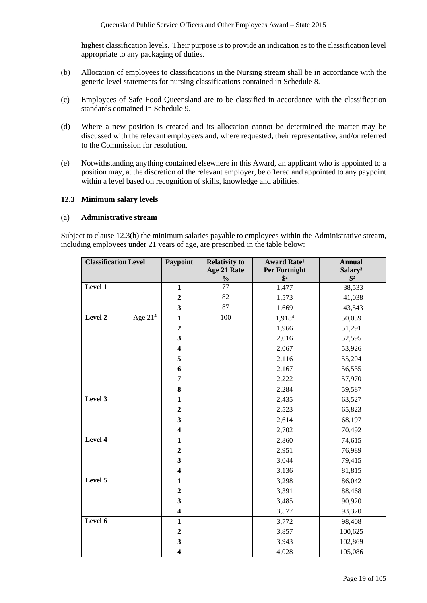highest classification levels. Their purpose is to provide an indication as to the classification level appropriate to any packaging of duties.

- (b) Allocation of employees to classifications in the Nursing stream shall be in accordance with the generic level statements for nursing classifications contained in Schedule 8.
- (c) Employees of Safe Food Queensland are to be classified in accordance with the classification standards contained in Schedule 9.
- (d) Where a new position is created and its allocation cannot be determined the matter may be discussed with the relevant employee/s and, where requested, their representative, and/or referred to the Commission for resolution.
- (e) Notwithstanding anything contained elsewhere in this Award, an applicant who is appointed to a position may, at the discretion of the relevant employer, be offered and appointed to any paypoint within a level based on recognition of skills, knowledge and abilities.

#### **12.3 Minimum salary levels**

#### (a) **Administrative stream**

Subject to clause 12.3(h) the minimum salaries payable to employees within the Administrative stream, including employees under 21 years of age, are prescribed in the table below:

| <b>Classification Level</b> | Paypoint                | <b>Relativity to</b> | Award Rate <sup>1</sup>        | <b>Annual</b>                        |
|-----------------------------|-------------------------|----------------------|--------------------------------|--------------------------------------|
|                             |                         | Age 21 Rate          | Per Fortnight<br>$\frac{1}{2}$ | Salary <sup>3</sup><br>$\frac{1}{2}$ |
| Level 1                     | $\mathbf{1}$            | $\frac{1}{2}$<br>77  | 1,477                          | 38,533                               |
|                             | $\boldsymbol{2}$        | 82                   | 1,573                          | 41,038                               |
|                             | $\mathbf{3}$            | 87                   | 1,669                          | 43,543                               |
| Level 2<br>Age $214$        | $\mathbf{1}$            | 100                  | 1,9184                         | 50,039                               |
|                             | $\boldsymbol{2}$        |                      | 1,966                          | 51,291                               |
|                             | $\overline{\mathbf{3}}$ |                      | 2,016                          | 52,595                               |
|                             | $\overline{\mathbf{4}}$ |                      | 2,067                          | 53,926                               |
|                             | 5                       |                      | 2,116                          | 55,204                               |
|                             | 6                       |                      | 2,167                          | 56,535                               |
|                             | $\overline{7}$          |                      | 2,222                          | 57,970                               |
|                             | 8                       |                      | 2,284                          | 59,587                               |
| Level 3                     | $\mathbf{1}$            |                      | 2,435                          | 63,527                               |
|                             | $\boldsymbol{2}$        |                      | 2,523                          | 65,823                               |
|                             | $\overline{\mathbf{3}}$ |                      | 2,614                          | 68,197                               |
|                             | $\overline{\mathbf{4}}$ |                      | 2,702                          | 70,492                               |
| Level 4                     | $\mathbf{1}$            |                      | 2,860                          | 74,615                               |
|                             | $\boldsymbol{2}$        |                      | 2,951                          | 76,989                               |
|                             | $\overline{\mathbf{3}}$ |                      | 3,044                          | 79,415                               |
|                             | $\overline{\mathbf{4}}$ |                      | 3,136                          | 81,815                               |
| Level 5                     | $\mathbf{1}$            |                      | 3,298                          | 86,042                               |
|                             | $\boldsymbol{2}$        |                      | 3,391                          | 88,468                               |
|                             | $\overline{\mathbf{3}}$ |                      | 3,485                          | 90,920                               |
|                             | $\overline{\mathbf{4}}$ |                      | 3,577                          | 93,320                               |
| Level 6                     | $\mathbf{1}$            |                      | 3,772                          | 98,408                               |
|                             | $\boldsymbol{2}$        |                      | 3,857                          | 100,625                              |
|                             | $\mathbf{3}$            |                      | 3,943                          | 102,869                              |
|                             | $\overline{\mathbf{4}}$ |                      | 4,028                          | 105,086                              |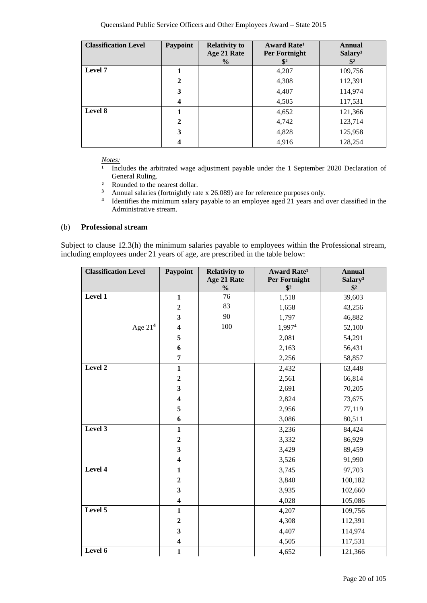| <b>Classification Level</b> | <b>Paypoint</b>         | <b>Relativity to</b> | Award Rate <sup>1</sup> | <b>Annual</b>       |
|-----------------------------|-------------------------|----------------------|-------------------------|---------------------|
|                             |                         | Age 21 Rate          | Per Fortnight           | Salary <sup>3</sup> |
|                             |                         | $\frac{6}{9}$        |                         | $\mathbf{\$}^2$     |
| Level 7                     |                         |                      | 4,207                   | 109,756             |
|                             | $\mathbf{2}$            |                      | 4,308                   | 112,391             |
|                             | 3                       |                      | 4,407                   | 114,974             |
|                             | $\boldsymbol{4}$        |                      | 4,505                   | 117,531             |
| Level 8                     |                         |                      | 4,652                   | 121,366             |
|                             | $\mathbf{2}$            |                      | 4,742                   | 123,714             |
|                             | 3                       |                      | 4,828                   | 125,958             |
|                             | $\overline{\mathbf{4}}$ |                      | 4,916                   | 128,254             |

*Notes:*<br><sup>1</sup> Inc</sub>

**¹** Includes the arbitrated wage adjustment payable under the 1 September 2020 Declaration of General Ruling.

- <sup>2</sup> Rounded to the nearest dollar.<br><sup>3</sup> Annual salaries (fortnightly rat
- **<sup>3</sup>** Annual salaries (fortnightly rate x 26.089) are for reference purposes only.
- <sup>4</sup> Identifies the minimum salary payable to an employee aged 21 years and over classified in the Administrative stream.

#### (b) **Professional stream**

Subject to clause 12.3(h) the minimum salaries payable to employees within the Professional stream, including employees under 21 years of age, are prescribed in the table below:

| <b>Classification Level</b> | Paypoint                | <b>Relativity to</b>         | <b>Award Rate<sup>1</sup></b>  | <b>Annual</b>                        |
|-----------------------------|-------------------------|------------------------------|--------------------------------|--------------------------------------|
|                             |                         | Age 21 Rate<br>$\frac{0}{0}$ | Per Fortnight<br>$\frac{1}{2}$ | Salary <sup>3</sup><br>$\frac{1}{2}$ |
| Level 1                     | $\mathbf{1}$            | 76                           | 1,518                          | 39,603                               |
|                             | $\boldsymbol{2}$        | 83                           | 1,658                          | 43,256                               |
|                             | $\mathbf{3}$            | 90                           | 1,797                          | 46,882                               |
| Age $214$                   | $\overline{\mathbf{4}}$ | 100                          | 1,9974                         | 52,100                               |
|                             |                         |                              |                                |                                      |
|                             | 5                       |                              | 2,081                          | 54,291                               |
|                             | 6                       |                              | 2,163                          | 56,431                               |
|                             | $\overline{7}$          |                              | 2,256                          | 58,857                               |
| Level 2                     | $\mathbf{1}$            |                              | 2,432                          | 63,448                               |
|                             | $\boldsymbol{2}$        |                              | 2,561                          | 66,814                               |
|                             | 3                       |                              | 2,691                          | 70,205                               |
|                             | $\overline{\mathbf{4}}$ |                              | 2,824                          | 73,675                               |
|                             | 5                       |                              | 2,956                          | 77,119                               |
|                             | 6                       |                              | 3,086                          | 80,511                               |
| Level 3                     | $\mathbf{1}$            |                              | 3,236                          | 84,424                               |
|                             | $\boldsymbol{2}$        |                              | 3,332                          | 86,929                               |
|                             | $\overline{\mathbf{3}}$ |                              | 3,429                          | 89,459                               |
|                             | $\overline{\mathbf{4}}$ |                              | 3,526                          | 91,990                               |
| Level 4                     | $\mathbf{1}$            |                              | 3,745                          | 97,703                               |
|                             | $\boldsymbol{2}$        |                              | 3,840                          | 100,182                              |
|                             | 3                       |                              | 3,935                          | 102,660                              |
|                             | $\overline{\mathbf{4}}$ |                              | 4,028                          | 105,086                              |
| Level $\overline{5}$        | $\mathbf{1}$            |                              | 4,207                          | 109,756                              |
|                             | $\boldsymbol{2}$        |                              | 4,308                          | 112,391                              |
|                             | 3                       |                              | 4,407                          | 114,974                              |
|                             | $\overline{\mathbf{4}}$ |                              | 4,505                          | 117,531                              |
| Level 6                     | $\mathbf{1}$            |                              | 4,652                          | 121,366                              |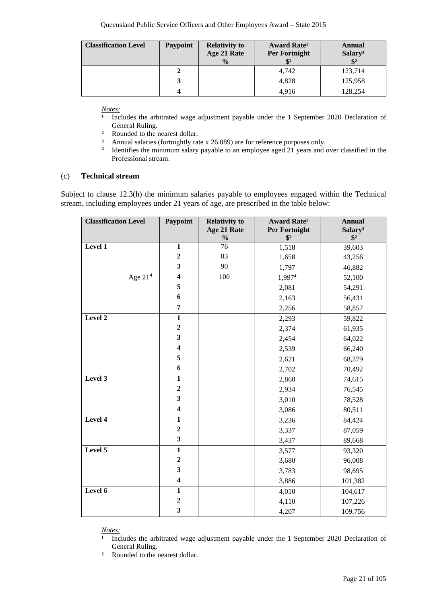| <b>Classification Level</b> | <b>Paypoint</b> | <b>Relativity to</b><br>Age 21 Rate<br>$\frac{0}{0}$ | <b>Award Rate</b> <sup>1</sup><br><b>Per Fortnight</b> | Annual<br>Salary <sup>3</sup> |
|-----------------------------|-----------------|------------------------------------------------------|--------------------------------------------------------|-------------------------------|
|                             |                 |                                                      | 4,742                                                  | 123,714                       |
|                             |                 |                                                      | 4,828                                                  | 125,958                       |
|                             |                 |                                                      | 4.916                                                  | 128,254                       |

*<u>Notes:</u>*<br><sup>1</sup> *Inc.* 

- Includes the arbitrated wage adjustment payable under the 1 September 2020 Declaration of General Ruling.
- <sup>2</sup> Rounded to the nearest dollar.<br><sup>3</sup> Annual salaries (fortnightly rate
- <sup>3</sup> Annual salaries (fortnightly rate x 26.089) are for reference purposes only.<br><sup>4</sup> Identifies the minimum salary payable to an employee aged 21 years and a
- **<sup>4</sup>** Identifies the minimum salary payable to an employee aged 21 years and over classified in the Professional stream.

#### (c) **Technical stream**

Subject to clause 12.3(h) the minimum salaries payable to employees engaged within the Technical stream, including employees under 21 years of age, are prescribed in the table below:

| <b>Classification Level</b> | Paypoint                | <b>Relativity to</b><br>Age 21 Rate<br>$\frac{0}{0}$ | <b>Award Rate<sup>1</sup></b><br>Per Fortnight<br>$\sqrt[6]{2}$ | <b>Annual</b><br>Salary <sup>3</sup><br>$\sqrt[6]{2}$ |
|-----------------------------|-------------------------|------------------------------------------------------|-----------------------------------------------------------------|-------------------------------------------------------|
| Level 1                     | $\mathbf 1$             | 76                                                   | 1,518                                                           | 39,603                                                |
|                             | $\boldsymbol{2}$        | 83                                                   | 1,658                                                           | 43,256                                                |
|                             | $\mathbf{3}$            | 90                                                   | 1,797                                                           | 46,882                                                |
| Age $214$                   | $\overline{\mathbf{4}}$ | 100                                                  | 1,9974                                                          | 52,100                                                |
|                             | 5                       |                                                      | 2,081                                                           | 54,291                                                |
|                             | 6                       |                                                      | 2,163                                                           | 56,431                                                |
|                             | 7                       |                                                      | 2,256                                                           | 58,857                                                |
| Level 2                     | $\mathbf{1}$            |                                                      | 2,293                                                           | 59,822                                                |
|                             | $\mathbf 2$             |                                                      | 2,374                                                           | 61,935                                                |
|                             | $\overline{\mathbf{3}}$ |                                                      | 2,454                                                           | 64,022                                                |
|                             | $\overline{\mathbf{4}}$ |                                                      | 2,539                                                           | 66,240                                                |
|                             | 5                       |                                                      | 2,621                                                           | 68,379                                                |
|                             | 6                       |                                                      | 2,702                                                           | 70,492                                                |
| Level 3                     | $\mathbf{1}$            |                                                      | 2,860                                                           | 74,615                                                |
|                             | $\mathbf 2$             |                                                      | 2,934                                                           | 76,545                                                |
|                             | $\overline{\mathbf{3}}$ |                                                      | 3,010                                                           | 78,528                                                |
|                             | $\overline{\mathbf{4}}$ |                                                      | 3,086                                                           | 80,511                                                |
| Level 4                     | $\mathbf{1}$            |                                                      | 3,236                                                           | 84,424                                                |
|                             | $\overline{2}$          |                                                      | 3,337                                                           | 87,059                                                |
|                             | 3                       |                                                      | 3,437                                                           | 89,668                                                |
| Level 5                     | $\mathbf{1}$            |                                                      | 3,577                                                           | 93,320                                                |
|                             | $\overline{2}$          |                                                      | 3,680                                                           | 96,008                                                |
|                             | 3                       |                                                      | 3,783                                                           | 98,695                                                |
|                             | $\overline{\mathbf{4}}$ |                                                      | 3,886                                                           | 101,382                                               |
| Level 6                     | $\mathbf{1}$            |                                                      | 4,010                                                           | 104,617                                               |
|                             | $\boldsymbol{2}$        |                                                      | 4,110                                                           | 107,226                                               |
|                             | 3                       |                                                      | 4,207                                                           | 109,756                                               |

*Notes:*

**¹** Includes the arbitrated wage adjustment payable under the 1 September 2020 Declaration of General Ruling.

**²** Rounded to the nearest dollar.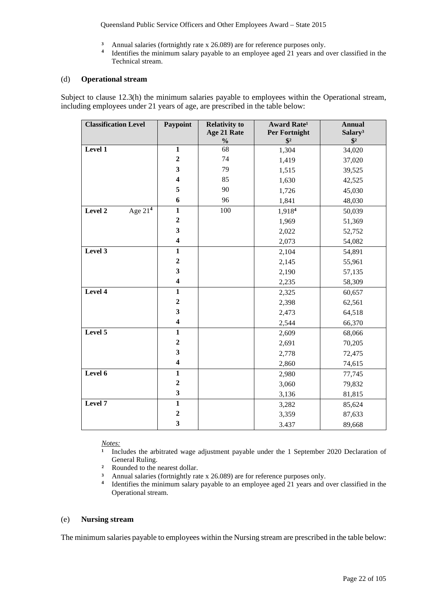Queensland Public Service Officers and Other Employees Award – State 2015

- <sup>3</sup> Annual salaries (fortnightly rate x 26.089) are for reference purposes only.<br><sup>4</sup> Identifies the minimum salary payable to an employee aged 21 years and d
- **<sup>4</sup>** Identifies the minimum salary payable to an employee aged 21 years and over classified in the Technical stream.

#### (d) **Operational stream**

Subject to clause 12.3(h) the minimum salaries payable to employees within the Operational stream, including employees under 21 years of age, are prescribed in the table below:

| <b>Classification Level</b> | Paypoint                | <b>Relativity to</b><br>Age 21 Rate<br>$\frac{0}{0}$ | <b>Award Rate<sup>1</sup></b><br><b>Per Fortnight</b><br>$\frac{1}{2}$ | <b>Annual</b><br>Salary <sup>3</sup><br>$\sqrt[6]{2}$ |
|-----------------------------|-------------------------|------------------------------------------------------|------------------------------------------------------------------------|-------------------------------------------------------|
| Level 1                     | $\mathbf{1}$            | 68                                                   | 1,304                                                                  | 34,020                                                |
|                             | $\boldsymbol{2}$        | 74                                                   | 1,419                                                                  | 37,020                                                |
|                             | $\overline{\mathbf{3}}$ | 79                                                   | 1,515                                                                  | 39,525                                                |
|                             | $\overline{\mathbf{4}}$ | 85                                                   | 1,630                                                                  | 42,525                                                |
|                             | 5                       | 90                                                   | 1,726                                                                  | 45,030                                                |
|                             | 6                       | 96                                                   | 1,841                                                                  | 48,030                                                |
| Age $21^4$<br>Level 2       | $\mathbf{1}$            | 100                                                  | 1,9184                                                                 | 50,039                                                |
|                             | $\boldsymbol{2}$        |                                                      | 1,969                                                                  | 51,369                                                |
|                             | 3                       |                                                      | 2,022                                                                  | 52,752                                                |
|                             | $\overline{\mathbf{4}}$ |                                                      | 2,073                                                                  | 54,082                                                |
| Level 3                     | $\mathbf{1}$            |                                                      | 2,104                                                                  | 54,891                                                |
|                             | $\overline{2}$          |                                                      | 2,145                                                                  | 55,961                                                |
|                             | 3                       |                                                      | 2,190                                                                  | 57,135                                                |
|                             | $\overline{\mathbf{4}}$ |                                                      | 2,235                                                                  | 58,309                                                |
| Level 4                     | $\mathbf{1}$            |                                                      | 2,325                                                                  | 60,657                                                |
|                             | $\mathbf{2}$            |                                                      | 2,398                                                                  | 62,561                                                |
|                             | $\overline{\mathbf{3}}$ |                                                      | 2,473                                                                  | 64,518                                                |
|                             | $\overline{\mathbf{4}}$ |                                                      | 2,544                                                                  | 66,370                                                |
| Level 5                     | $\mathbf{1}$            |                                                      | 2,609                                                                  | 68,066                                                |
|                             | $\overline{2}$          |                                                      | 2,691                                                                  | 70,205                                                |
|                             | $\overline{\mathbf{3}}$ |                                                      | 2,778                                                                  | 72,475                                                |
|                             | $\overline{\mathbf{4}}$ |                                                      | 2,860                                                                  | 74,615                                                |
| Level 6                     | $\mathbf{1}$            |                                                      | 2,980                                                                  | 77,745                                                |
|                             | $\overline{2}$          |                                                      | 3,060                                                                  | 79,832                                                |
|                             | $\overline{\mathbf{3}}$ |                                                      | 3,136                                                                  | 81,815                                                |
| Level 7                     | $\overline{\mathbf{1}}$ |                                                      | 3,282                                                                  | 85,624                                                |
|                             | $\overline{\mathbf{c}}$ |                                                      | 3,359                                                                  | 87,633                                                |
|                             | $\overline{\mathbf{3}}$ |                                                      | 3.437                                                                  | 89,668                                                |

*Notes:*

- Includes the arbitrated wage adjustment payable under the 1 September 2020 Declaration of General Ruling.
- **²** Rounded to the nearest dollar.
- **3** Annual salaries (fortnightly rate x 26.089) are for reference purposes only.<br>**4** Identifies the minimum salary payable to an employee aged 21 years and
- **<sup>4</sup>** Identifies the minimum salary payable to an employee aged 21 years and over classified in the Operational stream.

#### (e) **Nursing stream**

The minimum salaries payable to employees within the Nursing stream are prescribed in the table below: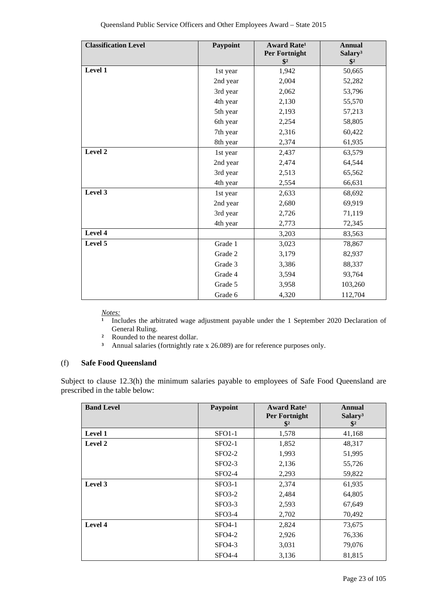| <b>Classification Level</b> | Paypoint | <b>Award Rate<sup>1</sup></b><br>Per Fortnight<br>$\mathbf{\$}^2$ | <b>Annual</b><br>Salary <sup>3</sup><br>$\frac{1}{2}$ |
|-----------------------------|----------|-------------------------------------------------------------------|-------------------------------------------------------|
| Level 1                     | 1st year | 1,942                                                             | 50,665                                                |
|                             | 2nd year | 2,004                                                             | 52,282                                                |
|                             | 3rd year | 2,062                                                             | 53,796                                                |
|                             | 4th year | 2,130                                                             | 55,570                                                |
|                             | 5th year | 2,193                                                             | 57,213                                                |
|                             | 6th year | 2,254                                                             | 58,805                                                |
|                             | 7th year | 2,316                                                             | 60,422                                                |
|                             | 8th year | 2,374                                                             | 61,935                                                |
| Level 2                     | 1st year | 2,437                                                             | 63,579                                                |
|                             | 2nd year | 2,474                                                             | 64,544                                                |
|                             | 3rd year | 2,513                                                             | 65,562                                                |
|                             | 4th year | 2,554                                                             | 66,631                                                |
| Level 3                     | 1st year | 2,633                                                             | 68,692                                                |
|                             | 2nd year | 2,680                                                             | 69,919                                                |
|                             | 3rd year | 2,726                                                             | 71,119                                                |
|                             | 4th year | 2,773                                                             | 72,345                                                |
| Level 4                     |          | 3,203                                                             | 83,563                                                |
| Level 5                     | Grade 1  | 3,023                                                             | 78,867                                                |
|                             | Grade 2  | 3,179                                                             | 82,937                                                |
|                             | Grade 3  | 3,386                                                             | 88,337                                                |
|                             | Grade 4  | 3,594                                                             | 93,764                                                |
|                             | Grade 5  | 3,958                                                             | 103,260                                               |
|                             | Grade 6  | 4,320                                                             | 112,704                                               |

*Notes:*<br><sup>1</sup> Inc</sub>

**¹** Includes the arbitrated wage adjustment payable under the 1 September 2020 Declaration of General Ruling.

- <sup>2</sup> Rounded to the nearest dollar.<br><sup>3</sup> Annual salaries (fortnightly rate
- **³** Annual salaries (fortnightly rate x 26.089) are for reference purposes only.

#### (f) **Safe Food Queensland**

Subject to clause 12.3(h) the minimum salaries payable to employees of Safe Food Queensland are prescribed in the table below:

| <b>Band Level</b> | Paypoint | Award Rate <sup>1</sup><br><b>Per Fortnight</b><br>$\mathbf{\$}^2$ | Annual<br>Salary <sup>3</sup><br>$\mathbf{\$}^2$ |
|-------------------|----------|--------------------------------------------------------------------|--------------------------------------------------|
| <b>Level 1</b>    | $SFO1-1$ | 1,578                                                              | 41,168                                           |
| Level 2           | $SFO2-1$ | 1,852                                                              | 48,317                                           |
|                   | $SFO2-2$ | 1,993                                                              | 51,995                                           |
|                   | $SFO2-3$ | 2,136                                                              | 55,726                                           |
|                   | $SFO2-4$ | 2,293                                                              | 59,822                                           |
| Level 3           | $SFO3-1$ | 2,374                                                              | 61,935                                           |
|                   | $SFO3-2$ | 2,484                                                              | 64,805                                           |
|                   | $SFO3-3$ | 2,593                                                              | 67,649                                           |
|                   | $SFO3-4$ | 2,702                                                              | 70,492                                           |
| Level 4           | SFO4-1   | 2,824                                                              | 73,675                                           |
|                   | $SFO4-2$ | 2,926                                                              | 76,336                                           |
|                   | $SFO4-3$ | 3,031                                                              | 79,076                                           |
|                   | $SFO4-4$ | 3,136                                                              | 81,815                                           |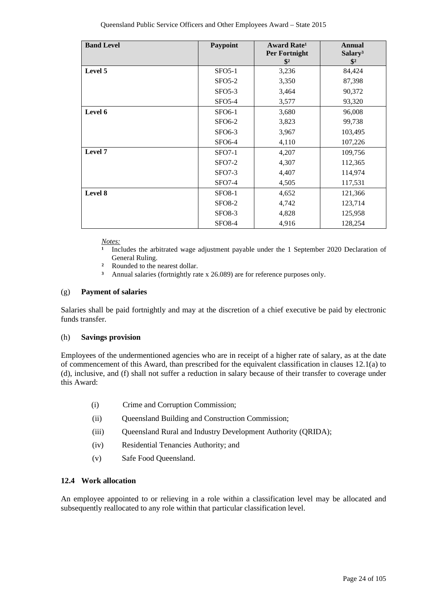| <b>Band Level</b> | Paypoint      | <b>Award Rate<sup>1</sup></b><br>Per Fortnight | <b>Annual</b><br>Salary <sup>3</sup> |
|-------------------|---------------|------------------------------------------------|--------------------------------------|
|                   |               | $\frac{1}{2}$                                  | $\mathbf{\$}^2$                      |
| Level 5           | $SFO5-1$      | 3,236                                          | 84,424                               |
|                   | $SFO5-2$      | 3,350                                          | 87,398                               |
|                   | $SFO5-3$      | 3,464                                          | 90,372                               |
|                   | $SFO5-4$      | 3,577                                          | 93,320                               |
| Level 6           | <b>SFO6-1</b> | 3,680                                          | 96,008                               |
|                   | <b>SFO6-2</b> | 3,823                                          | 99,738                               |
|                   | <b>SFO6-3</b> | 3,967                                          | 103,495                              |
|                   | <b>SFO6-4</b> | 4,110                                          | 107,226                              |
| Level 7           | $SFO7-1$      | 4,207                                          | 109,756                              |
|                   | $SFO7-2$      | 4,307                                          | 112,365                              |
|                   | $SFO7-3$      | 4,407                                          | 114,974                              |
|                   | <b>SFO7-4</b> | 4,505                                          | 117,531                              |
| Level 8           | <b>SFO8-1</b> | 4,652                                          | 121,366                              |
|                   | <b>SFO8-2</b> | 4,742                                          | 123,714                              |
|                   | <b>SFO8-3</b> | 4,828                                          | 125,958                              |
|                   | <b>SFO8-4</b> | 4,916                                          | 128,254                              |

*Notes:*

- **¹** Includes the arbitrated wage adjustment payable under the 1 September 2020 Declaration of General Ruling.
- <sup>2</sup> Rounded to the nearest dollar.
	- **³** Annual salaries (fortnightly rate x 26.089) are for reference purposes only.

#### (g) **Payment of salaries**

Salaries shall be paid fortnightly and may at the discretion of a chief executive be paid by electronic funds transfer.

#### (h) **Savings provision**

Employees of the undermentioned agencies who are in receipt of a higher rate of salary, as at the date of commencement of this Award, than prescribed for the equivalent classification in clauses 12.1(a) to (d), inclusive, and (f) shall not suffer a reduction in salary because of their transfer to coverage under this Award:

- (i) Crime and Corruption Commission;
- (ii) Queensland Building and Construction Commission;
- (iii) Queensland Rural and Industry Development Authority (QRIDA);
- (iv) Residential Tenancies Authority; and
- (v) Safe Food Queensland.

#### **12.4 Work allocation**

An employee appointed to or relieving in a role within a classification level may be allocated and subsequently reallocated to any role within that particular classification level.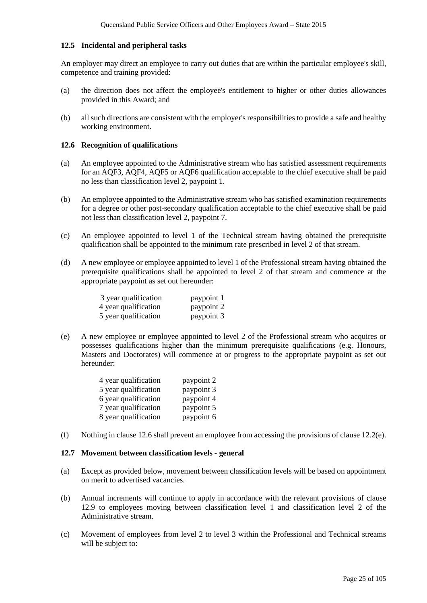#### **12.5 Incidental and peripheral tasks**

An employer may direct an employee to carry out duties that are within the particular employee's skill, competence and training provided:

- (a) the direction does not affect the employee's entitlement to higher or other duties allowances provided in this Award; and
- (b) all such directions are consistent with the employer's responsibilities to provide a safe and healthy working environment.

#### **12.6 Recognition of qualifications**

- (a) An employee appointed to the Administrative stream who has satisfied assessment requirements for an AQF3, AQF4, AQF5 or AQF6 qualification acceptable to the chief executive shall be paid no less than classification level 2, paypoint 1.
- (b) An employee appointed to the Administrative stream who has satisfied examination requirements for a degree or other post-secondary qualification acceptable to the chief executive shall be paid not less than classification level 2, paypoint 7.
- (c) An employee appointed to level 1 of the Technical stream having obtained the prerequisite qualification shall be appointed to the minimum rate prescribed in level 2 of that stream.
- (d) A new employee or employee appointed to level 1 of the Professional stream having obtained the prerequisite qualifications shall be appointed to level 2 of that stream and commence at the appropriate paypoint as set out hereunder:

| 3 year qualification | paypoint 1 |
|----------------------|------------|
| 4 year qualification | paypoint 2 |
| 5 year qualification | paypoint 3 |

(e) A new employee or employee appointed to level 2 of the Professional stream who acquires or possesses qualifications higher than the minimum prerequisite qualifications (e.g. Honours, Masters and Doctorates) will commence at or progress to the appropriate paypoint as set out hereunder:

| 4 year qualification | paypoint 2 |
|----------------------|------------|
| 5 year qualification | paypoint 3 |
| 6 year qualification | paypoint 4 |
| 7 year qualification | paypoint 5 |
| 8 year qualification | paypoint 6 |

(f) Nothing in clause 12.6 shall prevent an employee from accessing the provisions of clause 12.2(e).

#### **12.7 Movement between classification levels - general**

- (a) Except as provided below, movement between classification levels will be based on appointment on merit to advertised vacancies.
- (b) Annual increments will continue to apply in accordance with the relevant provisions of clause 12.9 to employees moving between classification level 1 and classification level 2 of the Administrative stream.
- (c) Movement of employees from level 2 to level 3 within the Professional and Technical streams will be subject to: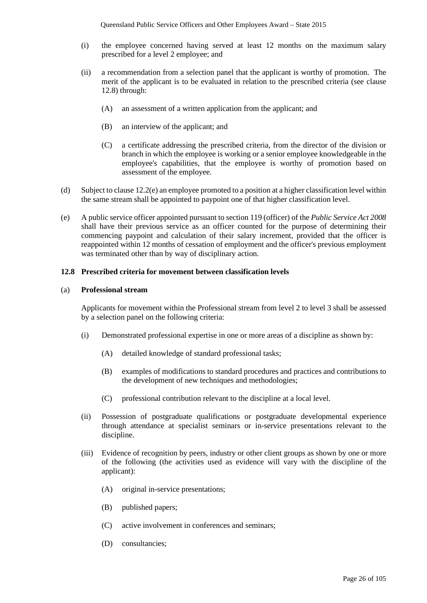- (i) the employee concerned having served at least 12 months on the maximum salary prescribed for a level 2 employee; and
- (ii) a recommendation from a selection panel that the applicant is worthy of promotion. The merit of the applicant is to be evaluated in relation to the prescribed criteria (see clause 12.8) through:
	- (A) an assessment of a written application from the applicant; and
	- (B) an interview of the applicant; and
	- (C) a certificate addressing the prescribed criteria, from the director of the division or branch in which the employee is working or a senior employee knowledgeable in the employee's capabilities, that the employee is worthy of promotion based on assessment of the employee.
- (d) Subject to clause 12.2(e) an employee promoted to a position at a higher classification level within the same stream shall be appointed to paypoint one of that higher classification level.
- (e) A public service officer appointed pursuant to section 119 (officer) of the *Public Service Act 2008* shall have their previous service as an officer counted for the purpose of determining their commencing paypoint and calculation of their salary increment, provided that the officer is reappointed within 12 months of cessation of employment and the officer's previous employment was terminated other than by way of disciplinary action.

#### **12.8 Prescribed criteria for movement between classification levels**

#### (a) **Professional stream**

Applicants for movement within the Professional stream from level 2 to level 3 shall be assessed by a selection panel on the following criteria:

- (i) Demonstrated professional expertise in one or more areas of a discipline as shown by:
	- (A) detailed knowledge of standard professional tasks;
	- (B) examples of modifications to standard procedures and practices and contributions to the development of new techniques and methodologies;
	- (C) professional contribution relevant to the discipline at a local level.
- (ii) Possession of postgraduate qualifications or postgraduate developmental experience through attendance at specialist seminars or in-service presentations relevant to the discipline.
- (iii) Evidence of recognition by peers, industry or other client groups as shown by one or more of the following (the activities used as evidence will vary with the discipline of the applicant):
	- (A) original in-service presentations;
	- (B) published papers;
	- (C) active involvement in conferences and seminars;
	- (D) consultancies;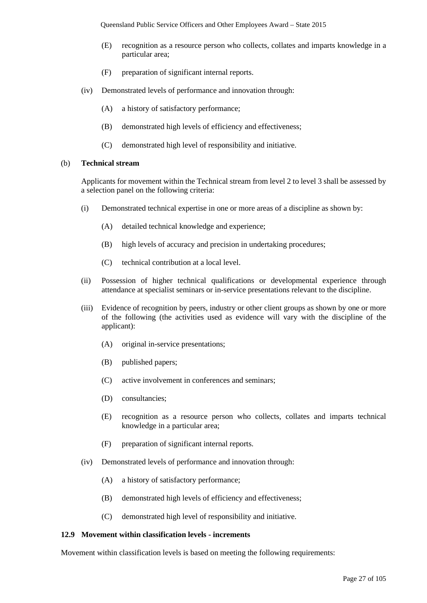- (E) recognition as a resource person who collects, collates and imparts knowledge in a particular area;
- (F) preparation of significant internal reports.
- (iv) Demonstrated levels of performance and innovation through:
	- (A) a history of satisfactory performance;
	- (B) demonstrated high levels of efficiency and effectiveness;
	- (C) demonstrated high level of responsibility and initiative.

#### (b) **Technical stream**

Applicants for movement within the Technical stream from level 2 to level 3 shall be assessed by a selection panel on the following criteria:

- (i) Demonstrated technical expertise in one or more areas of a discipline as shown by:
	- (A) detailed technical knowledge and experience;
	- (B) high levels of accuracy and precision in undertaking procedures;
	- (C) technical contribution at a local level.
- (ii) Possession of higher technical qualifications or developmental experience through attendance at specialist seminars or in-service presentations relevant to the discipline.
- (iii) Evidence of recognition by peers, industry or other client groups as shown by one or more of the following (the activities used as evidence will vary with the discipline of the applicant):
	- (A) original in-service presentations;
	- (B) published papers;
	- (C) active involvement in conferences and seminars;
	- (D) consultancies;
	- (E) recognition as a resource person who collects, collates and imparts technical knowledge in a particular area;
	- (F) preparation of significant internal reports.
- (iv) Demonstrated levels of performance and innovation through:
	- (A) a history of satisfactory performance;
	- (B) demonstrated high levels of efficiency and effectiveness;
	- (C) demonstrated high level of responsibility and initiative.

#### **12.9 Movement within classification levels - increments**

Movement within classification levels is based on meeting the following requirements: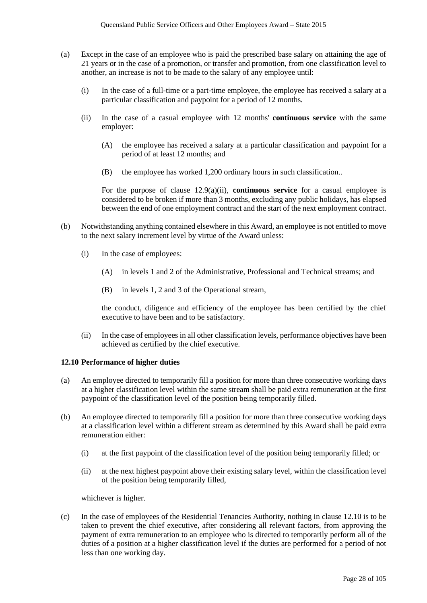- (a) Except in the case of an employee who is paid the prescribed base salary on attaining the age of 21 years or in the case of a promotion, or transfer and promotion, from one classification level to another, an increase is not to be made to the salary of any employee until:
	- (i) In the case of a full-time or a part-time employee, the employee has received a salary at a particular classification and paypoint for a period of 12 months.
	- (ii) In the case of a casual employee with 12 months' **continuous service** with the same employer:
		- (A) the employee has received a salary at a particular classification and paypoint for a period of at least 12 months; and
		- (B) the employee has worked 1,200 ordinary hours in such classification..

For the purpose of clause 12.9(a)(ii), **continuous service** for a casual employee is considered to be broken if more than 3 months, excluding any public holidays, has elapsed between the end of one employment contract and the start of the next employment contract.

- (b) Notwithstanding anything contained elsewhere in this Award, an employee is not entitled to move to the next salary increment level by virtue of the Award unless:
	- (i) In the case of employees:
		- (A) in levels 1 and 2 of the Administrative, Professional and Technical streams; and
		- (B) in levels 1, 2 and 3 of the Operational stream,

the conduct, diligence and efficiency of the employee has been certified by the chief executive to have been and to be satisfactory.

(ii) In the case of employees in all other classification levels, performance objectives have been achieved as certified by the chief executive.

#### **12.10 Performance of higher duties**

- (a) An employee directed to temporarily fill a position for more than three consecutive working days at a higher classification level within the same stream shall be paid extra remuneration at the first paypoint of the classification level of the position being temporarily filled.
- (b) An employee directed to temporarily fill a position for more than three consecutive working days at a classification level within a different stream as determined by this Award shall be paid extra remuneration either:
	- (i) at the first paypoint of the classification level of the position being temporarily filled; or
	- (ii) at the next highest paypoint above their existing salary level, within the classification level of the position being temporarily filled,

whichever is higher.

(c) In the case of employees of the Residential Tenancies Authority, nothing in clause 12.10 is to be taken to prevent the chief executive, after considering all relevant factors, from approving the payment of extra remuneration to an employee who is directed to temporarily perform all of the duties of a position at a higher classification level if the duties are performed for a period of not less than one working day.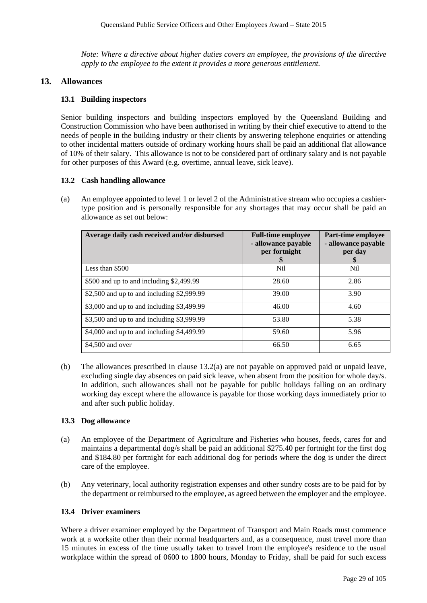*Note: Where a directive about higher duties covers an employee, the provisions of the directive apply to the employee to the extent it provides a more generous entitlement.*

#### **13. Allowances**

## **13.1 Building inspectors**

Senior building inspectors and building inspectors employed by the Queensland Building and Construction Commission who have been authorised in writing by their chief executive to attend to the needs of people in the building industry or their clients by answering telephone enquiries or attending to other incidental matters outside of ordinary working hours shall be paid an additional flat allowance of 10% of their salary. This allowance is not to be considered part of ordinary salary and is not payable for other purposes of this Award (e.g. overtime, annual leave, sick leave).

#### **13.2 Cash handling allowance**

(a) An employee appointed to level 1 or level 2 of the Administrative stream who occupies a cashiertype position and is personally responsible for any shortages that may occur shall be paid an allowance as set out below:

| Average daily cash received and/or disbursed | <b>Full-time employee</b><br>- allowance payable<br>per fortnight<br>\$ | Part-time employee<br>- allowance payable<br>per day<br>S |
|----------------------------------------------|-------------------------------------------------------------------------|-----------------------------------------------------------|
| Less than \$500                              | N <sub>il</sub>                                                         | Nil                                                       |
| \$500 and up to and including \$2,499.99     | 28.60                                                                   | 2.86                                                      |
| \$2,500 and up to and including \$2,999.99   | 39.00                                                                   | 3.90                                                      |
| \$3,000 and up to and including \$3,499.99   | 46.00                                                                   | 4.60                                                      |
| \$3,500 and up to and including \$3,999.99   | 53.80                                                                   | 5.38                                                      |
| \$4,000 and up to and including \$4,499.99   | 59.60                                                                   | 5.96                                                      |
| \$4,500 and over                             | 66.50                                                                   | 6.65                                                      |

(b) The allowances prescribed in clause 13.2(a) are not payable on approved paid or unpaid leave, excluding single day absences on paid sick leave, when absent from the position for whole day/s. In addition, such allowances shall not be payable for public holidays falling on an ordinary working day except where the allowance is payable for those working days immediately prior to and after such public holiday.

## **13.3 Dog allowance**

- (a) An employee of the Department of Agriculture and Fisheries who houses, feeds, cares for and maintains a departmental dog/s shall be paid an additional \$275.40 per fortnight for the first dog and \$184.80 per fortnight for each additional dog for periods where the dog is under the direct care of the employee.
- (b) Any veterinary, local authority registration expenses and other sundry costs are to be paid for by the department or reimbursed to the employee, as agreed between the employer and the employee.

#### **13.4 Driver examiners**

Where a driver examiner employed by the Department of Transport and Main Roads must commence work at a worksite other than their normal headquarters and, as a consequence, must travel more than 15 minutes in excess of the time usually taken to travel from the employee's residence to the usual workplace within the spread of 0600 to 1800 hours, Monday to Friday, shall be paid for such excess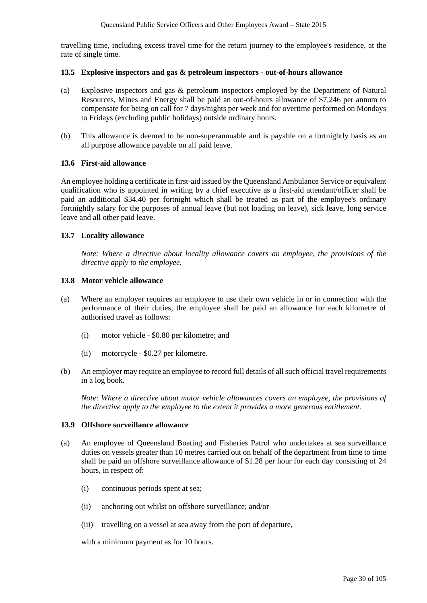travelling time, including excess travel time for the return journey to the employee's residence, at the rate of single time.

#### **13.5 Explosive inspectors and gas & petroleum inspectors - out-of-hours allowance**

- (a) Explosive inspectors and gas & petroleum inspectors employed by the Department of Natural Resources, Mines and Energy shall be paid an out-of-hours allowance of \$7,246 per annum to compensate for being on call for 7 days/nights per week and for overtime performed on Mondays to Fridays (excluding public holidays) outside ordinary hours.
- (b) This allowance is deemed to be non-superannuable and is payable on a fortnightly basis as an all purpose allowance payable on all paid leave.

#### **13.6 First-aid allowance**

An employee holding a certificate in first-aid issued by the Queensland Ambulance Service or equivalent qualification who is appointed in writing by a chief executive as a first-aid attendant/officer shall be paid an additional \$34.40 per fortnight which shall be treated as part of the employee's ordinary fortnightly salary for the purposes of annual leave (but not loading on leave), sick leave, long service leave and all other paid leave.

#### **13.7 Locality allowance**

*Note: Where a directive about locality allowance covers an employee, the provisions of the directive apply to the employee.*

#### **13.8 Motor vehicle allowance**

- (a) Where an employer requires an employee to use their own vehicle in or in connection with the performance of their duties, the employee shall be paid an allowance for each kilometre of authorised travel as follows:
	- (i) motor vehicle \$0.80 per kilometre; and
	- (ii) motorcycle \$0.27 per kilometre.
- (b) An employer may require an employee to record full details of all such official travel requirements in a log book.

*Note: Where a directive about motor vehicle allowances covers an employee, the provisions of the directive apply to the employee to the extent it provides a more generous entitlement.*

#### **13.9 Offshore surveillance allowance**

- (a) An employee of Queensland Boating and Fisheries Patrol who undertakes at sea surveillance duties on vessels greater than 10 metres carried out on behalf of the department from time to time shall be paid an offshore surveillance allowance of \$1.28 per hour for each day consisting of 24 hours, in respect of:
	- (i) continuous periods spent at sea;
	- (ii) anchoring out whilst on offshore surveillance; and/or
	- (iii) travelling on a vessel at sea away from the port of departure,

with a minimum payment as for 10 hours.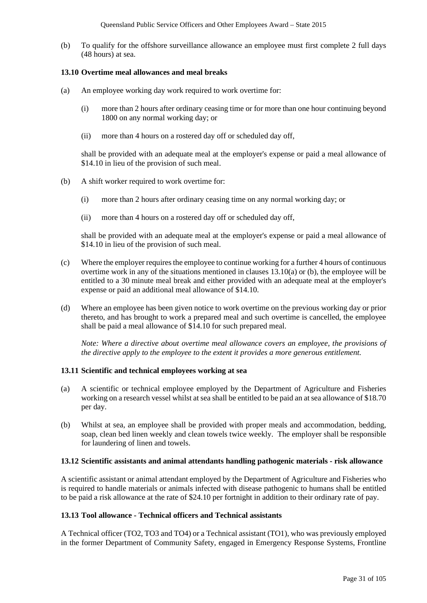(b) To qualify for the offshore surveillance allowance an employee must first complete 2 full days (48 hours) at sea.

#### **13.10 Overtime meal allowances and meal breaks**

- (a) An employee working day work required to work overtime for:
	- (i) more than 2 hours after ordinary ceasing time or for more than one hour continuing beyond 1800 on any normal working day; or
	- (ii) more than 4 hours on a rostered day off or scheduled day off,

shall be provided with an adequate meal at the employer's expense or paid a meal allowance of \$14.10 in lieu of the provision of such meal.

- (b) A shift worker required to work overtime for:
	- (i) more than 2 hours after ordinary ceasing time on any normal working day; or
	- (ii) more than 4 hours on a rostered day off or scheduled day off,

shall be provided with an adequate meal at the employer's expense or paid a meal allowance of \$14.10 in lieu of the provision of such meal.

- (c) Where the employer requires the employee to continue working for a further 4 hours of continuous overtime work in any of the situations mentioned in clauses 13.10(a) or (b), the employee will be entitled to a 30 minute meal break and either provided with an adequate meal at the employer's expense or paid an additional meal allowance of \$14.10.
- (d) Where an employee has been given notice to work overtime on the previous working day or prior thereto, and has brought to work a prepared meal and such overtime is cancelled, the employee shall be paid a meal allowance of \$14.10 for such prepared meal.

*Note: Where a directive about overtime meal allowance covers an employee, the provisions of the directive apply to the employee to the extent it provides a more generous entitlement.* 

#### **13.11 Scientific and technical employees working at sea**

- (a) A scientific or technical employee employed by the Department of Agriculture and Fisheries working on a research vessel whilst at sea shall be entitled to be paid an at sea allowance of \$18.70 per day.
- (b) Whilst at sea, an employee shall be provided with proper meals and accommodation, bedding, soap, clean bed linen weekly and clean towels twice weekly. The employer shall be responsible for laundering of linen and towels.

#### **13.12 Scientific assistants and animal attendants handling pathogenic materials - risk allowance**

A scientific assistant or animal attendant employed by the Department of Agriculture and Fisheries who is required to handle materials or animals infected with disease pathogenic to humans shall be entitled to be paid a risk allowance at the rate of \$24.10 per fortnight in addition to their ordinary rate of pay.

## **13.13 Tool allowance - Technical officers and Technical assistants**

A Technical officer (TO2, TO3 and TO4) or a Technical assistant (TO1), who was previously employed in the former Department of Community Safety, engaged in Emergency Response Systems, Frontline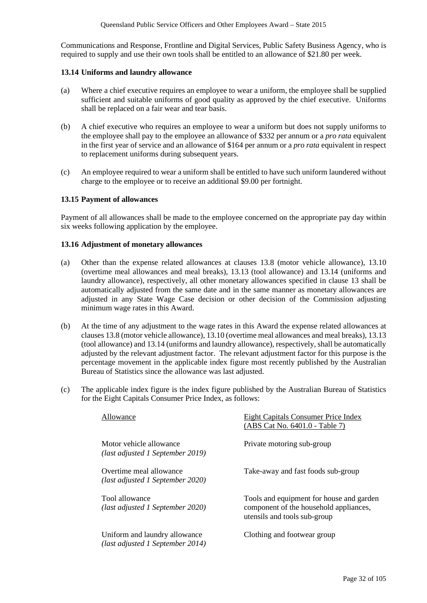Communications and Response, Frontline and Digital Services, Public Safety Business Agency, who is required to supply and use their own tools shall be entitled to an allowance of \$21.80 per week.

#### **13.14 Uniforms and laundry allowance**

- (a) Where a chief executive requires an employee to wear a uniform, the employee shall be supplied sufficient and suitable uniforms of good quality as approved by the chief executive. Uniforms shall be replaced on a fair wear and tear basis.
- (b) A chief executive who requires an employee to wear a uniform but does not supply uniforms to the employee shall pay to the employee an allowance of \$332 per annum or a *pro rata* equivalent in the first year of service and an allowance of \$164 per annum or a *pro rata* equivalent in respect to replacement uniforms during subsequent years.
- (c) An employee required to wear a uniform shall be entitled to have such uniform laundered without charge to the employee or to receive an additional \$9.00 per fortnight.

#### **13.15 Payment of allowances**

Payment of all allowances shall be made to the employee concerned on the appropriate pay day within six weeks following application by the employee.

#### **13.16 Adjustment of monetary allowances**

- (a) Other than the expense related allowances at clauses 13.8 (motor vehicle allowance), 13.10 (overtime meal allowances and meal breaks), 13.13 (tool allowance) and 13.14 (uniforms and laundry allowance), respectively, all other monetary allowances specified in clause 13 shall be automatically adjusted from the same date and in the same manner as monetary allowances are adjusted in any State Wage Case decision or other decision of the Commission adjusting minimum wage rates in this Award.
- (b) At the time of any adjustment to the wage rates in this Award the expense related allowances at clauses 13.8 (motor vehicle allowance), 13.10 (overtime meal allowances and meal breaks), 13.13 (tool allowance) and 13.14 (uniforms and laundry allowance), respectively, shall be automatically adjusted by the relevant adjustment factor. The relevant adjustment factor for this purpose is the percentage movement in the applicable index figure most recently published by the Australian Bureau of Statistics since the allowance was last adjusted.
- (c) The applicable index figure is the index figure published by the Australian Bureau of Statistics for the Eight Capitals Consumer Price Index, as follows:

| Allowance                                                         | Eight Capitals Consumer Price Index<br>(ABS Cat No. 6401.0 - Table 7)                                              |
|-------------------------------------------------------------------|--------------------------------------------------------------------------------------------------------------------|
| Motor vehicle allowance<br>(last adjusted 1 September 2019)       | Private motoring sub-group                                                                                         |
| Overtime meal allowance<br>(last adjusted 1 September 2020)       | Take-away and fast foods sub-group                                                                                 |
| Tool allowance<br>(last adjusted 1 September 2020)                | Tools and equipment for house and garden<br>component of the household appliances,<br>utensils and tools sub-group |
| Uniform and laundry allowance<br>(last adjusted 1 September 2014) | Clothing and footwear group                                                                                        |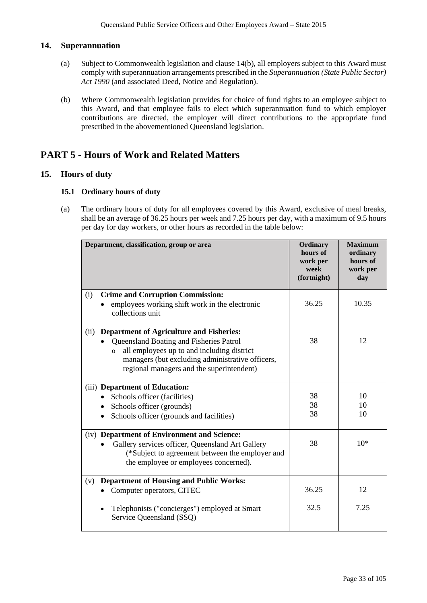## **14. Superannuation**

- (a) Subject to Commonwealth legislation and clause 14(b), all employers subject to this Award must comply with superannuation arrangements prescribed in the *Superannuation (State Public Sector) Act 1990* (and associated Deed, Notice and Regulation).
- (b) Where Commonwealth legislation provides for choice of fund rights to an employee subject to this Award, and that employee fails to elect which superannuation fund to which employer contributions are directed, the employer will direct contributions to the appropriate fund prescribed in the abovementioned Queensland legislation.

## **PART 5 - Hours of Work and Related Matters**

## **15. Hours of duty**

## **15.1 Ordinary hours of duty**

(a) The ordinary hours of duty for all employees covered by this Award, exclusive of meal breaks, shall be an average of 36.25 hours per week and 7.25 hours per day, with a maximum of 9.5 hours per day for day workers, or other hours as recorded in the table below:

| Department, classification, group or area                                                                                                                                                                                                                           | Ordinary<br>hours of<br>work per<br>week<br>(fortnight) | <b>Maximum</b><br>ordinary<br>hours of<br>work per<br>day |
|---------------------------------------------------------------------------------------------------------------------------------------------------------------------------------------------------------------------------------------------------------------------|---------------------------------------------------------|-----------------------------------------------------------|
| <b>Crime and Corruption Commission:</b><br>(i)<br>employees working shift work in the electronic<br>collections unit                                                                                                                                                | 36.25                                                   | 10.35                                                     |
| <b>Department of Agriculture and Fisheries:</b><br>(ii)<br>Queensland Boating and Fisheries Patrol<br>all employees up to and including district<br>$\overline{O}$<br>managers (but excluding administrative officers,<br>regional managers and the superintendent) | 38                                                      | 12                                                        |
| (iii) Department of Education:<br>• Schools officer (facilities)<br>Schools officer (grounds)<br>Schools officer (grounds and facilities)<br>$\bullet$                                                                                                              | 38<br>38<br>38                                          | 10<br>10<br>10                                            |
| (iv) Department of Environment and Science:<br>Gallery services officer, Queensland Art Gallery<br>(*Subject to agreement between the employer and<br>the employee or employees concerned).                                                                         | 38                                                      | $10*$                                                     |
| <b>Department of Housing and Public Works:</b><br>(v)<br>Computer operators, CITEC                                                                                                                                                                                  | 36.25                                                   | 12                                                        |
| Telephonists ("concierges") employed at Smart<br>Service Queensland (SSQ)                                                                                                                                                                                           | 32.5                                                    | 7.25                                                      |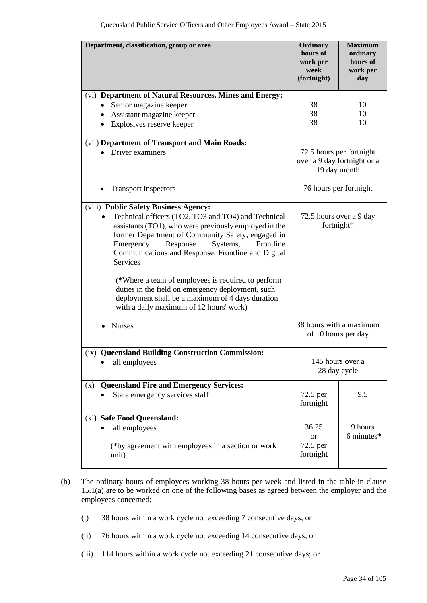| Department, classification, group or area                                                                                                                                                                                                                                                                                                                                                                                                                                                                                                       | Ordinary<br>hours of<br>work per<br>week<br>(fortnight)                 | <b>Maximum</b><br>ordinary<br>hours of<br>work per<br>day |
|-------------------------------------------------------------------------------------------------------------------------------------------------------------------------------------------------------------------------------------------------------------------------------------------------------------------------------------------------------------------------------------------------------------------------------------------------------------------------------------------------------------------------------------------------|-------------------------------------------------------------------------|-----------------------------------------------------------|
| (vi) Department of Natural Resources, Mines and Energy:<br>Senior magazine keeper<br>$\bullet$<br>Assistant magazine keeper<br>$\bullet$<br>Explosives reserve keeper<br>$\bullet$                                                                                                                                                                                                                                                                                                                                                              | 38<br>38<br>38                                                          | 10<br>10<br>10                                            |
| (vii) Department of Transport and Main Roads:<br>Driver examiners                                                                                                                                                                                                                                                                                                                                                                                                                                                                               | 72.5 hours per fortnight<br>over a 9 day fortnight or a<br>19 day month |                                                           |
| <b>Transport inspectors</b>                                                                                                                                                                                                                                                                                                                                                                                                                                                                                                                     | 76 hours per fortnight                                                  |                                                           |
| (viii) Public Safety Business Agency:<br>Technical officers (TO2, TO3 and TO4) and Technical<br>assistants (TO1), who were previously employed in the<br>former Department of Community Safety, engaged in<br>Response<br>Frontline<br>Emergency<br>Systems,<br>Communications and Response, Frontline and Digital<br><b>Services</b><br>(*Where a team of employees is required to perform<br>duties in the field on emergency deployment, such<br>deployment shall be a maximum of 4 days duration<br>with a daily maximum of 12 hours' work) | 72.5 hours over a 9 day<br>fortnight*                                   |                                                           |
| <b>Nurses</b>                                                                                                                                                                                                                                                                                                                                                                                                                                                                                                                                   | 38 hours with a maximum<br>of 10 hours per day                          |                                                           |
| (ix) Queensland Building Construction Commission:<br>all employees                                                                                                                                                                                                                                                                                                                                                                                                                                                                              | 28 day cycle                                                            | 145 hours over a                                          |
| <b>Queensland Fire and Emergency Services:</b><br>(x)                                                                                                                                                                                                                                                                                                                                                                                                                                                                                           |                                                                         |                                                           |
| State emergency services staff                                                                                                                                                                                                                                                                                                                                                                                                                                                                                                                  | 72.5 per<br>fortnight                                                   | 9.5                                                       |
| (xi) Safe Food Queensland:<br>all employees<br>(*by agreement with employees in a section or work<br>unit)                                                                                                                                                                                                                                                                                                                                                                                                                                      | 36.25<br><sub>or</sub><br>72.5 per<br>fortnight                         | 9 hours<br>6 minutes*                                     |

- (b) The ordinary hours of employees working 38 hours per week and listed in the table in clause 15.1(a) are to be worked on one of the following bases as agreed between the employer and the employees concerned:
	- (i) 38 hours within a work cycle not exceeding 7 consecutive days; or
	- (ii) 76 hours within a work cycle not exceeding 14 consecutive days; or
	- (iii) 114 hours within a work cycle not exceeding 21 consecutive days; or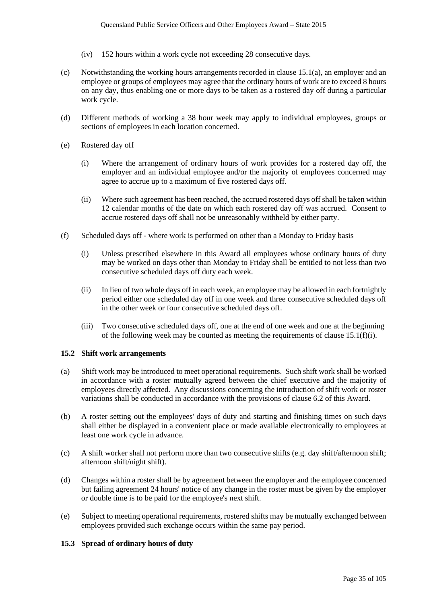- (iv) 152 hours within a work cycle not exceeding 28 consecutive days.
- (c) Notwithstanding the working hours arrangements recorded in clause 15.1(a), an employer and an employee or groups of employees may agree that the ordinary hours of work are to exceed 8 hours on any day, thus enabling one or more days to be taken as a rostered day off during a particular work cycle.
- (d) Different methods of working a 38 hour week may apply to individual employees, groups or sections of employees in each location concerned.
- (e) Rostered day off
	- (i) Where the arrangement of ordinary hours of work provides for a rostered day off, the employer and an individual employee and/or the majority of employees concerned may agree to accrue up to a maximum of five rostered days off.
	- (ii) Where such agreement has been reached, the accrued rostered days off shall be taken within 12 calendar months of the date on which each rostered day off was accrued. Consent to accrue rostered days off shall not be unreasonably withheld by either party.
- (f) Scheduled days off where work is performed on other than a Monday to Friday basis
	- (i) Unless prescribed elsewhere in this Award all employees whose ordinary hours of duty may be worked on days other than Monday to Friday shall be entitled to not less than two consecutive scheduled days off duty each week.
	- (ii) In lieu of two whole days off in each week, an employee may be allowed in each fortnightly period either one scheduled day off in one week and three consecutive scheduled days off in the other week or four consecutive scheduled days off.
	- (iii) Two consecutive scheduled days off, one at the end of one week and one at the beginning of the following week may be counted as meeting the requirements of clause  $15.1(f)(i)$ .

#### **15.2 Shift work arrangements**

- (a) Shift work may be introduced to meet operational requirements. Such shift work shall be worked in accordance with a roster mutually agreed between the chief executive and the majority of employees directly affected. Any discussions concerning the introduction of shift work or roster variations shall be conducted in accordance with the provisions of clause 6.2 of this Award.
- (b) A roster setting out the employees' days of duty and starting and finishing times on such days shall either be displayed in a convenient place or made available electronically to employees at least one work cycle in advance.
- (c) A shift worker shall not perform more than two consecutive shifts (e.g. day shift/afternoon shift; afternoon shift/night shift).
- (d) Changes within a roster shall be by agreement between the employer and the employee concerned but failing agreement 24 hours' notice of any change in the roster must be given by the employer or double time is to be paid for the employee's next shift.
- (e) Subject to meeting operational requirements, rostered shifts may be mutually exchanged between employees provided such exchange occurs within the same pay period.

#### **15.3 Spread of ordinary hours of duty**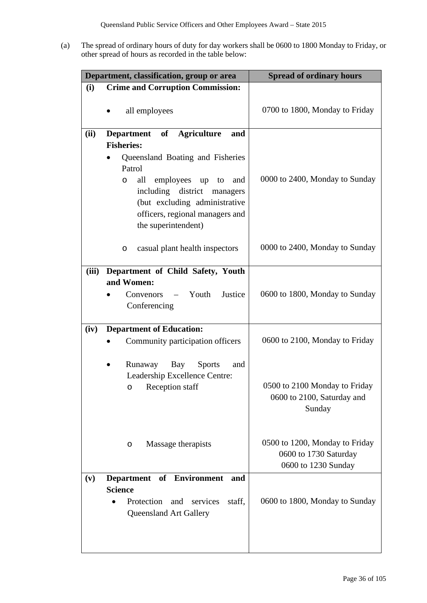(a) The spread of ordinary hours of duty for day workers shall be 0600 to 1800 Monday to Friday, or other spread of hours as recorded in the table below:

| Department, classification, group or area |                                                                                                                                                                                                                                                                           | <b>Spread of ordinary hours</b>                                                |
|-------------------------------------------|---------------------------------------------------------------------------------------------------------------------------------------------------------------------------------------------------------------------------------------------------------------------------|--------------------------------------------------------------------------------|
| (i)                                       | <b>Crime and Corruption Commission:</b>                                                                                                                                                                                                                                   |                                                                                |
|                                           | all employees                                                                                                                                                                                                                                                             | 0700 to 1800, Monday to Friday                                                 |
| (ii)                                      | Department of Agriculture<br>and<br><b>Fisheries:</b><br>Queensland Boating and Fisheries<br>Patrol<br>all<br>employees up<br>to<br>and<br>O<br>including district<br>managers<br>(but excluding administrative<br>officers, regional managers and<br>the superintendent) | 0000 to 2400, Monday to Sunday                                                 |
|                                           | casual plant health inspectors<br>O                                                                                                                                                                                                                                       | 0000 to 2400, Monday to Sunday                                                 |
| (iii)                                     | Department of Child Safety, Youth<br>and Women:<br>Convenors – Youth<br>Justice<br>Conferencing                                                                                                                                                                           | 0600 to 1800, Monday to Sunday                                                 |
| (iv)                                      | <b>Department of Education:</b><br>Community participation officers                                                                                                                                                                                                       | 0600 to 2100, Monday to Friday                                                 |
|                                           | Runaway Bay<br><b>Sports</b><br>and<br>$\bullet$<br>Leadership Excellence Centre:<br>Reception staff<br>$\circ$                                                                                                                                                           | 0500 to 2100 Monday to Friday<br>0600 to 2100, Saturday and<br>Sunday          |
|                                           | Massage therapists<br>O                                                                                                                                                                                                                                                   | 0500 to 1200, Monday to Friday<br>0600 to 1730 Saturday<br>0600 to 1230 Sunday |
| (v)                                       | <b>Department</b><br>of Environment<br>and<br><b>Science</b><br>Protection<br>and<br>services<br>staff,<br><b>Queensland Art Gallery</b>                                                                                                                                  | 0600 to 1800, Monday to Sunday                                                 |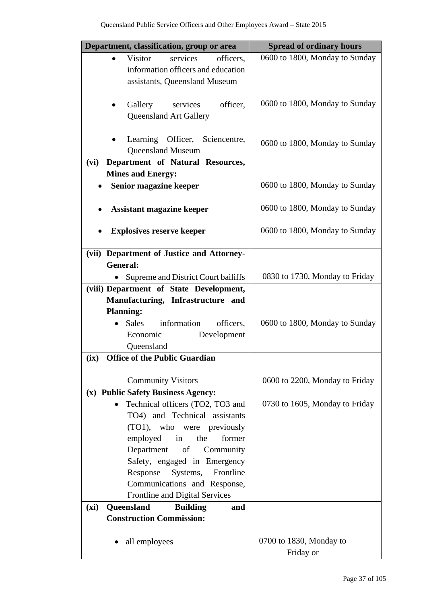| Department, classification, group or area                                      | <b>Spread of ordinary hours</b> |
|--------------------------------------------------------------------------------|---------------------------------|
| <b>Visitor</b><br>services<br>officers,<br>$\bullet$                           | 0600 to 1800, Monday to Sunday  |
| information officers and education<br>assistants, Queensland Museum            |                                 |
|                                                                                |                                 |
| Gallery<br>services<br>officer,                                                | 0600 to 1800, Monday to Sunday  |
| <b>Queensland Art Gallery</b>                                                  |                                 |
| Learning Officer, Sciencentre,                                                 |                                 |
| <b>Queensland Museum</b>                                                       | 0600 to 1800, Monday to Sunday  |
| Department of Natural Resources,<br>(vi)                                       |                                 |
| <b>Mines and Energy:</b>                                                       |                                 |
| Senior magazine keeper                                                         | 0600 to 1800, Monday to Sunday  |
| <b>Assistant magazine keeper</b>                                               | 0600 to 1800, Monday to Sunday  |
| <b>Explosives reserve keeper</b>                                               | 0600 to 1800, Monday to Sunday  |
| (vii) Department of Justice and Attorney-                                      |                                 |
| <b>General:</b>                                                                |                                 |
| Supreme and District Court bailiffs<br>(viii) Department of State Development, | 0830 to 1730, Monday to Friday  |
| Manufacturing, Infrastructure and                                              |                                 |
| <b>Planning:</b>                                                               |                                 |
| Sales information<br>officers,                                                 | 0600 to 1800, Monday to Sunday  |
| Development<br>Economic                                                        |                                 |
| Queensland<br><b>Office of the Public Guardian</b>                             |                                 |
| (ix)                                                                           |                                 |
| <b>Community Visitors</b>                                                      | 0600 to 2200, Monday to Friday  |
| (x) Public Safety Business Agency:                                             |                                 |
| Technical officers (TO2, TO3 and                                               | 0730 to 1605, Monday to Friday  |
| TO4) and Technical assistants<br>(TO1), who were previously                    |                                 |
| employed<br>the<br>in<br>former                                                |                                 |
| Department of Community                                                        |                                 |
| Safety, engaged in Emergency                                                   |                                 |
| Systems, Frontline<br>Response                                                 |                                 |
| Communications and Response,                                                   |                                 |
| Frontline and Digital Services<br>Queensland<br>(xi)<br><b>Building</b><br>and |                                 |
| <b>Construction Commission:</b>                                                |                                 |
|                                                                                |                                 |
| all employees                                                                  | 0700 to 1830, Monday to         |
|                                                                                | Friday or                       |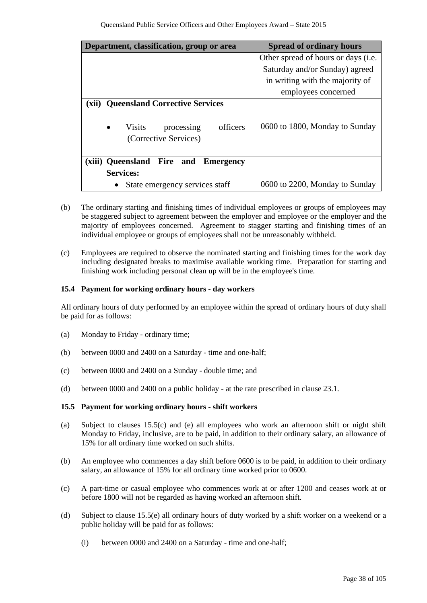| Department, classification, group or area                                                                                       | <b>Spread of ordinary hours</b>               |
|---------------------------------------------------------------------------------------------------------------------------------|-----------------------------------------------|
|                                                                                                                                 | Other spread of hours or days ( <i>i.e.</i> ) |
|                                                                                                                                 | Saturday and/or Sunday) agreed                |
|                                                                                                                                 | in writing with the majority of               |
|                                                                                                                                 | employees concerned                           |
| <b>Queensland Corrective Services</b><br>(xii)<br>officers<br><b>Visits</b><br>$\bullet$<br>processing<br>(Corrective Services) | 0600 to 1800, Monday to Sunday                |
| (xiii) Queensland Fire<br>and<br>Emergency                                                                                      |                                               |
| <b>Services:</b>                                                                                                                |                                               |
| State emergency services staff                                                                                                  | 0600 to 2200, Monday to Sunday                |

- (b) The ordinary starting and finishing times of individual employees or groups of employees may be staggered subject to agreement between the employer and employee or the employer and the majority of employees concerned. Agreement to stagger starting and finishing times of an individual employee or groups of employees shall not be unreasonably withheld.
- (c) Employees are required to observe the nominated starting and finishing times for the work day including designated breaks to maximise available working time. Preparation for starting and finishing work including personal clean up will be in the employee's time.

### **15.4 Payment for working ordinary hours - day workers**

All ordinary hours of duty performed by an employee within the spread of ordinary hours of duty shall be paid for as follows:

- (a) Monday to Friday ordinary time;
- (b) between 0000 and 2400 on a Saturday time and one-half;
- (c) between 0000 and 2400 on a Sunday double time; and
- (d) between 0000 and 2400 on a public holiday at the rate prescribed in clause 23.1.

### **15.5 Payment for working ordinary hours - shift workers**

- (a) Subject to clauses 15.5(c) and (e) all employees who work an afternoon shift or night shift Monday to Friday, inclusive, are to be paid, in addition to their ordinary salary, an allowance of 15% for all ordinary time worked on such shifts.
- (b) An employee who commences a day shift before 0600 is to be paid, in addition to their ordinary salary, an allowance of 15% for all ordinary time worked prior to 0600.
- (c) A part-time or casual employee who commences work at or after 1200 and ceases work at or before 1800 will not be regarded as having worked an afternoon shift.
- (d) Subject to clause 15.5(e) all ordinary hours of duty worked by a shift worker on a weekend or a public holiday will be paid for as follows:
	- (i) between 0000 and 2400 on a Saturday time and one-half;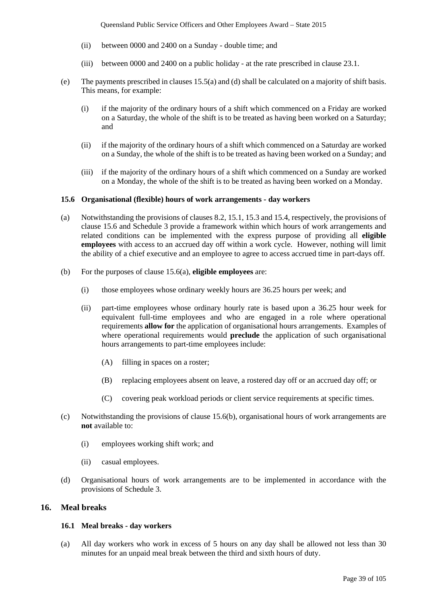- (ii) between 0000 and 2400 on a Sunday double time; and
- (iii) between 0000 and 2400 on a public holiday at the rate prescribed in clause 23.1.
- (e) The payments prescribed in clauses 15.5(a) and (d) shall be calculated on a majority of shift basis. This means, for example:
	- (i) if the majority of the ordinary hours of a shift which commenced on a Friday are worked on a Saturday, the whole of the shift is to be treated as having been worked on a Saturday; and
	- (ii) if the majority of the ordinary hours of a shift which commenced on a Saturday are worked on a Sunday, the whole of the shift is to be treated as having been worked on a Sunday; and
	- (iii) if the majority of the ordinary hours of a shift which commenced on a Sunday are worked on a Monday, the whole of the shift is to be treated as having been worked on a Monday.

#### **15.6 Organisational (flexible) hours of work arrangements - day workers**

- (a) Notwithstanding the provisions of clauses 8.2, 15.1, 15.3 and 15.4, respectively, the provisions of clause 15.6 and Schedule 3 provide a framework within which hours of work arrangements and related conditions can be implemented with the express purpose of providing all **eligible employees** with access to an accrued day off within a work cycle. However, nothing will limit the ability of a chief executive and an employee to agree to access accrued time in part-days off.
- (b) For the purposes of clause 15.6(a), **eligible employees** are:
	- (i) those employees whose ordinary weekly hours are 36.25 hours per week; and
	- (ii) part-time employees whose ordinary hourly rate is based upon a 36.25 hour week for equivalent full-time employees and who are engaged in a role where operational requirements **allow for** the application of organisational hours arrangements. Examples of where operational requirements would **preclude** the application of such organisational hours arrangements to part-time employees include:
		- (A) filling in spaces on a roster;
		- (B) replacing employees absent on leave, a rostered day off or an accrued day off; or
		- (C) covering peak workload periods or client service requirements at specific times.
- (c) Notwithstanding the provisions of clause 15.6(b), organisational hours of work arrangements are **not** available to:
	- (i) employees working shift work; and
	- (ii) casual employees.
- (d) Organisational hours of work arrangements are to be implemented in accordance with the provisions of Schedule 3.

## **16. Meal breaks**

#### **16.1 Meal breaks - day workers**

(a) All day workers who work in excess of 5 hours on any day shall be allowed not less than 30 minutes for an unpaid meal break between the third and sixth hours of duty.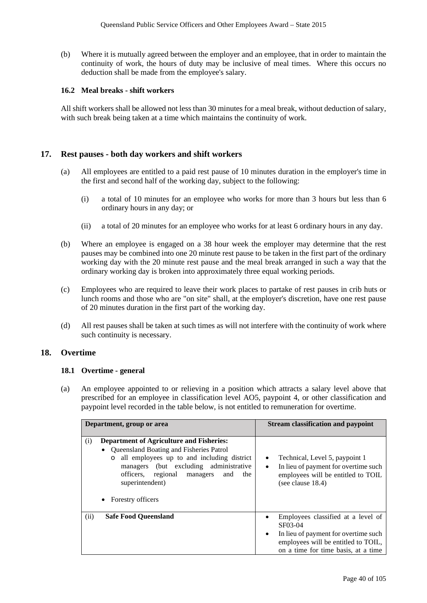(b) Where it is mutually agreed between the employer and an employee, that in order to maintain the continuity of work, the hours of duty may be inclusive of meal times. Where this occurs no deduction shall be made from the employee's salary.

## **16.2 Meal breaks - shift workers**

All shift workers shall be allowed not less than 30 minutes for a meal break, without deduction of salary, with such break being taken at a time which maintains the continuity of work.

## **17. Rest pauses - both day workers and shift workers**

- (a) All employees are entitled to a paid rest pause of 10 minutes duration in the employer's time in the first and second half of the working day, subject to the following:
	- (i) a total of 10 minutes for an employee who works for more than 3 hours but less than 6 ordinary hours in any day; or
	- (ii) a total of 20 minutes for an employee who works for at least 6 ordinary hours in any day.
- (b) Where an employee is engaged on a 38 hour week the employer may determine that the rest pauses may be combined into one 20 minute rest pause to be taken in the first part of the ordinary working day with the 20 minute rest pause and the meal break arranged in such a way that the ordinary working day is broken into approximately three equal working periods.
- (c) Employees who are required to leave their work places to partake of rest pauses in crib huts or lunch rooms and those who are "on site" shall, at the employer's discretion, have one rest pause of 20 minutes duration in the first part of the working day.
- (d) All rest pauses shall be taken at such times as will not interfere with the continuity of work where such continuity is necessary.

## **18. Overtime**

### **18.1 Overtime - general**

(a) An employee appointed to or relieving in a position which attracts a salary level above that prescribed for an employee in classification level AO5, paypoint 4, or other classification and paypoint level recorded in the table below, is not entitled to remuneration for overtime.

| Department, group or area                                                                                                                                                                                                                                                                                          | <b>Stream classification and paypoint</b>                                                                                                                                                     |
|--------------------------------------------------------------------------------------------------------------------------------------------------------------------------------------------------------------------------------------------------------------------------------------------------------------------|-----------------------------------------------------------------------------------------------------------------------------------------------------------------------------------------------|
| <b>Department of Agriculture and Fisheries:</b><br>(i)<br>• Queensland Boating and Fisheries Patrol<br>all employees up to and including district<br>$\circ$<br>managers (but excluding administrative<br>officers, regional<br>managers<br>and<br>the<br>superintendent)<br><b>Forestry officers</b><br>$\bullet$ | Technical, Level 5, paypoint 1<br>٠<br>In lieu of payment for overtime such<br>$\bullet$<br>employees will be entitled to TOIL<br>(see clause $18.4$ )                                        |
| (ii)<br><b>Safe Food Oueensland</b>                                                                                                                                                                                                                                                                                | Employees classified at a level of<br>$\bullet$<br>SF03-04<br>In lieu of payment for overtime such<br>$\bullet$<br>employees will be entitled to TOIL,<br>on a time for time basis, at a time |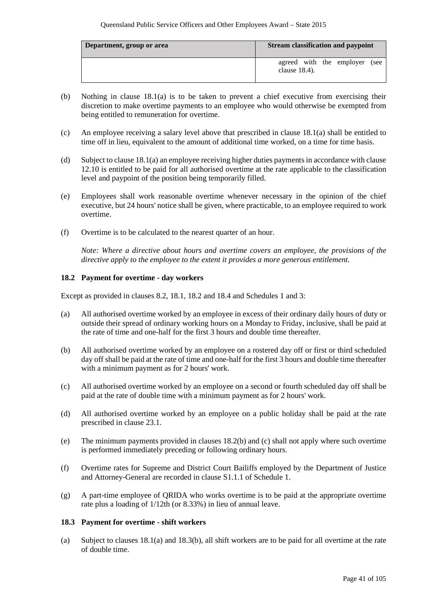| Department, group or area | <b>Stream classification and paypoint</b>         |
|---------------------------|---------------------------------------------------|
|                           | agreed with the employer (see<br>clause $18.4$ ). |

- (b) Nothing in clause 18.1(a) is to be taken to prevent a chief executive from exercising their discretion to make overtime payments to an employee who would otherwise be exempted from being entitled to remuneration for overtime.
- (c) An employee receiving a salary level above that prescribed in clause 18.1(a) shall be entitled to time off in lieu, equivalent to the amount of additional time worked, on a time for time basis.
- (d) Subject to clause 18.1(a) an employee receiving higher duties payments in accordance with clause 12.10 is entitled to be paid for all authorised overtime at the rate applicable to the classification level and paypoint of the position being temporarily filled.
- (e) Employees shall work reasonable overtime whenever necessary in the opinion of the chief executive, but 24 hours' notice shall be given, where practicable, to an employee required to work overtime.
- (f) Overtime is to be calculated to the nearest quarter of an hour.

*Note: Where a directive about hours and overtime covers an employee, the provisions of the directive apply to the employee to the extent it provides a more generous entitlement.*

### **18.2 Payment for overtime - day workers**

Except as provided in clauses 8.2, 18.1, 18.2 and 18.4 and Schedules 1 and 3:

- (a) All authorised overtime worked by an employee in excess of their ordinary daily hours of duty or outside their spread of ordinary working hours on a Monday to Friday, inclusive, shall be paid at the rate of time and one-half for the first 3 hours and double time thereafter.
- (b) All authorised overtime worked by an employee on a rostered day off or first or third scheduled day off shall be paid at the rate of time and one-half for the first 3 hours and double time thereafter with a minimum payment as for 2 hours' work.
- (c) All authorised overtime worked by an employee on a second or fourth scheduled day off shall be paid at the rate of double time with a minimum payment as for 2 hours' work.
- (d) All authorised overtime worked by an employee on a public holiday shall be paid at the rate prescribed in clause 23.1.
- (e) The minimum payments provided in clauses 18.2(b) and (c) shall not apply where such overtime is performed immediately preceding or following ordinary hours.
- (f) Overtime rates for Supreme and District Court Bailiffs employed by the Department of Justice and Attorney-General are recorded in clause S1.1.1 of Schedule 1.
- (g) A part-time employee of QRIDA who works overtime is to be paid at the appropriate overtime rate plus a loading of 1/12th (or 8.33%) in lieu of annual leave.

### **18.3 Payment for overtime - shift workers**

(a) Subject to clauses 18.1(a) and 18.3(b), all shift workers are to be paid for all overtime at the rate of double time.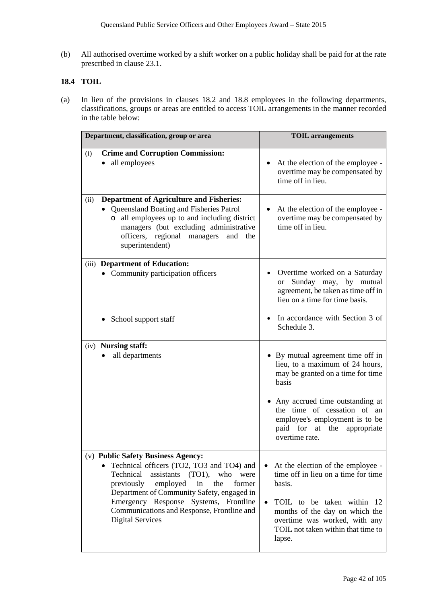(b) All authorised overtime worked by a shift worker on a public holiday shall be paid for at the rate prescribed in clause 23.1.

## **18.4 TOIL**

(a) In lieu of the provisions in clauses 18.2 and 18.8 employees in the following departments, classifications, groups or areas are entitled to access TOIL arrangements in the manner recorded in the table below:

| Department, classification, group or area                                                                                                                                                                                                                                                                                                               | <b>TOIL</b> arrangements                                                                                                                                                                                                                                                  |
|---------------------------------------------------------------------------------------------------------------------------------------------------------------------------------------------------------------------------------------------------------------------------------------------------------------------------------------------------------|---------------------------------------------------------------------------------------------------------------------------------------------------------------------------------------------------------------------------------------------------------------------------|
| <b>Crime and Corruption Commission:</b><br>(i)<br>• all employees                                                                                                                                                                                                                                                                                       | At the election of the employee -<br>overtime may be compensated by<br>time off in lieu.                                                                                                                                                                                  |
| <b>Department of Agriculture and Fisheries:</b><br>(ii)<br>Queensland Boating and Fisheries Patrol<br>all employees up to and including district<br>$\circ$<br>managers (but excluding administrative<br>officers, regional managers<br>and the<br>superintendent)                                                                                      | At the election of the employee -<br>overtime may be compensated by<br>time off in lieu.                                                                                                                                                                                  |
| (iii) Department of Education:<br>• Community participation officers                                                                                                                                                                                                                                                                                    | Overtime worked on a Saturday<br>Sunday may, by mutual<br><sub>or</sub><br>agreement, be taken as time off in<br>lieu on a time for time basis.                                                                                                                           |
| School support staff                                                                                                                                                                                                                                                                                                                                    | In accordance with Section 3 of<br>Schedule 3.                                                                                                                                                                                                                            |
| (iv) <b>Nursing staff:</b><br>all departments                                                                                                                                                                                                                                                                                                           | • By mutual agreement time off in<br>lieu, to a maximum of 24 hours,<br>may be granted on a time for time<br>basis<br>• Any accrued time outstanding at<br>the time of cessation of an<br>employee's employment is to be<br>paid for at the appropriate<br>overtime rate. |
| (v) Public Safety Business Agency:<br>Technical officers (TO2, TO3 and TO4) and<br>Technical<br>assistants<br>$(TO1)$ ,<br>who<br>were<br>previously<br>employed<br>in<br>the<br>former<br>Department of Community Safety, engaged in<br>Emergency Response Systems, Frontline<br>Communications and Response, Frontline and<br><b>Digital Services</b> | At the election of the employee -<br>time off in lieu on a time for time<br>basis.<br>TOIL to be taken within 12<br>$\bullet$<br>months of the day on which the<br>overtime was worked, with any<br>TOIL not taken within that time to<br>lapse.                          |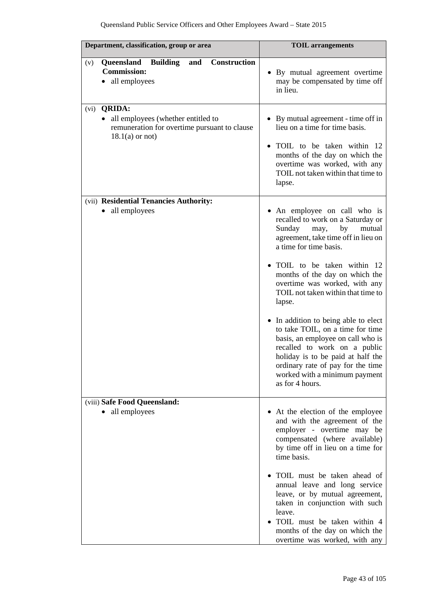| Department, classification, group or area                                                                                          | <b>TOIL</b> arrangements                                                                                                                                                                                                                                                                                                                                                                                                                                                                                                                                                                               |
|------------------------------------------------------------------------------------------------------------------------------------|--------------------------------------------------------------------------------------------------------------------------------------------------------------------------------------------------------------------------------------------------------------------------------------------------------------------------------------------------------------------------------------------------------------------------------------------------------------------------------------------------------------------------------------------------------------------------------------------------------|
| Construction<br>Queensland<br><b>Building</b><br>and<br>(v)<br><b>Commission:</b><br>all employees                                 | • By mutual agreement overtime<br>may be compensated by time off<br>in lieu.                                                                                                                                                                                                                                                                                                                                                                                                                                                                                                                           |
| <b>QRIDA:</b><br>(vi)<br>• all employees (whether entitled to<br>remuneration for overtime pursuant to clause<br>$18.1(a)$ or not) | • By mutual agreement - time off in<br>lieu on a time for time basis.<br>TOIL to be taken within 12<br>months of the day on which the<br>overtime was worked, with any<br>TOIL not taken within that time to<br>lapse.                                                                                                                                                                                                                                                                                                                                                                                 |
| (vii) Residential Tenancies Authority:<br>all employees<br>$\bullet$                                                               | • An employee on call who is<br>recalled to work on a Saturday or<br>Sunday<br>by<br>mutual<br>may,<br>agreement, take time off in lieu on<br>a time for time basis.<br>• TOIL to be taken within 12<br>months of the day on which the<br>overtime was worked, with any<br>TOIL not taken within that time to<br>lapse.<br>• In addition to being able to elect<br>to take TOIL, on a time for time<br>basis, an employee on call who is<br>recalled to work on a public<br>holiday is to be paid at half the<br>ordinary rate of pay for the time<br>worked with a minimum payment<br>as for 4 hours. |
| (viii) Safe Food Queensland:<br>all employees<br>$\bullet$                                                                         | • At the election of the employee<br>and with the agreement of the<br>employer - overtime may be<br>compensated (where available)<br>by time off in lieu on a time for<br>time basis.<br>· TOIL must be taken ahead of<br>annual leave and long service<br>leave, or by mutual agreement,<br>taken in conjunction with such<br>leave.<br>· TOIL must be taken within 4<br>months of the day on which the<br>overtime was worked, with any                                                                                                                                                              |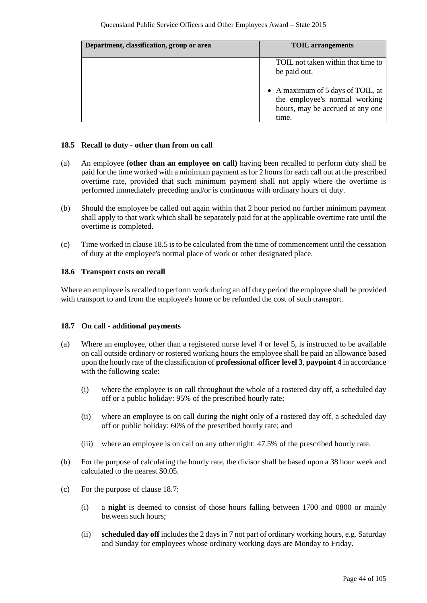| Department, classification, group or area | <b>TOIL</b> arrangements                                                                                        |
|-------------------------------------------|-----------------------------------------------------------------------------------------------------------------|
|                                           | TOIL not taken within that time to<br>be paid out.                                                              |
|                                           | • A maximum of 5 days of TOIL, at<br>the employee's normal working<br>hours, may be accrued at any one<br>time. |

### **18.5 Recall to duty - other than from on call**

- (a) An employee **(other than an employee on call)** having been recalled to perform duty shall be paid for the time worked with a minimum payment as for 2 hours for each call out at the prescribed overtime rate, provided that such minimum payment shall not apply where the overtime is performed immediately preceding and/or is continuous with ordinary hours of duty.
- (b) Should the employee be called out again within that 2 hour period no further minimum payment shall apply to that work which shall be separately paid for at the applicable overtime rate until the overtime is completed.
- (c) Time worked in clause 18.5 is to be calculated from the time of commencement until the cessation of duty at the employee's normal place of work or other designated place.

## **18.6 Transport costs on recall**

Where an employee is recalled to perform work during an off duty period the employee shall be provided with transport to and from the employee's home or be refunded the cost of such transport.

### **18.7 On call - additional payments**

- (a) Where an employee, other than a registered nurse level 4 or level 5, is instructed to be available on call outside ordinary or rostered working hours the employee shall be paid an allowance based upon the hourly rate of the classification of **professional officer level 3**, **paypoint 4** in accordance with the following scale:
	- (i) where the employee is on call throughout the whole of a rostered day off, a scheduled day off or a public holiday: 95% of the prescribed hourly rate;
	- (ii) where an employee is on call during the night only of a rostered day off, a scheduled day off or public holiday: 60% of the prescribed hourly rate; and
	- (iii) where an employee is on call on any other night: 47.5% of the prescribed hourly rate.
- (b) For the purpose of calculating the hourly rate, the divisor shall be based upon a 38 hour week and calculated to the nearest \$0.05.
- (c) For the purpose of clause 18.7:
	- (i) a **night** is deemed to consist of those hours falling between 1700 and 0800 or mainly between such hours;
	- (ii) **scheduled day off** includes the 2 days in 7 not part of ordinary working hours, e.g. Saturday and Sunday for employees whose ordinary working days are Monday to Friday.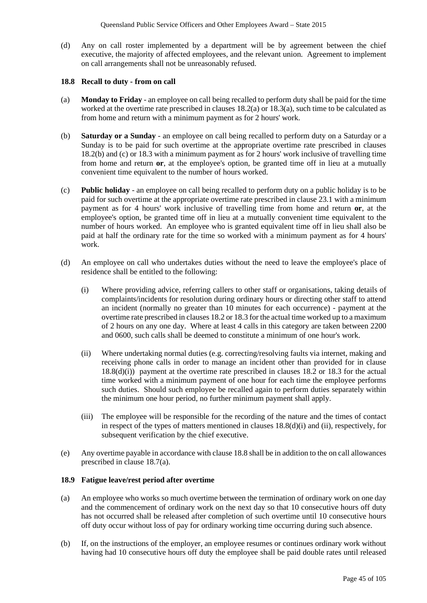(d) Any on call roster implemented by a department will be by agreement between the chief executive, the majority of affected employees, and the relevant union. Agreement to implement on call arrangements shall not be unreasonably refused.

#### **18.8 Recall to duty - from on call**

- (a) **Monday to Friday** an employee on call being recalled to perform duty shall be paid for the time worked at the overtime rate prescribed in clauses 18.2(a) or 18.3(a), such time to be calculated as from home and return with a minimum payment as for 2 hours' work.
- (b) **Saturday or a Sunday**  an employee on call being recalled to perform duty on a Saturday or a Sunday is to be paid for such overtime at the appropriate overtime rate prescribed in clauses 18.2(b) and (c) or 18.3 with a minimum payment as for 2 hours' work inclusive of travelling time from home and return **or**, at the employee's option, be granted time off in lieu at a mutually convenient time equivalent to the number of hours worked.
- (c) **Public holiday** an employee on call being recalled to perform duty on a public holiday is to be paid for such overtime at the appropriate overtime rate prescribed in clause 23.1 with a minimum payment as for 4 hours' work inclusive of travelling time from home and return **or**, at the employee's option, be granted time off in lieu at a mutually convenient time equivalent to the number of hours worked. An employee who is granted equivalent time off in lieu shall also be paid at half the ordinary rate for the time so worked with a minimum payment as for 4 hours' work.
- (d) An employee on call who undertakes duties without the need to leave the employee's place of residence shall be entitled to the following:
	- (i) Where providing advice, referring callers to other staff or organisations, taking details of complaints/incidents for resolution during ordinary hours or directing other staff to attend an incident (normally no greater than 10 minutes for each occurrence) - payment at the overtime rate prescribed in clauses 18.2 or 18.3 for the actual time worked up to a maximum of 2 hours on any one day. Where at least 4 calls in this category are taken between 2200 and 0600, such calls shall be deemed to constitute a minimum of one hour's work.
	- (ii) Where undertaking normal duties (e.g. correcting/resolving faults via internet, making and receiving phone calls in order to manage an incident other than provided for in clause 18.8(d)(i)) payment at the overtime rate prescribed in clauses 18.2 or 18.3 for the actual time worked with a minimum payment of one hour for each time the employee performs such duties. Should such employee be recalled again to perform duties separately within the minimum one hour period, no further minimum payment shall apply.
	- (iii) The employee will be responsible for the recording of the nature and the times of contact in respect of the types of matters mentioned in clauses 18.8(d)(i) and (ii), respectively, for subsequent verification by the chief executive.
- (e) Any overtime payable in accordance with clause 18.8 shall be in addition to the on call allowances prescribed in clause 18.7(a).

### **18.9 Fatigue leave/rest period after overtime**

- (a) An employee who works so much overtime between the termination of ordinary work on one day and the commencement of ordinary work on the next day so that 10 consecutive hours off duty has not occurred shall be released after completion of such overtime until 10 consecutive hours off duty occur without loss of pay for ordinary working time occurring during such absence.
- (b) If, on the instructions of the employer, an employee resumes or continues ordinary work without having had 10 consecutive hours off duty the employee shall be paid double rates until released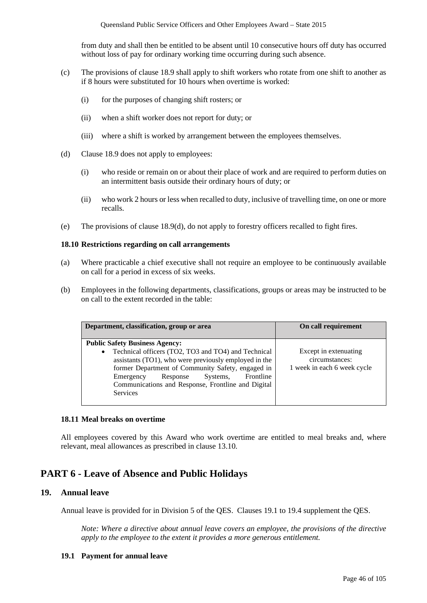from duty and shall then be entitled to be absent until 10 consecutive hours off duty has occurred without loss of pay for ordinary working time occurring during such absence.

- (c) The provisions of clause 18.9 shall apply to shift workers who rotate from one shift to another as if 8 hours were substituted for 10 hours when overtime is worked:
	- (i) for the purposes of changing shift rosters; or
	- (ii) when a shift worker does not report for duty; or
	- (iii) where a shift is worked by arrangement between the employees themselves.
- (d) Clause 18.9 does not apply to employees:
	- (i) who reside or remain on or about their place of work and are required to perform duties on an intermittent basis outside their ordinary hours of duty; or
	- (ii) who work 2 hours or less when recalled to duty, inclusive of travelling time, on one or more recalls.
- (e) The provisions of clause 18.9(d), do not apply to forestry officers recalled to fight fires.

### **18.10 Restrictions regarding on call arrangements**

- (a) Where practicable a chief executive shall not require an employee to be continuously available on call for a period in excess of six weeks.
- (b) Employees in the following departments, classifications, groups or areas may be instructed to be on call to the extent recorded in the table:

| Department, classification, group or area                                                                                                                                                                                                                                                    | On call requirement                                                    |
|----------------------------------------------------------------------------------------------------------------------------------------------------------------------------------------------------------------------------------------------------------------------------------------------|------------------------------------------------------------------------|
| <b>Public Safety Business Agency:</b>                                                                                                                                                                                                                                                        |                                                                        |
| Technical officers (TO2, TO3 and TO4) and Technical<br>assistants (TO1), who were previously employed in the<br>former Department of Community Safety, engaged in<br>Frontline<br>Systems,<br>Response<br>Emergency<br>Communications and Response, Frontline and Digital<br><b>Services</b> | Except in extenuating<br>circumstances:<br>1 week in each 6 week cycle |

### **18.11 Meal breaks on overtime**

All employees covered by this Award who work overtime are entitled to meal breaks and, where relevant, meal allowances as prescribed in clause 13.10.

# **PART 6 - Leave of Absence and Public Holidays**

## **19. Annual leave**

Annual leave is provided for in Division 5 of the QES. Clauses 19.1 to 19.4 supplement the QES.

*Note: Where a directive about annual leave covers an employee, the provisions of the directive apply to the employee to the extent it provides a more generous entitlement.*

### **19.1 Payment for annual leave**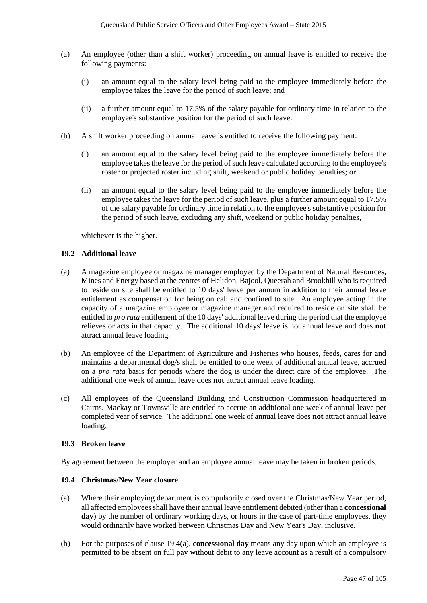- (a) An employee (other than a shift worker) proceeding on annual leave is entitled to receive the following payments:
	- (i) an amount equal to the salary level being paid to the employee immediately before the employee takes the leave for the period of such leave; and
	- (ii) a further amount equal to 17.5% of the salary payable for ordinary time in relation to the employee's substantive position for the period of such leave.
- (b) A shift worker proceeding on annual leave is entitled to receive the following payment:
	- (i) an amount equal to the salary level being paid to the employee immediately before the employee takes the leave for the period of such leave calculated according to the employee's roster or projected roster including shift, weekend or public holiday penalties; or
	- (ii) an amount equal to the salary level being paid to the employee immediately before the employee takes the leave for the period of such leave, plus a further amount equal to 17.5% of the salary payable for ordinary time in relation to the employee's substantive position for the period of such leave, excluding any shift, weekend or public holiday penalties,

whichever is the higher.

#### **19.2 Additional leave**

- (a) A magazine employee or magazine manager employed by the Department of Natural Resources, Mines and Energy based at the centres of Helidon, Bajool, Queerah and Brookhill who is required to reside on site shall be entitled to 10 days' leave per annum in addition to their annual leave entitlement as compensation for being on call and confined to site. An employee acting in the capacity of a magazine employee or magazine manager and required to reside on site shall be entitled to *pro rata* entitlement of the 10 days' additional leave during the period that the employee relieves or acts in that capacity. The additional 10 days' leave is not annual leave and does **not** attract annual leave loading.
- (b) An employee of the Department of Agriculture and Fisheries who houses, feeds, cares for and maintains a departmental dog/s shall be entitled to one week of additional annual leave, accrued on a *pro rata* basis for periods where the dog is under the direct care of the employee. The additional one week of annual leave does **not** attract annual leave loading.
- (c) All employees of the Queensland Building and Construction Commission headquartered in Cairns, Mackay or Townsville are entitled to accrue an additional one week of annual leave per completed year of service. The additional one week of annual leave does **not** attract annual leave loading.

#### **19.3 Broken leave**

By agreement between the employer and an employee annual leave may be taken in broken periods.

### **19.4 Christmas/New Year closure**

- (a) Where their employing department is compulsorily closed over the Christmas/New Year period, all affected employees shall have their annual leave entitlement debited (other than a **concessional**  day) by the number of ordinary working days, or hours in the case of part-time employees, they would ordinarily have worked between Christmas Day and New Year's Day, inclusive.
- (b) For the purposes of clause 19.4(a), **concessional day** means any day upon which an employee is permitted to be absent on full pay without debit to any leave account as a result of a compulsory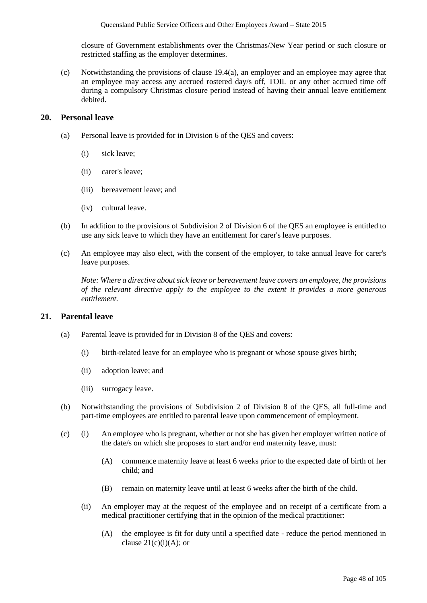closure of Government establishments over the Christmas/New Year period or such closure or restricted staffing as the employer determines.

(c) Notwithstanding the provisions of clause 19.4(a), an employer and an employee may agree that an employee may access any accrued rostered day/s off, TOIL or any other accrued time off during a compulsory Christmas closure period instead of having their annual leave entitlement debited.

## **20. Personal leave**

- (a) Personal leave is provided for in Division 6 of the QES and covers:
	- (i) sick leave;
	- (ii) carer's leave;
	- (iii) bereavement leave; and
	- (iv) cultural leave.
- (b) In addition to the provisions of Subdivision 2 of Division 6 of the QES an employee is entitled to use any sick leave to which they have an entitlement for carer's leave purposes.
- (c) An employee may also elect, with the consent of the employer, to take annual leave for carer's leave purposes.

*Note: Where a directive about sick leave or bereavement leave covers an employee, the provisions of the relevant directive apply to the employee to the extent it provides a more generous entitlement.*

## **21. Parental leave**

- (a) Parental leave is provided for in Division 8 of the QES and covers:
	- (i) birth-related leave for an employee who is pregnant or whose spouse gives birth;
	- (ii) adoption leave; and
	- (iii) surrogacy leave.
- (b) Notwithstanding the provisions of Subdivision 2 of Division 8 of the QES, all full-time and part-time employees are entitled to parental leave upon commencement of employment.
- (c) (i) An employee who is pregnant, whether or not she has given her employer written notice of the date/s on which she proposes to start and/or end maternity leave, must:
	- (A) commence maternity leave at least 6 weeks prior to the expected date of birth of her child; and
	- (B) remain on maternity leave until at least 6 weeks after the birth of the child.
	- (ii) An employer may at the request of the employee and on receipt of a certificate from a medical practitioner certifying that in the opinion of the medical practitioner:
		- (A) the employee is fit for duty until a specified date reduce the period mentioned in clause  $21(c)(i)(A)$ ; or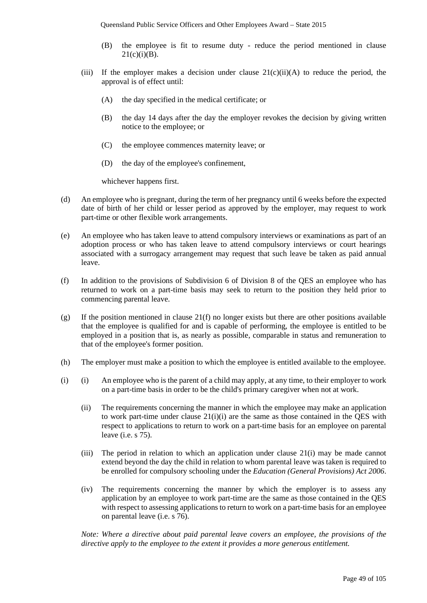- (B) the employee is fit to resume duty reduce the period mentioned in clause  $21(c)(i)(B)$ .
- (iii) If the employer makes a decision under clause  $21(c)(ii)(A)$  to reduce the period, the approval is of effect until:
	- (A) the day specified in the medical certificate; or
	- (B) the day 14 days after the day the employer revokes the decision by giving written notice to the employee; or
	- (C) the employee commences maternity leave; or
	- (D) the day of the employee's confinement,

whichever happens first.

- (d) An employee who is pregnant, during the term of her pregnancy until 6 weeks before the expected date of birth of her child or lesser period as approved by the employer, may request to work part-time or other flexible work arrangements.
- (e) An employee who has taken leave to attend compulsory interviews or examinations as part of an adoption process or who has taken leave to attend compulsory interviews or court hearings associated with a surrogacy arrangement may request that such leave be taken as paid annual leave.
- (f) In addition to the provisions of Subdivision 6 of Division 8 of the QES an employee who has returned to work on a part-time basis may seek to return to the position they held prior to commencing parental leave.
- (g) If the position mentioned in clause  $21(f)$  no longer exists but there are other positions available that the employee is qualified for and is capable of performing, the employee is entitled to be employed in a position that is, as nearly as possible, comparable in status and remuneration to that of the employee's former position.
- (h) The employer must make a position to which the employee is entitled available to the employee.
- (i) (i) An employee who is the parent of a child may apply, at any time, to their employer to work on a part-time basis in order to be the child's primary caregiver when not at work.
	- (ii) The requirements concerning the manner in which the employee may make an application to work part-time under clause 21(i)(i) are the same as those contained in the QES with respect to applications to return to work on a part-time basis for an employee on parental leave (i.e. s 75).
	- (iii) The period in relation to which an application under clause 21(i) may be made cannot extend beyond the day the child in relation to whom parental leave was taken is required to be enrolled for compulsory schooling under the *Education (General Provisions) Act 2006*.
	- (iv) The requirements concerning the manner by which the employer is to assess any application by an employee to work part-time are the same as those contained in the QES with respect to assessing applications to return to work on a part-time basis for an employee on parental leave (i.e. s 76).

*Note: Where a directive about paid parental leave covers an employee, the provisions of the directive apply to the employee to the extent it provides a more generous entitlement.*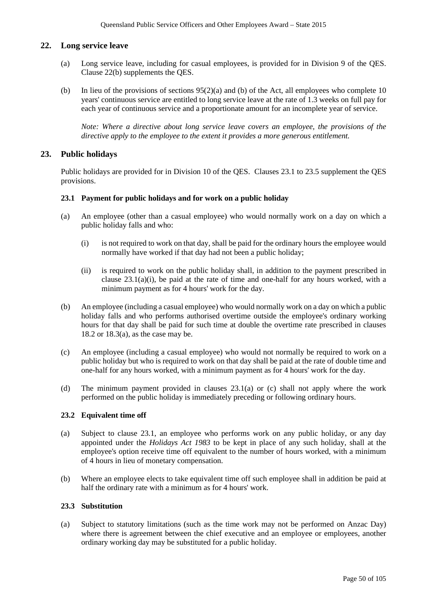## **22. Long service leave**

- (a) Long service leave, including for casual employees, is provided for in Division 9 of the QES. Clause 22(b) supplements the QES.
- (b) In lieu of the provisions of sections  $95(2)(a)$  and (b) of the Act, all employees who complete 10 years' continuous service are entitled to long service leave at the rate of 1.3 weeks on full pay for each year of continuous service and a proportionate amount for an incomplete year of service.

*Note: Where a directive about long service leave covers an employee, the provisions of the directive apply to the employee to the extent it provides a more generous entitlement.* 

## **23. Public holidays**

Public holidays are provided for in Division 10 of the QES. Clauses 23.1 to 23.5 supplement the QES provisions.

#### **23.1 Payment for public holidays and for work on a public holiday**

- (a) An employee (other than a casual employee) who would normally work on a day on which a public holiday falls and who:
	- (i) is not required to work on that day, shall be paid for the ordinary hours the employee would normally have worked if that day had not been a public holiday;
	- (ii) is required to work on the public holiday shall, in addition to the payment prescribed in clause 23.1(a)(i), be paid at the rate of time and one-half for any hours worked, with a minimum payment as for 4 hours' work for the day.
- (b) An employee (including a casual employee) who would normally work on a day on which a public holiday falls and who performs authorised overtime outside the employee's ordinary working hours for that day shall be paid for such time at double the overtime rate prescribed in clauses 18.2 or 18.3(a), as the case may be.
- (c) An employee (including a casual employee) who would not normally be required to work on a public holiday but who is required to work on that day shall be paid at the rate of double time and one-half for any hours worked, with a minimum payment as for 4 hours' work for the day.
- (d) The minimum payment provided in clauses 23.1(a) or (c) shall not apply where the work performed on the public holiday is immediately preceding or following ordinary hours.

### **23.2 Equivalent time off**

- (a) Subject to clause 23.1, an employee who performs work on any public holiday, or any day appointed under the *Holidays Act 1983* to be kept in place of any such holiday, shall at the employee's option receive time off equivalent to the number of hours worked, with a minimum of 4 hours in lieu of monetary compensation.
- (b) Where an employee elects to take equivalent time off such employee shall in addition be paid at half the ordinary rate with a minimum as for 4 hours' work.

#### **23.3 Substitution**

(a) Subject to statutory limitations (such as the time work may not be performed on Anzac Day) where there is agreement between the chief executive and an employee or employees, another ordinary working day may be substituted for a public holiday.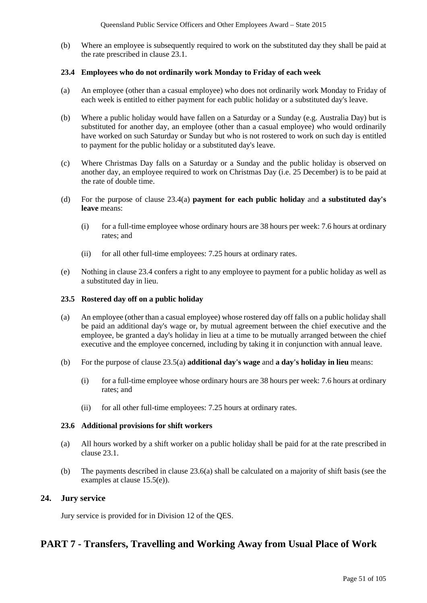(b) Where an employee is subsequently required to work on the substituted day they shall be paid at the rate prescribed in clause 23.1.

### **23.4 Employees who do not ordinarily work Monday to Friday of each week**

- (a) An employee (other than a casual employee) who does not ordinarily work Monday to Friday of each week is entitled to either payment for each public holiday or a substituted day's leave.
- (b) Where a public holiday would have fallen on a Saturday or a Sunday (e.g. Australia Day) but is substituted for another day, an employee (other than a casual employee) who would ordinarily have worked on such Saturday or Sunday but who is not rostered to work on such day is entitled to payment for the public holiday or a substituted day's leave.
- (c) Where Christmas Day falls on a Saturday or a Sunday and the public holiday is observed on another day, an employee required to work on Christmas Day (i.e. 25 December) is to be paid at the rate of double time.
- (d) For the purpose of clause 23.4(a) **payment for each public holiday** and **a substituted day's leave** means:
	- (i) for a full-time employee whose ordinary hours are 38 hours per week: 7.6 hours at ordinary rates; and
	- (ii) for all other full-time employees: 7.25 hours at ordinary rates.
- (e) Nothing in clause 23.4 confers a right to any employee to payment for a public holiday as well as a substituted day in lieu.

### **23.5 Rostered day off on a public holiday**

- (a) An employee (other than a casual employee) whose rostered day off falls on a public holiday shall be paid an additional day's wage or, by mutual agreement between the chief executive and the employee, be granted a day's holiday in lieu at a time to be mutually arranged between the chief executive and the employee concerned, including by taking it in conjunction with annual leave.
- (b) For the purpose of clause 23.5(a) **additional day's wage** and **a day's holiday in lieu** means:
	- (i) for a full-time employee whose ordinary hours are 38 hours per week: 7.6 hours at ordinary rates; and
	- (ii) for all other full-time employees: 7.25 hours at ordinary rates.

### **23.6 Additional provisions for shift workers**

- (a) All hours worked by a shift worker on a public holiday shall be paid for at the rate prescribed in clause 23.1.
- (b) The payments described in clause 23.6(a) shall be calculated on a majority of shift basis (see the examples at clause 15.5(e)).

## **24. Jury service**

Jury service is provided for in Division 12 of the QES.

# **PART 7 - Transfers, Travelling and Working Away from Usual Place of Work**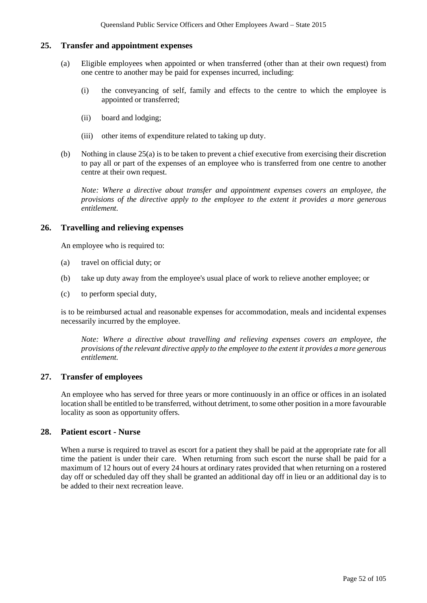## **25. Transfer and appointment expenses**

- (a) Eligible employees when appointed or when transferred (other than at their own request) from one centre to another may be paid for expenses incurred, including:
	- (i) the conveyancing of self, family and effects to the centre to which the employee is appointed or transferred;
	- (ii) board and lodging;
	- (iii) other items of expenditure related to taking up duty.
- (b) Nothing in clause 25(a) is to be taken to prevent a chief executive from exercising their discretion to pay all or part of the expenses of an employee who is transferred from one centre to another centre at their own request.

*Note: Where a directive about transfer and appointment expenses covers an employee, the provisions of the directive apply to the employee to the extent it provides a more generous entitlement.* 

### **26. Travelling and relieving expenses**

An employee who is required to:

- (a) travel on official duty; or
- (b) take up duty away from the employee's usual place of work to relieve another employee; or
- (c) to perform special duty,

is to be reimbursed actual and reasonable expenses for accommodation, meals and incidental expenses necessarily incurred by the employee.

*Note: Where a directive about travelling and relieving expenses covers an employee, the provisions of the relevant directive apply to the employee to the extent it provides a more generous entitlement.*

## **27. Transfer of employees**

An employee who has served for three years or more continuously in an office or offices in an isolated location shall be entitled to be transferred, without detriment, to some other position in a more favourable locality as soon as opportunity offers.

### **28. Patient escort - Nurse**

When a nurse is required to travel as escort for a patient they shall be paid at the appropriate rate for all time the patient is under their care. When returning from such escort the nurse shall be paid for a maximum of 12 hours out of every 24 hours at ordinary rates provided that when returning on a rostered day off or scheduled day off they shall be granted an additional day off in lieu or an additional day is to be added to their next recreation leave.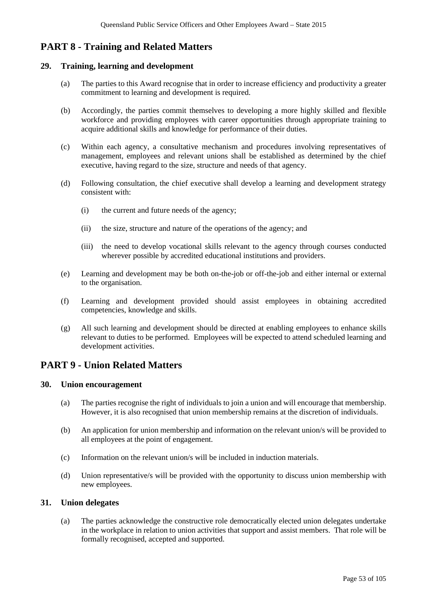# **PART 8 - Training and Related Matters**

### **29. Training, learning and development**

- (a) The parties to this Award recognise that in order to increase efficiency and productivity a greater commitment to learning and development is required.
- (b) Accordingly, the parties commit themselves to developing a more highly skilled and flexible workforce and providing employees with career opportunities through appropriate training to acquire additional skills and knowledge for performance of their duties.
- (c) Within each agency, a consultative mechanism and procedures involving representatives of management, employees and relevant unions shall be established as determined by the chief executive, having regard to the size, structure and needs of that agency.
- (d) Following consultation, the chief executive shall develop a learning and development strategy consistent with:
	- (i) the current and future needs of the agency;
	- (ii) the size, structure and nature of the operations of the agency; and
	- (iii) the need to develop vocational skills relevant to the agency through courses conducted wherever possible by accredited educational institutions and providers.
- (e) Learning and development may be both on-the-job or off-the-job and either internal or external to the organisation.
- (f) Learning and development provided should assist employees in obtaining accredited competencies, knowledge and skills.
- (g) All such learning and development should be directed at enabling employees to enhance skills relevant to duties to be performed. Employees will be expected to attend scheduled learning and development activities.

## **PART 9 - Union Related Matters**

#### **30. Union encouragement**

- (a) The parties recognise the right of individuals to join a union and will encourage that membership. However, it is also recognised that union membership remains at the discretion of individuals.
- (b) An application for union membership and information on the relevant union/s will be provided to all employees at the point of engagement.
- (c) Information on the relevant union/s will be included in induction materials.
- (d) Union representative/s will be provided with the opportunity to discuss union membership with new employees.

### **31. Union delegates**

(a) The parties acknowledge the constructive role democratically elected union delegates undertake in the workplace in relation to union activities that support and assist members. That role will be formally recognised, accepted and supported.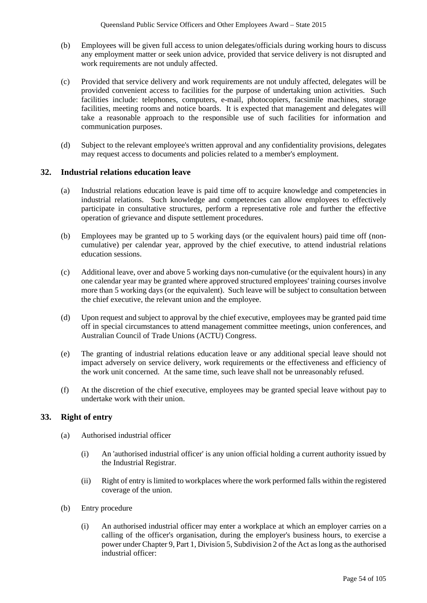- (b) Employees will be given full access to union delegates/officials during working hours to discuss any employment matter or seek union advice, provided that service delivery is not disrupted and work requirements are not unduly affected.
- (c) Provided that service delivery and work requirements are not unduly affected, delegates will be provided convenient access to facilities for the purpose of undertaking union activities. Such facilities include: telephones, computers, e-mail, photocopiers, facsimile machines, storage facilities, meeting rooms and notice boards. It is expected that management and delegates will take a reasonable approach to the responsible use of such facilities for information and communication purposes.
- (d) Subject to the relevant employee's written approval and any confidentiality provisions, delegates may request access to documents and policies related to a member's employment.

## **32. Industrial relations education leave**

- (a) Industrial relations education leave is paid time off to acquire knowledge and competencies in industrial relations. Such knowledge and competencies can allow employees to effectively participate in consultative structures, perform a representative role and further the effective operation of grievance and dispute settlement procedures.
- (b) Employees may be granted up to 5 working days (or the equivalent hours) paid time off (noncumulative) per calendar year, approved by the chief executive, to attend industrial relations education sessions.
- (c) Additional leave, over and above 5 working days non-cumulative (or the equivalent hours) in any one calendar year may be granted where approved structured employees' training courses involve more than 5 working days (or the equivalent). Such leave will be subject to consultation between the chief executive, the relevant union and the employee.
- (d) Upon request and subject to approval by the chief executive, employees may be granted paid time off in special circumstances to attend management committee meetings, union conferences, and Australian Council of Trade Unions (ACTU) Congress.
- (e) The granting of industrial relations education leave or any additional special leave should not impact adversely on service delivery, work requirements or the effectiveness and efficiency of the work unit concerned. At the same time, such leave shall not be unreasonably refused.
- (f) At the discretion of the chief executive, employees may be granted special leave without pay to undertake work with their union.

## **33. Right of entry**

- (a) Authorised industrial officer
	- (i) An 'authorised industrial officer' is any union official holding a current authority issued by the Industrial Registrar.
	- (ii) Right of entry is limited to workplaces where the work performed falls within the registered coverage of the union.
- (b) Entry procedure
	- (i) An authorised industrial officer may enter a workplace at which an employer carries on a calling of the officer's organisation, during the employer's business hours, to exercise a power under Chapter 9, Part 1, Division 5, Subdivision 2 of the Act as long as the authorised industrial officer: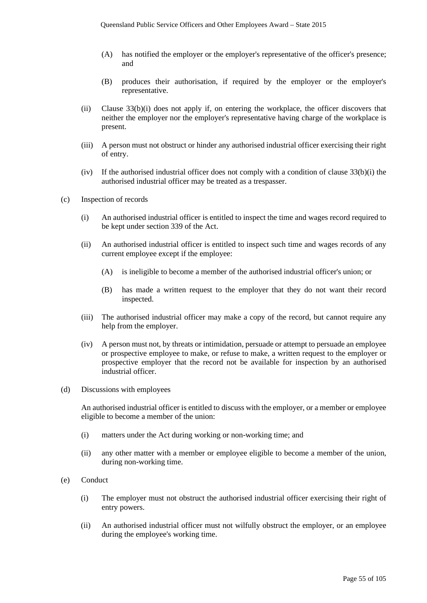- (A) has notified the employer or the employer's representative of the officer's presence; and
- (B) produces their authorisation, if required by the employer or the employer's representative.
- (ii) Clause 33(b)(i) does not apply if, on entering the workplace, the officer discovers that neither the employer nor the employer's representative having charge of the workplace is present.
- (iii) A person must not obstruct or hinder any authorised industrial officer exercising their right of entry.
- (iv) If the authorised industrial officer does not comply with a condition of clause 33(b)(i) the authorised industrial officer may be treated as a trespasser.
- (c) Inspection of records
	- (i) An authorised industrial officer is entitled to inspect the time and wages record required to be kept under section 339 of the Act.
	- (ii) An authorised industrial officer is entitled to inspect such time and wages records of any current employee except if the employee:
		- (A) is ineligible to become a member of the authorised industrial officer's union; or
		- (B) has made a written request to the employer that they do not want their record inspected.
	- (iii) The authorised industrial officer may make a copy of the record, but cannot require any help from the employer.
	- (iv) A person must not, by threats or intimidation, persuade or attempt to persuade an employee or prospective employee to make, or refuse to make, a written request to the employer or prospective employer that the record not be available for inspection by an authorised industrial officer.
- (d) Discussions with employees

An authorised industrial officer is entitled to discuss with the employer, or a member or employee eligible to become a member of the union:

- (i) matters under the Act during working or non-working time; and
- (ii) any other matter with a member or employee eligible to become a member of the union, during non-working time.
- (e) Conduct
	- (i) The employer must not obstruct the authorised industrial officer exercising their right of entry powers.
	- (ii) An authorised industrial officer must not wilfully obstruct the employer, or an employee during the employee's working time.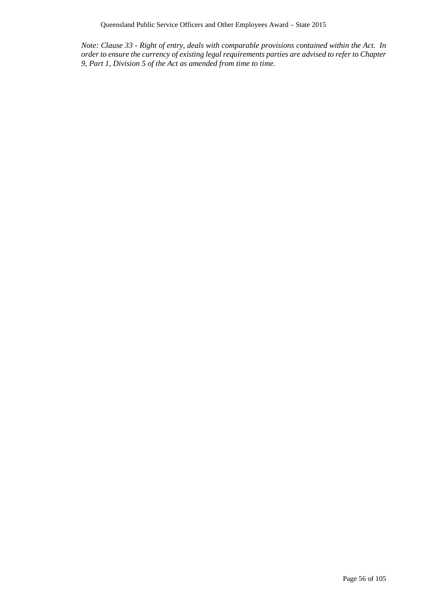*Note: Clause 33 - Right of entry, deals with comparable provisions contained within the Act. In order to ensure the currency of existing legal requirements parties are advised to refer to Chapter 9, Part 1, Division 5 of the Act as amended from time to time.*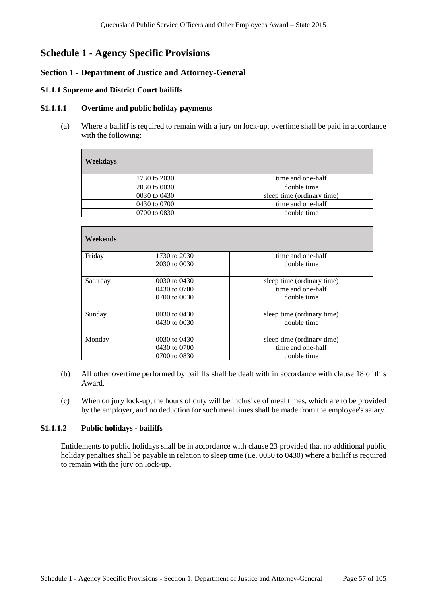# **Schedule 1 - Agency Specific Provisions**

## **Section 1 - Department of Justice and Attorney-General**

#### **S1.1.1 Supreme and District Court bailiffs**

#### **S1.1.1.1 Overtime and public holiday payments**

(a) Where a bailiff is required to remain with a jury on lock-up, overtime shall be paid in accordance with the following:

| <b>Weekdays</b> |                            |
|-----------------|----------------------------|
| 1730 to 2030    | time and one-half          |
| 2030 to 0030    | double time                |
| 0030 to 0430    | sleep time (ordinary time) |
| 0430 to 0700    | time and one-half          |
| 0700 to 0830    | double time                |
|                 |                            |

| Weekends |                  |                            |
|----------|------------------|----------------------------|
| Friday   | 1730 to 2030     | time and one-half          |
|          | 2030 to 0030     | double time                |
| Saturday | 0030 to 0430     | sleep time (ordinary time) |
|          | 0430 to 0700     | time and one-half          |
|          | 0700 to 0030     | double time                |
| Sunday   | 0030 to 0430     | sleep time (ordinary time) |
|          | $0430$ to $0030$ | double time                |
| Monday   | 0030 to 0430     | sleep time (ordinary time) |
|          | 0430 to 0700     | time and one-half          |
|          | 0700 to 0830     | double time                |

- (b) All other overtime performed by bailiffs shall be dealt with in accordance with clause 18 of this Award.
- (c) When on jury lock-up, the hours of duty will be inclusive of meal times, which are to be provided by the employer, and no deduction for such meal times shall be made from the employee's salary.

### **S1.1.1.2 Public holidays - bailiffs**

Entitlements to public holidays shall be in accordance with clause 23 provided that no additional public holiday penalties shall be payable in relation to sleep time (i.e. 0030 to 0430) where a bailiff is required to remain with the jury on lock-up.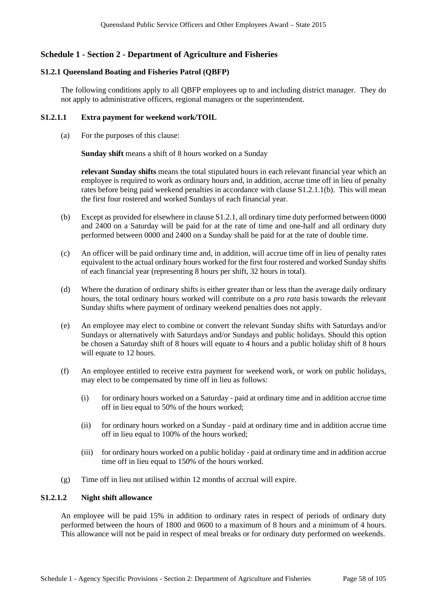## **Schedule 1 - Section 2 - Department of Agriculture and Fisheries**

### **S1.2.1 Queensland Boating and Fisheries Patrol (QBFP)**

The following conditions apply to all QBFP employees up to and including district manager. They do not apply to administrative officers, regional managers or the superintendent.

### **S1.2.1.1 Extra payment for weekend work/TOIL**

(a) For the purposes of this clause:

**Sunday shift** means a shift of 8 hours worked on a Sunday

**relevant Sunday shifts** means the total stipulated hours in each relevant financial year which an employee is required to work as ordinary hours and, in addition, accrue time off in lieu of penalty rates before being paid weekend penalties in accordance with clause S1.2.1.1(b). This will mean the first four rostered and worked Sundays of each financial year.

- (b) Except as provided for elsewhere in clause S1.2.1, all ordinary time duty performed between 0000 and 2400 on a Saturday will be paid for at the rate of time and one-half and all ordinary duty performed between 0000 and 2400 on a Sunday shall be paid for at the rate of double time.
- (c) An officer will be paid ordinary time and, in addition, will accrue time off in lieu of penalty rates equivalent to the actual ordinary hours worked for the first four rostered and worked Sunday shifts of each financial year (representing 8 hours per shift, 32 hours in total).
- (d) Where the duration of ordinary shifts is either greater than or less than the average daily ordinary hours, the total ordinary hours worked will contribute on a *pro rata* basis towards the relevant Sunday shifts where payment of ordinary weekend penalties does not apply.
- (e) An employee may elect to combine or convert the relevant Sunday shifts with Saturdays and/or Sundays or alternatively with Saturdays and/or Sundays and public holidays. Should this option be chosen a Saturday shift of 8 hours will equate to 4 hours and a public holiday shift of 8 hours will equate to 12 hours.
- (f) An employee entitled to receive extra payment for weekend work, or work on public holidays, may elect to be compensated by time off in lieu as follows:
	- (i) for ordinary hours worked on a Saturday paid at ordinary time and in addition accrue time off in lieu equal to 50% of the hours worked;
	- (ii) for ordinary hours worked on a Sunday paid at ordinary time and in addition accrue time off in lieu equal to 100% of the hours worked;
	- (iii) for ordinary hours worked on a public holiday paid at ordinary time and in addition accrue time off in lieu equal to 150% of the hours worked.
- (g) Time off in lieu not utilised within 12 months of accrual will expire.

### **S1.2.1.2 Night shift allowance**

An employee will be paid 15% in addition to ordinary rates in respect of periods of ordinary duty performed between the hours of 1800 and 0600 to a maximum of 8 hours and a minimum of 4 hours. This allowance will not be paid in respect of meal breaks or for ordinary duty performed on weekends.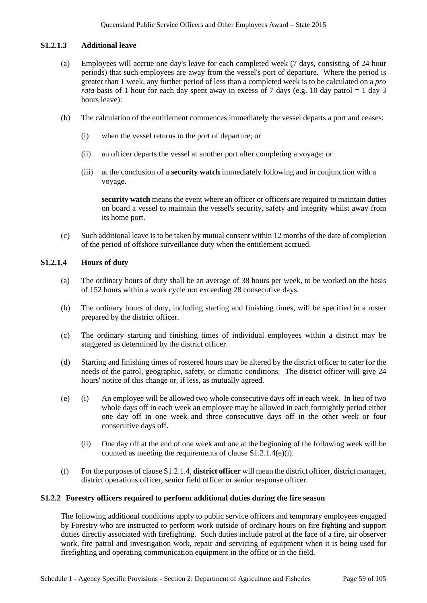### **S1.2.1.3 Additional leave**

- (a) Employees will accrue one day's leave for each completed week (7 days, consisting of 24 hour periods) that such employees are away from the vessel's port of departure. Where the period is greater than 1 week, any further period of less than a completed week is to be calculated on a *pro rata* basis of 1 hour for each day spent away in excess of 7 days (e.g. 10 day patrol  $= 1$  day 3 hours leave):
- (b) The calculation of the entitlement commences immediately the vessel departs a port and ceases:
	- (i) when the vessel returns to the port of departure; or
	- (ii) an officer departs the vessel at another port after completing a voyage; or
	- (iii) at the conclusion of a **security watch** immediately following and in conjunction with a voyage.

**security watch** means the event where an officer or officers are required to maintain duties on board a vessel to maintain the vessel's security, safety and integrity whilst away from its home port.

(c) Such additional leave is to be taken by mutual consent within 12 months of the date of completion of the period of offshore surveillance duty when the entitlement accrued.

## **S1.2.1.4 Hours of duty**

- (a) The ordinary hours of duty shall be an average of 38 hours per week, to be worked on the basis of 152 hours within a work cycle not exceeding 28 consecutive days.
- (b) The ordinary hours of duty, including starting and finishing times, will be specified in a roster prepared by the district officer.
- (c) The ordinary starting and finishing times of individual employees within a district may be staggered as determined by the district officer.
- (d) Starting and finishing times of rostered hours may be altered by the district officer to cater for the needs of the patrol, geographic, safety, or climatic conditions. The district officer will give 24 hours' notice of this change or, if less, as mutually agreed.
- (e) (i) An employee will be allowed two whole consecutive days off in each week. In lieu of two whole days off in each week an employee may be allowed in each fortnightly period either one day off in one week and three consecutive days off in the other week or four consecutive days off.
	- (ii) One day off at the end of one week and one at the beginning of the following week will be counted as meeting the requirements of clause S1.2.1.4(e)(i).
- (f) For the purposes of clause S1.2.1.4, **district officer** will mean the district officer, district manager, district operations officer, senior field officer or senior response officer.

## **S1.2.2 Forestry officers required to perform additional duties during the fire season**

The following additional conditions apply to public service officers and temporary employees engaged by Forestry who are instructed to perform work outside of ordinary hours on fire fighting and support duties directly associated with firefighting. Such duties include patrol at the face of a fire, air observer work, fire patrol and investigation work, repair and servicing of equipment when it is being used for firefighting and operating communication equipment in the office or in the field.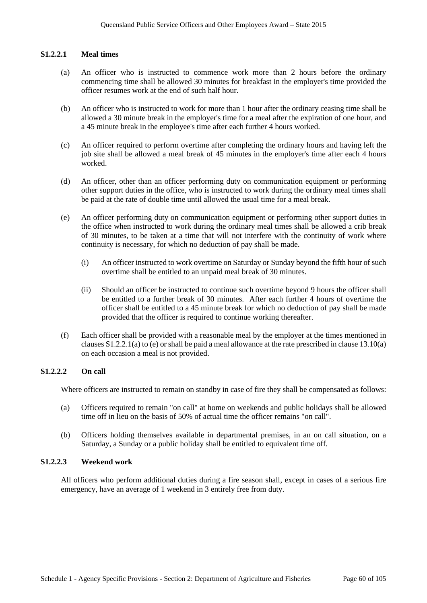#### **S1.2.2.1 Meal times**

- (a) An officer who is instructed to commence work more than 2 hours before the ordinary commencing time shall be allowed 30 minutes for breakfast in the employer's time provided the officer resumes work at the end of such half hour.
- (b) An officer who is instructed to work for more than 1 hour after the ordinary ceasing time shall be allowed a 30 minute break in the employer's time for a meal after the expiration of one hour, and a 45 minute break in the employee's time after each further 4 hours worked.
- (c) An officer required to perform overtime after completing the ordinary hours and having left the job site shall be allowed a meal break of 45 minutes in the employer's time after each 4 hours worked.
- (d) An officer, other than an officer performing duty on communication equipment or performing other support duties in the office, who is instructed to work during the ordinary meal times shall be paid at the rate of double time until allowed the usual time for a meal break.
- (e) An officer performing duty on communication equipment or performing other support duties in the office when instructed to work during the ordinary meal times shall be allowed a crib break of 30 minutes, to be taken at a time that will not interfere with the continuity of work where continuity is necessary, for which no deduction of pay shall be made.
	- (i) An officer instructed to work overtime on Saturday or Sunday beyond the fifth hour of such overtime shall be entitled to an unpaid meal break of 30 minutes.
	- (ii) Should an officer be instructed to continue such overtime beyond 9 hours the officer shall be entitled to a further break of 30 minutes. After each further 4 hours of overtime the officer shall be entitled to a 45 minute break for which no deduction of pay shall be made provided that the officer is required to continue working thereafter.
- (f) Each officer shall be provided with a reasonable meal by the employer at the times mentioned in clauses S1.2.2.1(a) to (e) orshall be paid a meal allowance at the rate prescribed in clause 13.10(a) on each occasion a meal is not provided.

## **S1.2.2.2 On call**

Where officers are instructed to remain on standby in case of fire they shall be compensated as follows:

- (a) Officers required to remain "on call" at home on weekends and public holidays shall be allowed time off in lieu on the basis of 50% of actual time the officer remains "on call".
- (b) Officers holding themselves available in departmental premises, in an on call situation, on a Saturday, a Sunday or a public holiday shall be entitled to equivalent time off.

#### **S1.2.2.3 Weekend work**

All officers who perform additional duties during a fire season shall, except in cases of a serious fire emergency, have an average of 1 weekend in 3 entirely free from duty.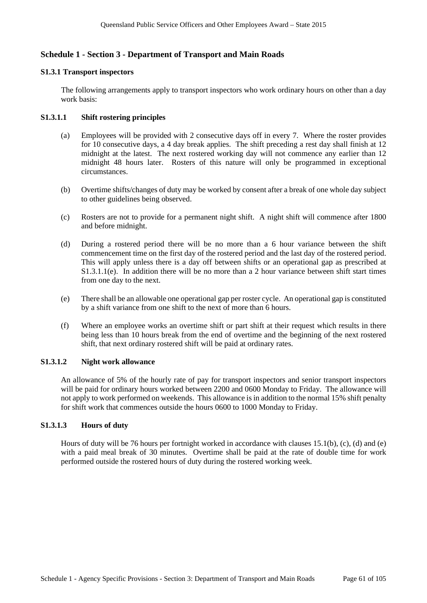## **Schedule 1 - Section 3 - Department of Transport and Main Roads**

#### **S1.3.1 Transport inspectors**

The following arrangements apply to transport inspectors who work ordinary hours on other than a day work basis:

### **S1.3.1.1 Shift rostering principles**

- (a) Employees will be provided with 2 consecutive days off in every 7. Where the roster provides for 10 consecutive days, a 4 day break applies. The shift preceding a rest day shall finish at 12 midnight at the latest. The next rostered working day will not commence any earlier than 12 midnight 48 hours later. Rosters of this nature will only be programmed in exceptional circumstances.
- (b) Overtime shifts/changes of duty may be worked by consent after a break of one whole day subject to other guidelines being observed.
- (c) Rosters are not to provide for a permanent night shift. A night shift will commence after 1800 and before midnight.
- (d) During a rostered period there will be no more than a 6 hour variance between the shift commencement time on the first day of the rostered period and the last day of the rostered period. This will apply unless there is a day off between shifts or an operational gap as prescribed at S1.3.1.1(e). In addition there will be no more than a 2 hour variance between shift start times from one day to the next.
- (e) There shall be an allowable one operational gap per roster cycle. An operational gap is constituted by a shift variance from one shift to the next of more than 6 hours.
- (f) Where an employee works an overtime shift or part shift at their request which results in there being less than 10 hours break from the end of overtime and the beginning of the next rostered shift, that next ordinary rostered shift will be paid at ordinary rates.

### **S1.3.1.2 Night work allowance**

An allowance of 5% of the hourly rate of pay for transport inspectors and senior transport inspectors will be paid for ordinary hours worked between 2200 and 0600 Monday to Friday. The allowance will not apply to work performed on weekends. This allowance is in addition to the normal 15% shift penalty for shift work that commences outside the hours 0600 to 1000 Monday to Friday.

## **S1.3.1.3 Hours of duty**

Hours of duty will be 76 hours per fortnight worked in accordance with clauses 15.1(b), (c), (d) and (e) with a paid meal break of 30 minutes. Overtime shall be paid at the rate of double time for work performed outside the rostered hours of duty during the rostered working week.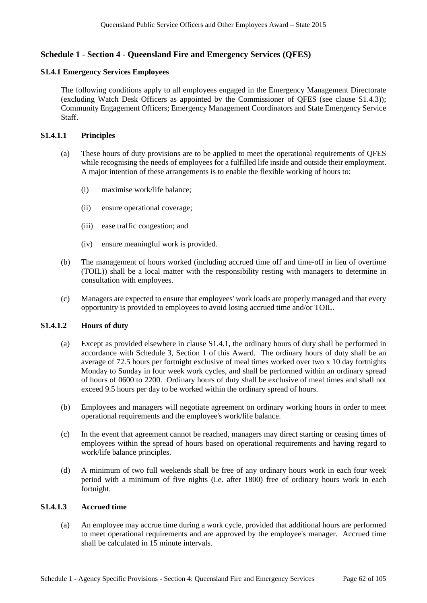## **Schedule 1 - Section 4 - Queensland Fire and Emergency Services (QFES)**

#### **S1.4.1 Emergency Services Employees**

The following conditions apply to all employees engaged in the Emergency Management Directorate (excluding Watch Desk Officers as appointed by the Commissioner of QFES (see clause S1.4.3)); Community Engagement Officers; Emergency Management Coordinators and State Emergency Service Staff.

#### **S1.4.1.1 Principles**

- (a) These hours of duty provisions are to be applied to meet the operational requirements of QFES while recognising the needs of employees for a fulfilled life inside and outside their employment. A major intention of these arrangements is to enable the flexible working of hours to:
	- (i) maximise work/life balance;
	- (ii) ensure operational coverage;
	- (iii) ease traffic congestion; and
	- (iv) ensure meaningful work is provided.
- (b) The management of hours worked (including accrued time off and time-off in lieu of overtime (TOIL)) shall be a local matter with the responsibility resting with managers to determine in consultation with employees.
- (c) Managers are expected to ensure that employees' work loads are properly managed and that every opportunity is provided to employees to avoid losing accrued time and/or TOIL.

## **S1.4.1.2 Hours of duty**

- (a) Except as provided elsewhere in clause S1.4.1, the ordinary hours of duty shall be performed in accordance with Schedule 3, Section 1 of this Award. The ordinary hours of duty shall be an average of 72.5 hours per fortnight exclusive of meal times worked over two x 10 day fortnights Monday to Sunday in four week work cycles, and shall be performed within an ordinary spread of hours of 0600 to 2200. Ordinary hours of duty shall be exclusive of meal times and shall not exceed 9.5 hours per day to be worked within the ordinary spread of hours.
- (b) Employees and managers will negotiate agreement on ordinary working hours in order to meet operational requirements and the employee's work/life balance.
- (c) In the event that agreement cannot be reached, managers may direct starting or ceasing times of employees within the spread of hours based on operational requirements and having regard to work/life balance principles.
- (d) A minimum of two full weekends shall be free of any ordinary hours work in each four week period with a minimum of five nights (i.e. after 1800) free of ordinary hours work in each fortnight.

#### **S1.4.1.3 Accrued time**

(a) An employee may accrue time during a work cycle, provided that additional hours are performed to meet operational requirements and are approved by the employee's manager. Accrued time shall be calculated in 15 minute intervals.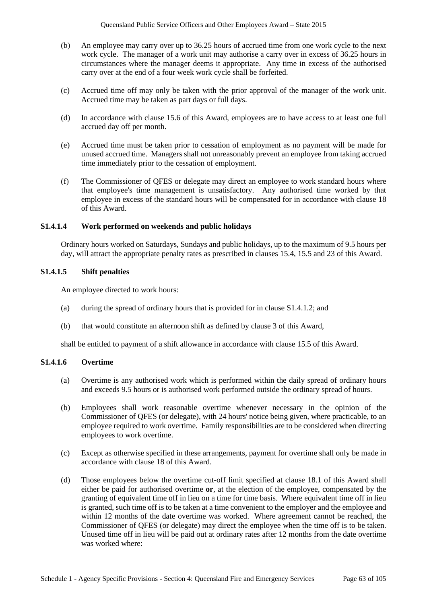- (b) An employee may carry over up to 36.25 hours of accrued time from one work cycle to the next work cycle. The manager of a work unit may authorise a carry over in excess of 36.25 hours in circumstances where the manager deems it appropriate. Any time in excess of the authorised carry over at the end of a four week work cycle shall be forfeited.
- (c) Accrued time off may only be taken with the prior approval of the manager of the work unit. Accrued time may be taken as part days or full days.
- (d) In accordance with clause 15.6 of this Award, employees are to have access to at least one full accrued day off per month.
- (e) Accrued time must be taken prior to cessation of employment as no payment will be made for unused accrued time. Managers shall not unreasonably prevent an employee from taking accrued time immediately prior to the cessation of employment.
- (f) The Commissioner of QFES or delegate may direct an employee to work standard hours where that employee's time management is unsatisfactory. Any authorised time worked by that employee in excess of the standard hours will be compensated for in accordance with clause 18 of this Award.

#### **S1.4.1.4 Work performed on weekends and public holidays**

Ordinary hours worked on Saturdays, Sundays and public holidays, up to the maximum of 9.5 hours per day, will attract the appropriate penalty rates as prescribed in clauses 15.4, 15.5 and 23 of this Award.

#### **S1.4.1.5 Shift penalties**

An employee directed to work hours:

- (a) during the spread of ordinary hours that is provided for in clause S1.4.1.2; and
- (b) that would constitute an afternoon shift as defined by clause 3 of this Award,

shall be entitled to payment of a shift allowance in accordance with clause 15.5 of this Award.

#### **S1.4.1.6 Overtime**

- (a) Overtime is any authorised work which is performed within the daily spread of ordinary hours and exceeds 9.5 hours or is authorised work performed outside the ordinary spread of hours.
- (b) Employees shall work reasonable overtime whenever necessary in the opinion of the Commissioner of QFES (or delegate), with 24 hours' notice being given, where practicable, to an employee required to work overtime. Family responsibilities are to be considered when directing employees to work overtime.
- (c) Except as otherwise specified in these arrangements, payment for overtime shall only be made in accordance with clause 18 of this Award.
- (d) Those employees below the overtime cut-off limit specified at clause 18.1 of this Award shall either be paid for authorised overtime **or**, at the election of the employee, compensated by the granting of equivalent time off in lieu on a time for time basis. Where equivalent time off in lieu is granted, such time off is to be taken at a time convenient to the employer and the employee and within 12 months of the date overtime was worked. Where agreement cannot be reached, the Commissioner of QFES (or delegate) may direct the employee when the time off is to be taken. Unused time off in lieu will be paid out at ordinary rates after 12 months from the date overtime was worked where: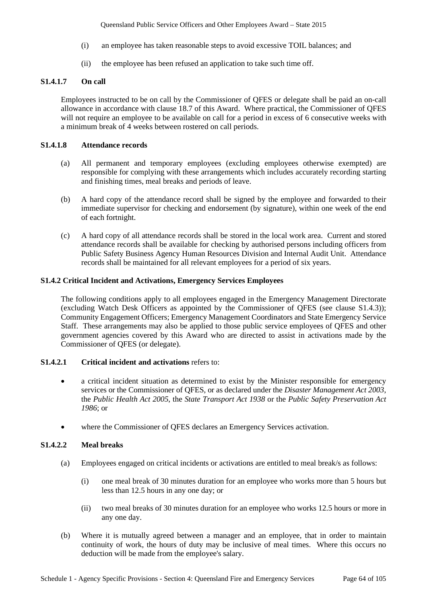Queensland Public Service Officers and Other Employees Award – State 2015

- (i) an employee has taken reasonable steps to avoid excessive TOIL balances; and
- (ii) the employee has been refused an application to take such time off.

### **S1.4.1.7 On call**

Employees instructed to be on call by the Commissioner of QFES or delegate shall be paid an on-call allowance in accordance with clause 18.7 of this Award. Where practical, the Commissioner of QFES will not require an employee to be available on call for a period in excess of 6 consecutive weeks with a minimum break of 4 weeks between rostered on call periods.

### **S1.4.1.8 Attendance records**

- (a) All permanent and temporary employees (excluding employees otherwise exempted) are responsible for complying with these arrangements which includes accurately recording starting and finishing times, meal breaks and periods of leave.
- (b) A hard copy of the attendance record shall be signed by the employee and forwarded to their immediate supervisor for checking and endorsement (by signature), within one week of the end of each fortnight.
- (c) A hard copy of all attendance records shall be stored in the local work area. Current and stored attendance records shall be available for checking by authorised persons including officers from Public Safety Business Agency Human Resources Division and Internal Audit Unit. Attendance records shall be maintained for all relevant employees for a period of six years.

### **S1.4.2 Critical Incident and Activations, Emergency Services Employees**

The following conditions apply to all employees engaged in the Emergency Management Directorate (excluding Watch Desk Officers as appointed by the Commissioner of QFES (see clause S1.4.3)); Community Engagement Officers; Emergency Management Coordinators and State Emergency Service Staff. These arrangements may also be applied to those public service employees of QFES and other government agencies covered by this Award who are directed to assist in activations made by the Commissioner of QFES (or delegate).

### **S1.4.2.1 Critical incident and activations** refers to:

- a critical incident situation as determined to exist by the Minister responsible for emergency services or the Commissioner of QFES, or as declared under the *Disaster Management Act 2003*, the *Public Health Act 2005*, the *State Transport Act 1938* or the *Public Safety Preservation Act 1986*; or
- where the Commissioner of QFES declares an Emergency Services activation.

### **S1.4.2.2 Meal breaks**

- (a) Employees engaged on critical incidents or activations are entitled to meal break/s as follows:
	- (i) one meal break of 30 minutes duration for an employee who works more than 5 hours but less than 12.5 hours in any one day; or
	- (ii) two meal breaks of 30 minutes duration for an employee who works 12.5 hours or more in any one day.
- (b) Where it is mutually agreed between a manager and an employee, that in order to maintain continuity of work, the hours of duty may be inclusive of meal times. Where this occurs no deduction will be made from the employee's salary.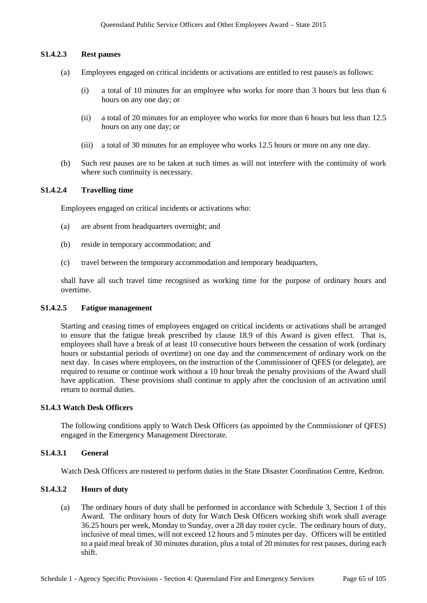#### **S1.4.2.3 Rest pauses**

- (a) Employees engaged on critical incidents or activations are entitled to rest pause/s as follows:
	- (i) a total of 10 minutes for an employee who works for more than 3 hours but less than 6 hours on any one day; or
	- (ii) a total of 20 minutes for an employee who works for more than 6 hours but less than 12.5 hours on any one day; or
	- (iii) a total of 30 minutes for an employee who works 12.5 hours or more on any one day.
- (b) Such rest pauses are to be taken at such times as will not interfere with the continuity of work where such continuity is necessary.

#### **S1.4.2.4 Travelling time**

Employees engaged on critical incidents or activations who:

- (a) are absent from headquarters overnight; and
- (b) reside in temporary accommodation; and
- (c) travel between the temporary accommodation and temporary headquarters,

shall have all such travel time recognised as working time for the purpose of ordinary hours and overtime.

#### **S1.4.2.5 Fatigue management**

Starting and ceasing times of employees engaged on critical incidents or activations shall be arranged to ensure that the fatigue break prescribed by clause 18.9 of this Award is given effect. That is, employees shall have a break of at least 10 consecutive hours between the cessation of work (ordinary hours or substantial periods of overtime) on one day and the commencement of ordinary work on the next day. In cases where employees, on the instruction of the Commissioner of QFES (or delegate), are required to resume or continue work without a 10 hour break the penalty provisions of the Award shall have application. These provisions shall continue to apply after the conclusion of an activation until return to normal duties.

#### **S1.4.3 Watch Desk Officers**

The following conditions apply to Watch Desk Officers (as appointed by the Commissioner of QFES) engaged in the Emergency Management Directorate.

## **S1.4.3.1 General**

Watch Desk Officers are rostered to perform duties in the State Disaster Coordination Centre, Kedron.

## **S1.4.3.2 Hours of duty**

(a) The ordinary hours of duty shall be performed in accordance with Schedule 3, Section 1 of this Award. The ordinary hours of duty for Watch Desk Officers working shift work shall average 36.25 hours per week, Monday to Sunday, over a 28 day roster cycle. The ordinary hours of duty, inclusive of meal times, will not exceed 12 hours and 5 minutes per day. Officers will be entitled to a paid meal break of 30 minutes duration, plus a total of 20 minutes for rest pauses, during each shift.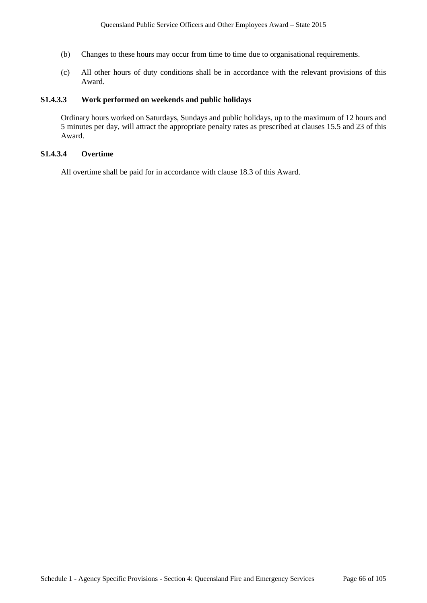- (b) Changes to these hours may occur from time to time due to organisational requirements.
- (c) All other hours of duty conditions shall be in accordance with the relevant provisions of this Award.

## **S1.4.3.3 Work performed on weekends and public holidays**

Ordinary hours worked on Saturdays, Sundays and public holidays, up to the maximum of 12 hours and 5 minutes per day, will attract the appropriate penalty rates as prescribed at clauses 15.5 and 23 of this Award.

## **S1.4.3.4 Overtime**

All overtime shall be paid for in accordance with clause 18.3 of this Award.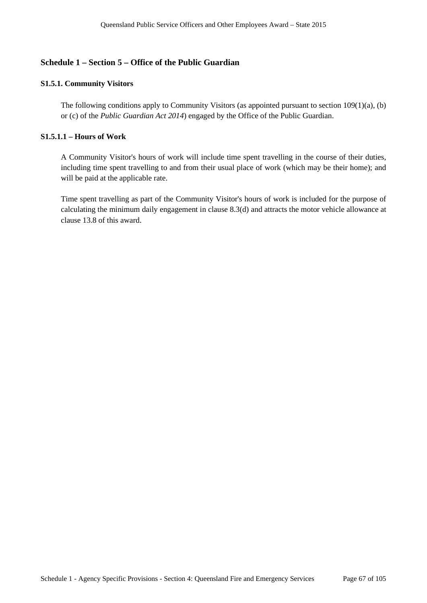## **Schedule 1 – Section 5 – Office of the Public Guardian**

## **S1.5.1. Community Visitors**

The following conditions apply to Community Visitors (as appointed pursuant to section 109(1)(a), (b) or (c) of the *Public Guardian Act 2014*) engaged by the Office of the Public Guardian.

## **S1.5.1.1 – Hours of Work**

A Community Visitor's hours of work will include time spent travelling in the course of their duties, including time spent travelling to and from their usual place of work (which may be their home); and will be paid at the applicable rate.

Time spent travelling as part of the Community Visitor's hours of work is included for the purpose of calculating the minimum daily engagement in clause 8.3(d) and attracts the motor vehicle allowance at clause 13.8 of this award.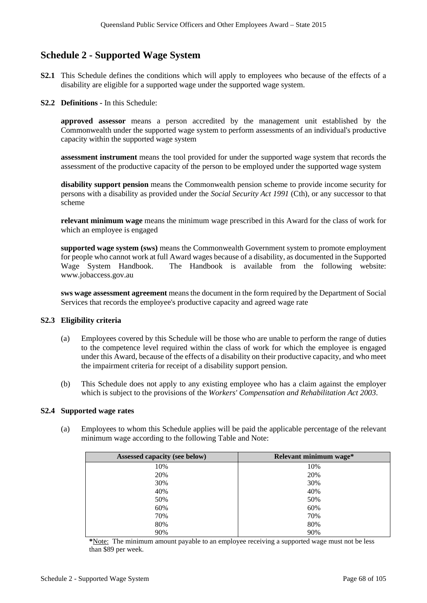# **Schedule 2 - Supported Wage System**

- **S2.1** This Schedule defines the conditions which will apply to employees who because of the effects of a disability are eligible for a supported wage under the supported wage system.
- **S2.2 Definitions -** In this Schedule:

**approved assessor** means a person accredited by the management unit established by the Commonwealth under the supported wage system to perform assessments of an individual's productive capacity within the supported wage system

**assessment instrument** means the tool provided for under the supported wage system that records the assessment of the productive capacity of the person to be employed under the supported wage system

**disability support pension** means the Commonwealth pension scheme to provide income security for persons with a disability as provided under the *Social Security Act 1991* (Cth), or any successor to that scheme

**relevant minimum wage** means the minimum wage prescribed in this Award for the class of work for which an employee is engaged

**supported wage system (sws)** means the Commonwealth Government system to promote employment for people who cannot work at full Award wages because of a disability, as documented in the Supported Wage System Handbook. The Handbook is available from the following website: www.jobaccess.gov.au

**sws wage assessment agreement** means the document in the form required by the Department of Social Services that records the employee's productive capacity and agreed wage rate

### **S2.3 Eligibility criteria**

- (a) Employees covered by this Schedule will be those who are unable to perform the range of duties to the competence level required within the class of work for which the employee is engaged under this Award, because of the effects of a disability on their productive capacity, and who meet the impairment criteria for receipt of a disability support pension.
- (b) This Schedule does not apply to any existing employee who has a claim against the employer which is subject to the provisions of the *Workers' Compensation and Rehabilitation Act 2003*.

#### **S2.4 Supported wage rates**

(a) Employees to whom this Schedule applies will be paid the applicable percentage of the relevant minimum wage according to the following Table and Note:

| Assessed capacity (see below) | Relevant minimum wage* |
|-------------------------------|------------------------|
| 10%                           | 10%                    |
| 20%                           | 20%                    |
| 30%                           | 30%                    |
| 40%                           | 40%                    |
| 50%                           | 50%                    |
| 60%                           | 60%                    |
| 70%                           | 70%                    |
| 80%                           | 80%                    |
| 90%                           | 90%                    |

**\***Note: The minimum amount payable to an employee receiving a supported wage must not be less than \$89 per week.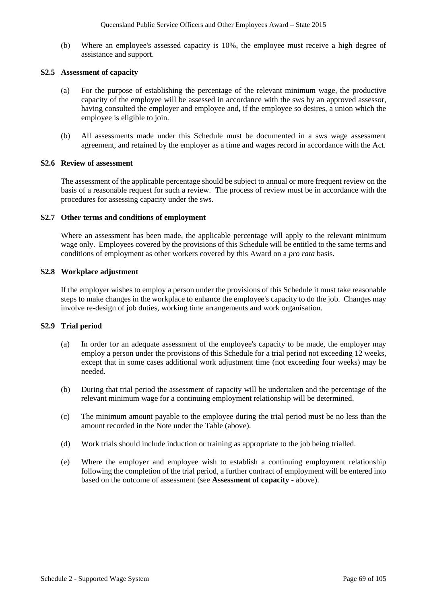(b) Where an employee's assessed capacity is 10%, the employee must receive a high degree of assistance and support.

#### **S2.5 Assessment of capacity**

- (a) For the purpose of establishing the percentage of the relevant minimum wage, the productive capacity of the employee will be assessed in accordance with the sws by an approved assessor, having consulted the employer and employee and, if the employee so desires, a union which the employee is eligible to join.
- (b) All assessments made under this Schedule must be documented in a sws wage assessment agreement, and retained by the employer as a time and wages record in accordance with the Act.

#### **S2.6 Review of assessment**

The assessment of the applicable percentage should be subject to annual or more frequent review on the basis of a reasonable request for such a review. The process of review must be in accordance with the procedures for assessing capacity under the sws.

#### **S2.7 Other terms and conditions of employment**

Where an assessment has been made, the applicable percentage will apply to the relevant minimum wage only. Employees covered by the provisions of this Schedule will be entitled to the same terms and conditions of employment as other workers covered by this Award on a *pro rata* basis.

#### **S2.8 Workplace adjustment**

If the employer wishes to employ a person under the provisions of this Schedule it must take reasonable steps to make changes in the workplace to enhance the employee's capacity to do the job. Changes may involve re-design of job duties, working time arrangements and work organisation.

#### **S2.9 Trial period**

- (a) In order for an adequate assessment of the employee's capacity to be made, the employer may employ a person under the provisions of this Schedule for a trial period not exceeding 12 weeks, except that in some cases additional work adjustment time (not exceeding four weeks) may be needed.
- (b) During that trial period the assessment of capacity will be undertaken and the percentage of the relevant minimum wage for a continuing employment relationship will be determined.
- (c) The minimum amount payable to the employee during the trial period must be no less than the amount recorded in the Note under the Table (above).
- (d) Work trials should include induction or training as appropriate to the job being trialled.
- (e) Where the employer and employee wish to establish a continuing employment relationship following the completion of the trial period, a further contract of employment will be entered into based on the outcome of assessment (see **Assessment of capacity** - above).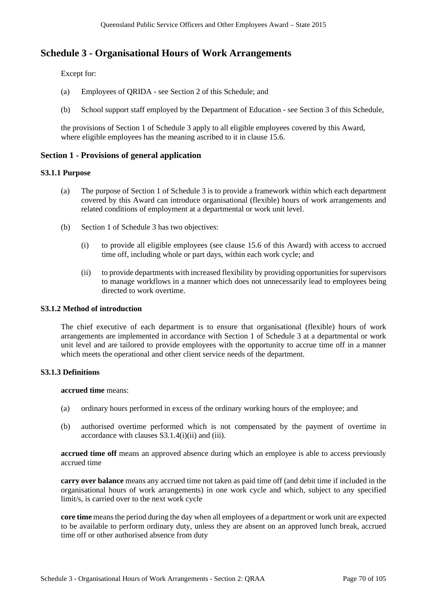# **Schedule 3 - Organisational Hours of Work Arrangements**

Except for:

- (a) Employees of QRIDA see Section 2 of this Schedule; and
- (b) School support staff employed by the Department of Education see Section 3 of this Schedule,

the provisions of Section 1 of Schedule 3 apply to all eligible employees covered by this Award, where eligible employees has the meaning ascribed to it in clause 15.6.

## **Section 1 - Provisions of general application**

### **S3.1.1 Purpose**

- (a) The purpose of Section 1 of Schedule 3 is to provide a framework within which each department covered by this Award can introduce organisational (flexible) hours of work arrangements and related conditions of employment at a departmental or work unit level.
- (b) Section 1 of Schedule 3 has two objectives:
	- (i) to provide all eligible employees (see clause 15.6 of this Award) with access to accrued time off, including whole or part days, within each work cycle; and
	- (ii) to provide departments with increased flexibility by providing opportunities for supervisors to manage workflows in a manner which does not unnecessarily lead to employees being directed to work overtime.

### **S3.1.2 Method of introduction**

The chief executive of each department is to ensure that organisational (flexible) hours of work arrangements are implemented in accordance with Section 1 of Schedule 3 at a departmental or work unit level and are tailored to provide employees with the opportunity to accrue time off in a manner which meets the operational and other client service needs of the department.

### **S3.1.3 Definitions**

**accrued time** means:

- (a) ordinary hours performed in excess of the ordinary working hours of the employee; and
- (b) authorised overtime performed which is not compensated by the payment of overtime in accordance with clauses S3.1.4(i)(ii) and (iii).

**accrued time off** means an approved absence during which an employee is able to access previously accrued time

**carry over balance** means any accrued time not taken as paid time off (and debit time if included in the organisational hours of work arrangements) in one work cycle and which, subject to any specified limit/s, is carried over to the next work cycle

**core time** means the period during the day when all employees of a department or work unit are expected to be available to perform ordinary duty, unless they are absent on an approved lunch break, accrued time off or other authorised absence from duty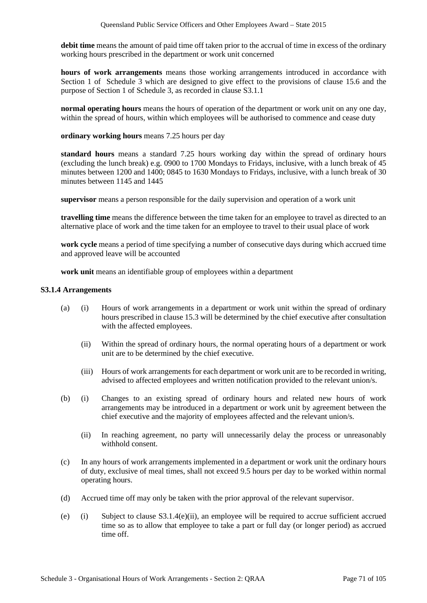**debit time** means the amount of paid time off taken prior to the accrual of time in excess of the ordinary working hours prescribed in the department or work unit concerned

**hours of work arrangements** means those working arrangements introduced in accordance with Section 1 of Schedule 3 which are designed to give effect to the provisions of clause 15.6 and the purpose of Section 1 of Schedule 3, as recorded in clause S3.1.1

**normal operating hours** means the hours of operation of the department or work unit on any one day, within the spread of hours, within which employees will be authorised to commence and cease duty

**ordinary working hours** means 7.25 hours per day

**standard hours** means a standard 7.25 hours working day within the spread of ordinary hours (excluding the lunch break) e.g. 0900 to 1700 Mondays to Fridays, inclusive, with a lunch break of 45 minutes between 1200 and 1400; 0845 to 1630 Mondays to Fridays, inclusive, with a lunch break of 30 minutes between 1145 and 1445

**supervisor** means a person responsible for the daily supervision and operation of a work unit

**travelling time** means the difference between the time taken for an employee to travel as directed to an alternative place of work and the time taken for an employee to travel to their usual place of work

**work cycle** means a period of time specifying a number of consecutive days during which accrued time and approved leave will be accounted

**work unit** means an identifiable group of employees within a department

#### **S3.1.4 Arrangements**

- (a) (i) Hours of work arrangements in a department or work unit within the spread of ordinary hours prescribed in clause 15.3 will be determined by the chief executive after consultation with the affected employees.
	- (ii) Within the spread of ordinary hours, the normal operating hours of a department or work unit are to be determined by the chief executive.
	- (iii) Hours of work arrangements for each department or work unit are to be recorded in writing, advised to affected employees and written notification provided to the relevant union/s.
- (b) (i) Changes to an existing spread of ordinary hours and related new hours of work arrangements may be introduced in a department or work unit by agreement between the chief executive and the majority of employees affected and the relevant union/s.
	- (ii) In reaching agreement, no party will unnecessarily delay the process or unreasonably withhold consent.
- (c) In any hours of work arrangements implemented in a department or work unit the ordinary hours of duty, exclusive of meal times, shall not exceed 9.5 hours per day to be worked within normal operating hours.
- (d) Accrued time off may only be taken with the prior approval of the relevant supervisor.
- (e) (i) Subject to clause  $S3.1.4(e)$ (ii), an employee will be required to accrue sufficient accrued time so as to allow that employee to take a part or full day (or longer period) as accrued time off.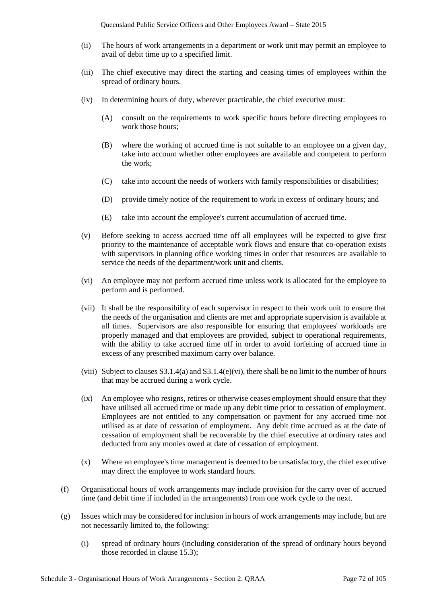- (ii) The hours of work arrangements in a department or work unit may permit an employee to avail of debit time up to a specified limit.
- (iii) The chief executive may direct the starting and ceasing times of employees within the spread of ordinary hours.
- (iv) In determining hours of duty, wherever practicable, the chief executive must:
	- (A) consult on the requirements to work specific hours before directing employees to work those hours;
	- (B) where the working of accrued time is not suitable to an employee on a given day, take into account whether other employees are available and competent to perform the work;
	- (C) take into account the needs of workers with family responsibilities or disabilities;
	- (D) provide timely notice of the requirement to work in excess of ordinary hours; and
	- (E) take into account the employee's current accumulation of accrued time.
- (v) Before seeking to access accrued time off all employees will be expected to give first priority to the maintenance of acceptable work flows and ensure that co-operation exists with supervisors in planning office working times in order that resources are available to service the needs of the department/work unit and clients.
- (vi) An employee may not perform accrued time unless work is allocated for the employee to perform and is performed.
- (vii) It shall be the responsibility of each supervisor in respect to their work unit to ensure that the needs of the organisation and clients are met and appropriate supervision is available at all times. Supervisors are also responsible for ensuring that employees' workloads are properly managed and that employees are provided, subject to operational requirements, with the ability to take accrued time off in order to avoid forfeiting of accrued time in excess of any prescribed maximum carry over balance.
- (viii) Subject to clauses  $S3.1.4(a)$  and  $S3.1.4(e)$ (vi), there shall be no limit to the number of hours that may be accrued during a work cycle.
- (ix) An employee who resigns, retires or otherwise ceases employment should ensure that they have utilised all accrued time or made up any debit time prior to cessation of employment. Employees are not entitled to any compensation or payment for any accrued time not utilised as at date of cessation of employment. Any debit time accrued as at the date of cessation of employment shall be recoverable by the chief executive at ordinary rates and deducted from any monies owed at date of cessation of employment.
- (x) Where an employee's time management is deemed to be unsatisfactory, the chief executive may direct the employee to work standard hours.
- (f) Organisational hours of work arrangements may include provision for the carry over of accrued time (and debit time if included in the arrangements) from one work cycle to the next.
- (g) Issues which may be considered for inclusion in hours of work arrangements may include, but are not necessarily limited to, the following:
	- (i) spread of ordinary hours (including consideration of the spread of ordinary hours beyond those recorded in clause 15.3);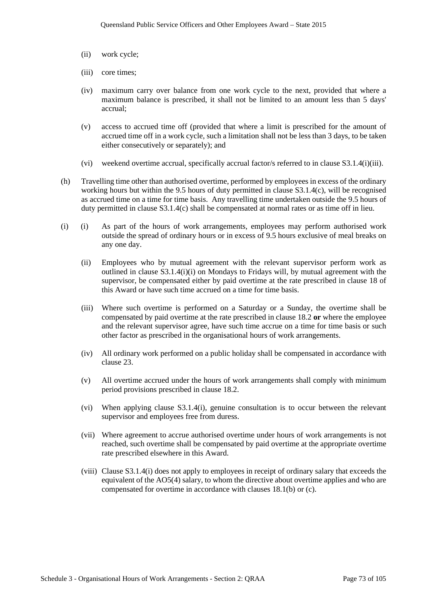- (ii) work cycle;
- (iii) core times;
- (iv) maximum carry over balance from one work cycle to the next, provided that where a maximum balance is prescribed, it shall not be limited to an amount less than 5 days' accrual;
- (v) access to accrued time off (provided that where a limit is prescribed for the amount of accrued time off in a work cycle, such a limitation shall not be less than 3 days, to be taken either consecutively or separately); and
- (vi) weekend overtime accrual, specifically accrual factor/s referred to in clause S3.1.4(i)(iii).
- (h) Travelling time other than authorised overtime, performed by employees in excess of the ordinary working hours but within the 9.5 hours of duty permitted in clause S3.1.4(c), will be recognised as accrued time on a time for time basis. Any travelling time undertaken outside the 9.5 hours of duty permitted in clause S3.1.4(c) shall be compensated at normal rates or as time off in lieu.
- (i) (i) As part of the hours of work arrangements, employees may perform authorised work outside the spread of ordinary hours or in excess of 9.5 hours exclusive of meal breaks on any one day.
	- (ii) Employees who by mutual agreement with the relevant supervisor perform work as outlined in clause S3.1.4(i)(i) on Mondays to Fridays will, by mutual agreement with the supervisor, be compensated either by paid overtime at the rate prescribed in clause 18 of this Award or have such time accrued on a time for time basis.
	- (iii) Where such overtime is performed on a Saturday or a Sunday, the overtime shall be compensated by paid overtime at the rate prescribed in clause 18.2 **or** where the employee and the relevant supervisor agree, have such time accrue on a time for time basis or such other factor as prescribed in the organisational hours of work arrangements.
	- (iv) All ordinary work performed on a public holiday shall be compensated in accordance with clause 23.
	- (v) All overtime accrued under the hours of work arrangements shall comply with minimum period provisions prescribed in clause 18.2.
	- (vi) When applying clause S3.1.4(i), genuine consultation is to occur between the relevant supervisor and employees free from duress.
	- (vii) Where agreement to accrue authorised overtime under hours of work arrangements is not reached, such overtime shall be compensated by paid overtime at the appropriate overtime rate prescribed elsewhere in this Award.
	- (viii) Clause S3.1.4(i) does not apply to employees in receipt of ordinary salary that exceeds the equivalent of the AO5(4) salary, to whom the directive about overtime applies and who are compensated for overtime in accordance with clauses 18.1(b) or (c).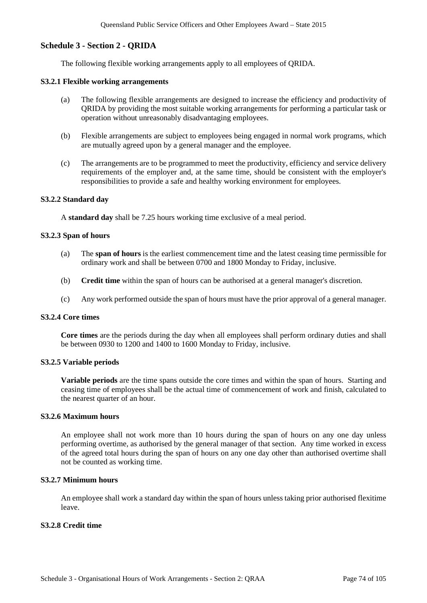## **Schedule 3 - Section 2 - QRIDA**

The following flexible working arrangements apply to all employees of QRIDA.

#### **S3.2.1 Flexible working arrangements**

- (a) The following flexible arrangements are designed to increase the efficiency and productivity of QRIDA by providing the most suitable working arrangements for performing a particular task or operation without unreasonably disadvantaging employees.
- (b) Flexible arrangements are subject to employees being engaged in normal work programs, which are mutually agreed upon by a general manager and the employee.
- (c) The arrangements are to be programmed to meet the productivity, efficiency and service delivery requirements of the employer and, at the same time, should be consistent with the employer's responsibilities to provide a safe and healthy working environment for employees.

#### **S3.2.2 Standard day**

A **standard day** shall be 7.25 hours working time exclusive of a meal period.

#### **S3.2.3 Span of hours**

- (a) The **span of hours** is the earliest commencement time and the latest ceasing time permissible for ordinary work and shall be between 0700 and 1800 Monday to Friday, inclusive.
- (b) **Credit time** within the span of hours can be authorised at a general manager's discretion.
- (c) Any work performed outside the span of hours must have the prior approval of a general manager.

#### **S3.2.4 Core times**

**Core times** are the periods during the day when all employees shall perform ordinary duties and shall be between 0930 to 1200 and 1400 to 1600 Monday to Friday, inclusive.

#### **S3.2.5 Variable periods**

**Variable periods** are the time spans outside the core times and within the span of hours. Starting and ceasing time of employees shall be the actual time of commencement of work and finish, calculated to the nearest quarter of an hour.

#### **S3.2.6 Maximum hours**

An employee shall not work more than 10 hours during the span of hours on any one day unless performing overtime, as authorised by the general manager of that section. Any time worked in excess of the agreed total hours during the span of hours on any one day other than authorised overtime shall not be counted as working time.

#### **S3.2.7 Minimum hours**

An employee shall work a standard day within the span of hours unless taking prior authorised flexitime leave.

## **S3.2.8 Credit time**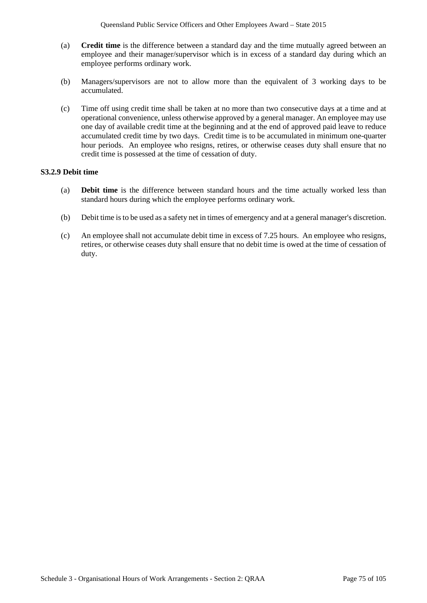- (a) **Credit time** is the difference between a standard day and the time mutually agreed between an employee and their manager/supervisor which is in excess of a standard day during which an employee performs ordinary work.
- (b) Managers/supervisors are not to allow more than the equivalent of 3 working days to be accumulated.
- (c) Time off using credit time shall be taken at no more than two consecutive days at a time and at operational convenience, unless otherwise approved by a general manager. An employee may use one day of available credit time at the beginning and at the end of approved paid leave to reduce accumulated credit time by two days. Credit time is to be accumulated in minimum one-quarter hour periods. An employee who resigns, retires, or otherwise ceases duty shall ensure that no credit time is possessed at the time of cessation of duty.

### **S3.2.9 Debit time**

- (a) **Debit time** is the difference between standard hours and the time actually worked less than standard hours during which the employee performs ordinary work.
- (b) Debit time is to be used as a safety net in times of emergency and at a general manager's discretion.
- (c) An employee shall not accumulate debit time in excess of 7.25 hours. An employee who resigns, retires, or otherwise ceases duty shall ensure that no debit time is owed at the time of cessation of duty.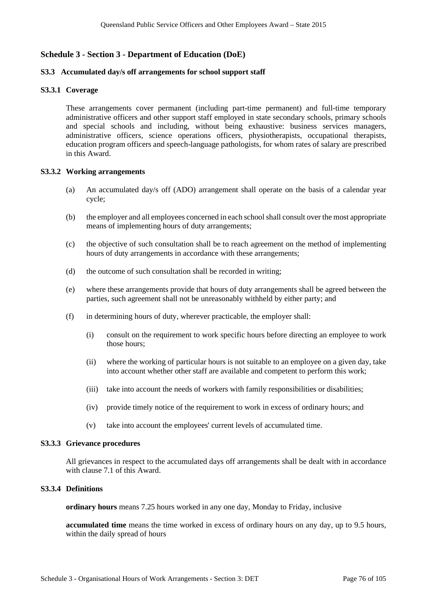# **Schedule 3 - Section 3 - Department of Education (DoE)**

#### **S3.3 Accumulated day/s off arrangements for school support staff**

#### **S3.3.1 Coverage**

These arrangements cover permanent (including part-time permanent) and full-time temporary administrative officers and other support staff employed in state secondary schools, primary schools and special schools and including, without being exhaustive: business services managers, administrative officers, science operations officers, physiotherapists, occupational therapists, education program officers and speech-language pathologists, for whom rates of salary are prescribed in this Award.

#### **S3.3.2 Working arrangements**

- (a) An accumulated day/s off (ADO) arrangement shall operate on the basis of a calendar year cycle;
- (b) the employer and all employees concerned in each school shall consult over the most appropriate means of implementing hours of duty arrangements;
- (c) the objective of such consultation shall be to reach agreement on the method of implementing hours of duty arrangements in accordance with these arrangements;
- (d) the outcome of such consultation shall be recorded in writing;
- (e) where these arrangements provide that hours of duty arrangements shall be agreed between the parties, such agreement shall not be unreasonably withheld by either party; and
- (f) in determining hours of duty, wherever practicable, the employer shall:
	- (i) consult on the requirement to work specific hours before directing an employee to work those hours;
	- (ii) where the working of particular hours is not suitable to an employee on a given day, take into account whether other staff are available and competent to perform this work;
	- (iii) take into account the needs of workers with family responsibilities or disabilities;
	- (iv) provide timely notice of the requirement to work in excess of ordinary hours; and
	- (v) take into account the employees' current levels of accumulated time.

#### **S3.3.3 Grievance procedures**

All grievances in respect to the accumulated days off arrangements shall be dealt with in accordance with clause 7.1 of this Award.

### **S3.3.4 Definitions**

**ordinary hours** means 7.25 hours worked in any one day, Monday to Friday, inclusive

**accumulated time** means the time worked in excess of ordinary hours on any day, up to 9.5 hours, within the daily spread of hours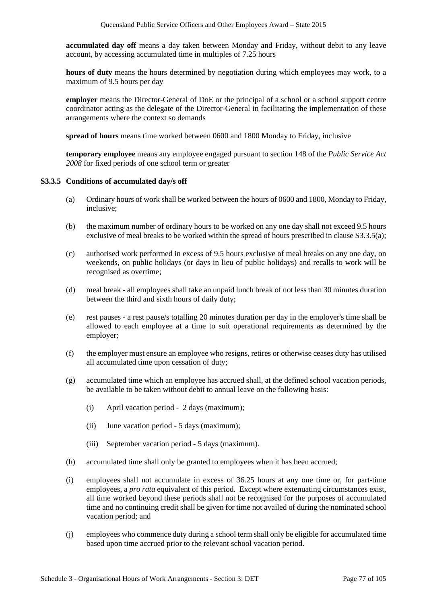**accumulated day off** means a day taken between Monday and Friday, without debit to any leave account, by accessing accumulated time in multiples of 7.25 hours

**hours of duty** means the hours determined by negotiation during which employees may work, to a maximum of 9.5 hours per day

**employer** means the Director-General of DoE or the principal of a school or a school support centre coordinator acting as the delegate of the Director-General in facilitating the implementation of these arrangements where the context so demands

**spread of hours** means time worked between 0600 and 1800 Monday to Friday, inclusive

**temporary employee** means any employee engaged pursuant to section 148 of the *Public Service Act 2008* for fixed periods of one school term or greater

### **S3.3.5 Conditions of accumulated day/s off**

- (a) Ordinary hours of work shall be worked between the hours of 0600 and 1800, Monday to Friday, inclusive;
- (b) the maximum number of ordinary hours to be worked on any one day shall not exceed 9.5 hours exclusive of meal breaks to be worked within the spread of hours prescribed in clause S3.3.5(a);
- (c) authorised work performed in excess of 9.5 hours exclusive of meal breaks on any one day, on weekends, on public holidays (or days in lieu of public holidays) and recalls to work will be recognised as overtime;
- (d) meal break all employees shall take an unpaid lunch break of not less than 30 minutes duration between the third and sixth hours of daily duty;
- (e) rest pauses a rest pause/s totalling 20 minutes duration per day in the employer's time shall be allowed to each employee at a time to suit operational requirements as determined by the employer;
- (f) the employer must ensure an employee who resigns, retires or otherwise ceases duty has utilised all accumulated time upon cessation of duty;
- (g) accumulated time which an employee has accrued shall, at the defined school vacation periods, be available to be taken without debit to annual leave on the following basis:
	- (i) April vacation period 2 days (maximum);
	- (ii) June vacation period 5 days (maximum);
	- (iii) September vacation period 5 days (maximum).
- (h) accumulated time shall only be granted to employees when it has been accrued;
- (i) employees shall not accumulate in excess of 36.25 hours at any one time or, for part-time employees, a *pro rata* equivalent of this period. Except where extenuating circumstances exist, all time worked beyond these periods shall not be recognised for the purposes of accumulated time and no continuing credit shall be given for time not availed of during the nominated school vacation period; and
- (j) employees who commence duty during a school term shall only be eligible for accumulated time based upon time accrued prior to the relevant school vacation period.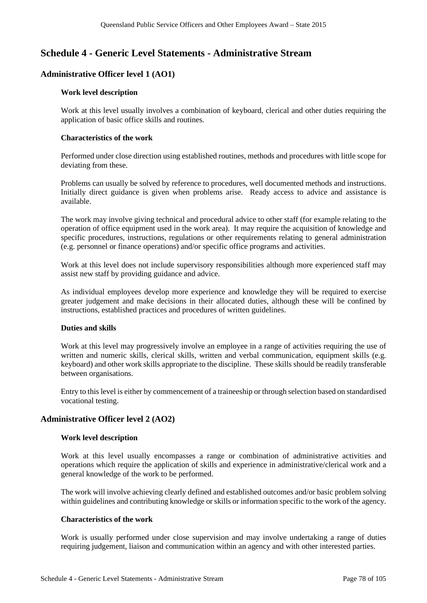# **Schedule 4 - Generic Level Statements - Administrative Stream**

# **Administrative Officer level 1 (AO1)**

#### **Work level description**

Work at this level usually involves a combination of keyboard, clerical and other duties requiring the application of basic office skills and routines.

#### **Characteristics of the work**

Performed under close direction using established routines, methods and procedures with little scope for deviating from these.

Problems can usually be solved by reference to procedures, well documented methods and instructions. Initially direct guidance is given when problems arise. Ready access to advice and assistance is available.

The work may involve giving technical and procedural advice to other staff (for example relating to the operation of office equipment used in the work area). It may require the acquisition of knowledge and specific procedures, instructions, regulations or other requirements relating to general administration (e.g. personnel or finance operations) and/or specific office programs and activities.

Work at this level does not include supervisory responsibilities although more experienced staff may assist new staff by providing guidance and advice.

As individual employees develop more experience and knowledge they will be required to exercise greater judgement and make decisions in their allocated duties, although these will be confined by instructions, established practices and procedures of written guidelines.

### **Duties and skills**

Work at this level may progressively involve an employee in a range of activities requiring the use of written and numeric skills, clerical skills, written and verbal communication, equipment skills (e.g. keyboard) and other work skills appropriate to the discipline. These skills should be readily transferable between organisations.

Entry to this level is either by commencement of a traineeship or through selection based on standardised vocational testing.

### **Administrative Officer level 2 (AO2)**

### **Work level description**

Work at this level usually encompasses a range or combination of administrative activities and operations which require the application of skills and experience in administrative/clerical work and a general knowledge of the work to be performed.

The work will involve achieving clearly defined and established outcomes and/or basic problem solving within guidelines and contributing knowledge or skills or information specific to the work of the agency.

### **Characteristics of the work**

Work is usually performed under close supervision and may involve undertaking a range of duties requiring judgement, liaison and communication within an agency and with other interested parties.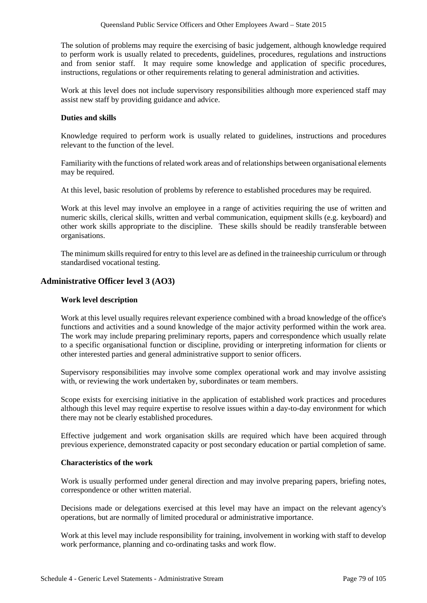The solution of problems may require the exercising of basic judgement, although knowledge required to perform work is usually related to precedents, guidelines, procedures, regulations and instructions and from senior staff. It may require some knowledge and application of specific procedures, instructions, regulations or other requirements relating to general administration and activities.

Work at this level does not include supervisory responsibilities although more experienced staff may assist new staff by providing guidance and advice.

#### **Duties and skills**

Knowledge required to perform work is usually related to guidelines, instructions and procedures relevant to the function of the level.

Familiarity with the functions of related work areas and of relationships between organisational elements may be required.

At this level, basic resolution of problems by reference to established procedures may be required.

Work at this level may involve an employee in a range of activities requiring the use of written and numeric skills, clerical skills, written and verbal communication, equipment skills (e.g. keyboard) and other work skills appropriate to the discipline. These skills should be readily transferable between organisations.

The minimum skills required for entry to this level are as defined in the traineeship curriculum or through standardised vocational testing.

## **Administrative Officer level 3 (AO3)**

#### **Work level description**

Work at this level usually requires relevant experience combined with a broad knowledge of the office's functions and activities and a sound knowledge of the major activity performed within the work area. The work may include preparing preliminary reports, papers and correspondence which usually relate to a specific organisational function or discipline, providing or interpreting information for clients or other interested parties and general administrative support to senior officers.

Supervisory responsibilities may involve some complex operational work and may involve assisting with, or reviewing the work undertaken by, subordinates or team members.

Scope exists for exercising initiative in the application of established work practices and procedures although this level may require expertise to resolve issues within a day-to-day environment for which there may not be clearly established procedures.

Effective judgement and work organisation skills are required which have been acquired through previous experience, demonstrated capacity or post secondary education or partial completion of same.

#### **Characteristics of the work**

Work is usually performed under general direction and may involve preparing papers, briefing notes, correspondence or other written material.

Decisions made or delegations exercised at this level may have an impact on the relevant agency's operations, but are normally of limited procedural or administrative importance.

Work at this level may include responsibility for training, involvement in working with staff to develop work performance, planning and co-ordinating tasks and work flow.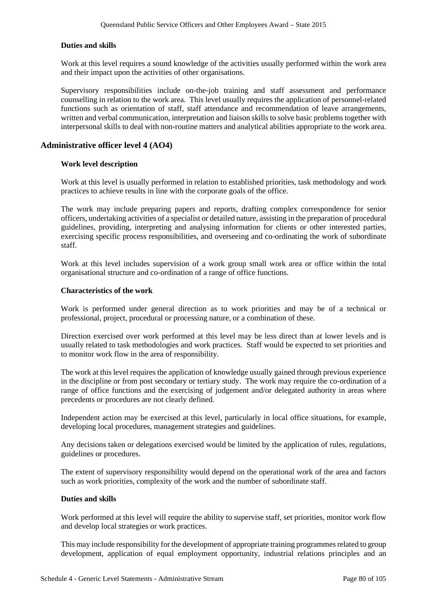## **Duties and skills**

Work at this level requires a sound knowledge of the activities usually performed within the work area and their impact upon the activities of other organisations.

Supervisory responsibilities include on-the-job training and staff assessment and performance counselling in relation to the work area. This level usually requires the application of personnel-related functions such as orientation of staff, staff attendance and recommendation of leave arrangements, written and verbal communication, interpretation and liaison skills to solve basic problems together with interpersonal skills to deal with non-routine matters and analytical abilities appropriate to the work area.

## **Administrative officer level 4 (AO4)**

### **Work level description**

Work at this level is usually performed in relation to established priorities, task methodology and work practices to achieve results in line with the corporate goals of the office.

The work may include preparing papers and reports, drafting complex correspondence for senior officers, undertaking activities of a specialist or detailed nature, assisting in the preparation of procedural guidelines, providing, interpreting and analysing information for clients or other interested parties, exercising specific process responsibilities, and overseeing and co-ordinating the work of subordinate staff.

Work at this level includes supervision of a work group small work area or office within the total organisational structure and co-ordination of a range of office functions.

#### **Characteristics of the work**

Work is performed under general direction as to work priorities and may be of a technical or professional, project, procedural or processing nature, or a combination of these.

Direction exercised over work performed at this level may be less direct than at lower levels and is usually related to task methodologies and work practices. Staff would be expected to set priorities and to monitor work flow in the area of responsibility.

The work at this level requires the application of knowledge usually gained through previous experience in the discipline or from post secondary or tertiary study. The work may require the co-ordination of a range of office functions and the exercising of judgement and/or delegated authority in areas where precedents or procedures are not clearly defined.

Independent action may be exercised at this level, particularly in local office situations, for example, developing local procedures, management strategies and guidelines.

Any decisions taken or delegations exercised would be limited by the application of rules, regulations, guidelines or procedures.

The extent of supervisory responsibility would depend on the operational work of the area and factors such as work priorities, complexity of the work and the number of subordinate staff.

#### **Duties and skills**

Work performed at this level will require the ability to supervise staff, set priorities, monitor work flow and develop local strategies or work practices.

This may include responsibility for the development of appropriate training programmes related to group development, application of equal employment opportunity, industrial relations principles and an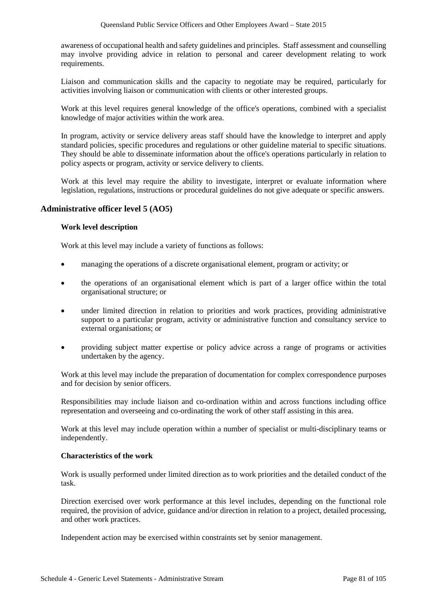awareness of occupational health and safety guidelines and principles. Staff assessment and counselling may involve providing advice in relation to personal and career development relating to work requirements.

Liaison and communication skills and the capacity to negotiate may be required, particularly for activities involving liaison or communication with clients or other interested groups.

Work at this level requires general knowledge of the office's operations, combined with a specialist knowledge of major activities within the work area.

In program, activity or service delivery areas staff should have the knowledge to interpret and apply standard policies, specific procedures and regulations or other guideline material to specific situations. They should be able to disseminate information about the office's operations particularly in relation to policy aspects or program, activity or service delivery to clients.

Work at this level may require the ability to investigate, interpret or evaluate information where legislation, regulations, instructions or procedural guidelines do not give adequate or specific answers.

### **Administrative officer level 5 (AO5)**

#### **Work level description**

Work at this level may include a variety of functions as follows:

- managing the operations of a discrete organisational element, program or activity; or
- the operations of an organisational element which is part of a larger office within the total organisational structure; or
- under limited direction in relation to priorities and work practices, providing administrative support to a particular program, activity or administrative function and consultancy service to external organisations; or
- providing subject matter expertise or policy advice across a range of programs or activities undertaken by the agency.

Work at this level may include the preparation of documentation for complex correspondence purposes and for decision by senior officers.

Responsibilities may include liaison and co-ordination within and across functions including office representation and overseeing and co-ordinating the work of other staff assisting in this area.

Work at this level may include operation within a number of specialist or multi-disciplinary teams or independently.

#### **Characteristics of the work**

Work is usually performed under limited direction as to work priorities and the detailed conduct of the task.

Direction exercised over work performance at this level includes, depending on the functional role required, the provision of advice, guidance and/or direction in relation to a project, detailed processing, and other work practices.

Independent action may be exercised within constraints set by senior management.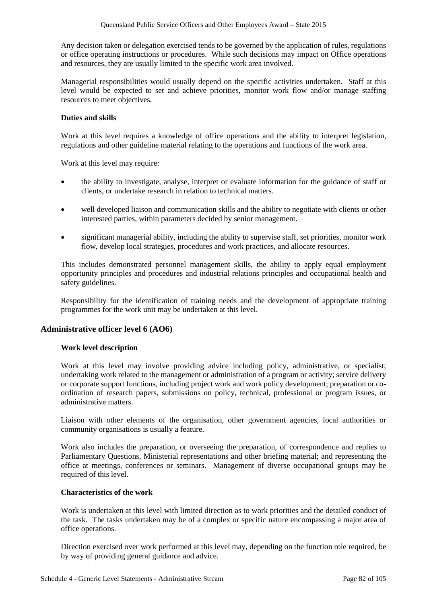Any decision taken or delegation exercised tends to be governed by the application of rules, regulations or office operating instructions or procedures. While such decisions may impact on Office operations and resources, they are usually limited to the specific work area involved.

Managerial responsibilities would usually depend on the specific activities undertaken. Staff at this level would be expected to set and achieve priorities, monitor work flow and/or manage staffing resources to meet objectives.

## **Duties and skills**

Work at this level requires a knowledge of office operations and the ability to interpret legislation, regulations and other guideline material relating to the operations and functions of the work area.

Work at this level may require:

- the ability to investigate, analyse, interpret or evaluate information for the guidance of staff or clients, or undertake research in relation to technical matters.
- well developed liaison and communication skills and the ability to negotiate with clients or other interested parties, within parameters decided by senior management.
- significant managerial ability, including the ability to supervise staff, set priorities, monitor work flow, develop local strategies, procedures and work practices, and allocate resources.

This includes demonstrated personnel management skills, the ability to apply equal employment opportunity principles and procedures and industrial relations principles and occupational health and safety guidelines.

Responsibility for the identification of training needs and the development of appropriate training programmes for the work unit may be undertaken at this level.

# **Administrative officer level 6 (AO6)**

### **Work level description**

Work at this level may involve providing advice including policy, administrative, or specialist; undertaking work related to the management or administration of a program or activity; service delivery or corporate support functions, including project work and work policy development; preparation or coordination of research papers, submissions on policy, technical, professional or program issues, or administrative matters.

Liaison with other elements of the organisation, other government agencies, local authorities or community organisations is usually a feature.

Work also includes the preparation, or overseeing the preparation, of correspondence and replies to Parliamentary Questions, Ministerial representations and other briefing material; and representing the office at meetings, conferences or seminars. Management of diverse occupational groups may be required of this level.

### **Characteristics of the work**

Work is undertaken at this level with limited direction as to work priorities and the detailed conduct of the task. The tasks undertaken may be of a complex or specific nature encompassing a major area of office operations.

Direction exercised over work performed at this level may, depending on the function role required, be by way of providing general guidance and advice.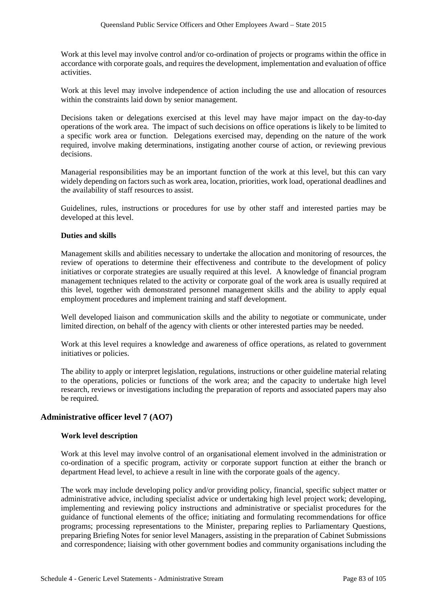Work at this level may involve control and/or co-ordination of projects or programs within the office in accordance with corporate goals, and requires the development, implementation and evaluation of office activities.

Work at this level may involve independence of action including the use and allocation of resources within the constraints laid down by senior management.

Decisions taken or delegations exercised at this level may have major impact on the day-to-day operations of the work area. The impact of such decisions on office operations is likely to be limited to a specific work area or function. Delegations exercised may, depending on the nature of the work required, involve making determinations, instigating another course of action, or reviewing previous decisions.

Managerial responsibilities may be an important function of the work at this level, but this can vary widely depending on factors such as work area, location, priorities, work load, operational deadlines and the availability of staff resources to assist.

Guidelines, rules, instructions or procedures for use by other staff and interested parties may be developed at this level.

## **Duties and skills**

Management skills and abilities necessary to undertake the allocation and monitoring of resources, the review of operations to determine their effectiveness and contribute to the development of policy initiatives or corporate strategies are usually required at this level. A knowledge of financial program management techniques related to the activity or corporate goal of the work area is usually required at this level, together with demonstrated personnel management skills and the ability to apply equal employment procedures and implement training and staff development.

Well developed liaison and communication skills and the ability to negotiate or communicate, under limited direction, on behalf of the agency with clients or other interested parties may be needed.

Work at this level requires a knowledge and awareness of office operations, as related to government initiatives or policies.

The ability to apply or interpret legislation, regulations, instructions or other guideline material relating to the operations, policies or functions of the work area; and the capacity to undertake high level research, reviews or investigations including the preparation of reports and associated papers may also be required.

# **Administrative officer level 7 (AO7)**

### **Work level description**

Work at this level may involve control of an organisational element involved in the administration or co-ordination of a specific program, activity or corporate support function at either the branch or department Head level, to achieve a result in line with the corporate goals of the agency.

The work may include developing policy and/or providing policy, financial, specific subject matter or administrative advice, including specialist advice or undertaking high level project work; developing, implementing and reviewing policy instructions and administrative or specialist procedures for the guidance of functional elements of the office; initiating and formulating recommendations for office programs; processing representations to the Minister, preparing replies to Parliamentary Questions, preparing Briefing Notes for senior level Managers, assisting in the preparation of Cabinet Submissions and correspondence; liaising with other government bodies and community organisations including the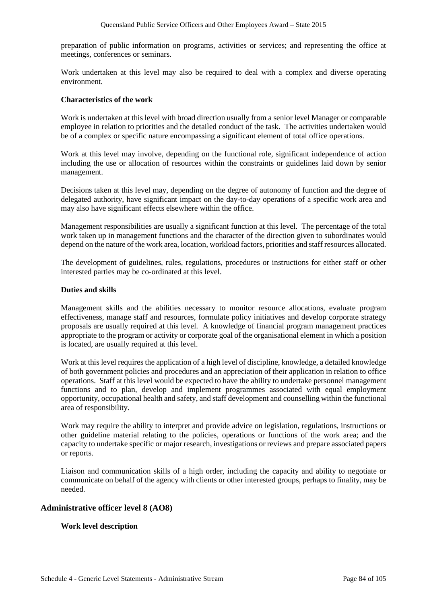preparation of public information on programs, activities or services; and representing the office at meetings, conferences or seminars.

Work undertaken at this level may also be required to deal with a complex and diverse operating environment.

## **Characteristics of the work**

Work is undertaken at this level with broad direction usually from a senior level Manager or comparable employee in relation to priorities and the detailed conduct of the task. The activities undertaken would be of a complex or specific nature encompassing a significant element of total office operations.

Work at this level may involve, depending on the functional role, significant independence of action including the use or allocation of resources within the constraints or guidelines laid down by senior management.

Decisions taken at this level may, depending on the degree of autonomy of function and the degree of delegated authority, have significant impact on the day-to-day operations of a specific work area and may also have significant effects elsewhere within the office.

Management responsibilities are usually a significant function at this level. The percentage of the total work taken up in management functions and the character of the direction given to subordinates would depend on the nature of the work area, location, workload factors, priorities and staff resources allocated.

The development of guidelines, rules, regulations, procedures or instructions for either staff or other interested parties may be co-ordinated at this level.

## **Duties and skills**

Management skills and the abilities necessary to monitor resource allocations, evaluate program effectiveness, manage staff and resources, formulate policy initiatives and develop corporate strategy proposals are usually required at this level. A knowledge of financial program management practices appropriate to the program or activity or corporate goal of the organisational element in which a position is located, are usually required at this level.

Work at this level requires the application of a high level of discipline, knowledge, a detailed knowledge of both government policies and procedures and an appreciation of their application in relation to office operations. Staff at this level would be expected to have the ability to undertake personnel management functions and to plan, develop and implement programmes associated with equal employment opportunity, occupational health and safety, and staff development and counselling within the functional area of responsibility.

Work may require the ability to interpret and provide advice on legislation, regulations, instructions or other guideline material relating to the policies, operations or functions of the work area; and the capacity to undertake specific or major research, investigations or reviews and prepare associated papers or reports.

Liaison and communication skills of a high order, including the capacity and ability to negotiate or communicate on behalf of the agency with clients or other interested groups, perhaps to finality, may be needed.

# **Administrative officer level 8 (AO8)**

### **Work level description**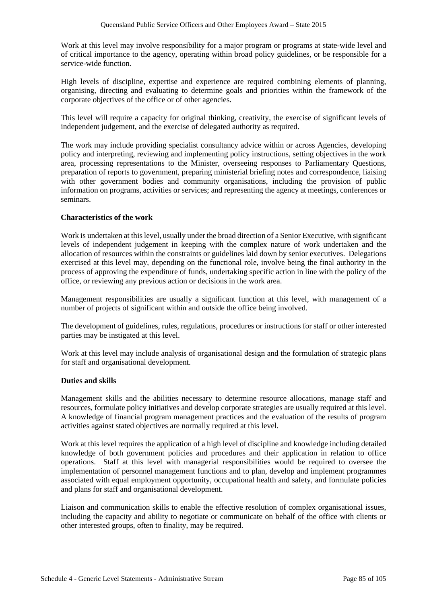Work at this level may involve responsibility for a major program or programs at state-wide level and of critical importance to the agency, operating within broad policy guidelines, or be responsible for a service-wide function.

High levels of discipline, expertise and experience are required combining elements of planning, organising, directing and evaluating to determine goals and priorities within the framework of the corporate objectives of the office or of other agencies.

This level will require a capacity for original thinking, creativity, the exercise of significant levels of independent judgement, and the exercise of delegated authority as required.

The work may include providing specialist consultancy advice within or across Agencies, developing policy and interpreting, reviewing and implementing policy instructions, setting objectives in the work area, processing representations to the Minister, overseeing responses to Parliamentary Questions, preparation of reports to government, preparing ministerial briefing notes and correspondence, liaising with other government bodies and community organisations, including the provision of public information on programs, activities or services; and representing the agency at meetings, conferences or seminars.

### **Characteristics of the work**

Work is undertaken at this level, usually under the broad direction of a Senior Executive, with significant levels of independent judgement in keeping with the complex nature of work undertaken and the allocation of resources within the constraints or guidelines laid down by senior executives. Delegations exercised at this level may, depending on the functional role, involve being the final authority in the process of approving the expenditure of funds, undertaking specific action in line with the policy of the office, or reviewing any previous action or decisions in the work area.

Management responsibilities are usually a significant function at this level, with management of a number of projects of significant within and outside the office being involved.

The development of guidelines, rules, regulations, procedures or instructions for staff or other interested parties may be instigated at this level.

Work at this level may include analysis of organisational design and the formulation of strategic plans for staff and organisational development.

### **Duties and skills**

Management skills and the abilities necessary to determine resource allocations, manage staff and resources, formulate policy initiatives and develop corporate strategies are usually required at this level. A knowledge of financial program management practices and the evaluation of the results of program activities against stated objectives are normally required at this level.

Work at this level requires the application of a high level of discipline and knowledge including detailed knowledge of both government policies and procedures and their application in relation to office operations. Staff at this level with managerial responsibilities would be required to oversee the implementation of personnel management functions and to plan, develop and implement programmes associated with equal employment opportunity, occupational health and safety, and formulate policies and plans for staff and organisational development.

Liaison and communication skills to enable the effective resolution of complex organisational issues, including the capacity and ability to negotiate or communicate on behalf of the office with clients or other interested groups, often to finality, may be required.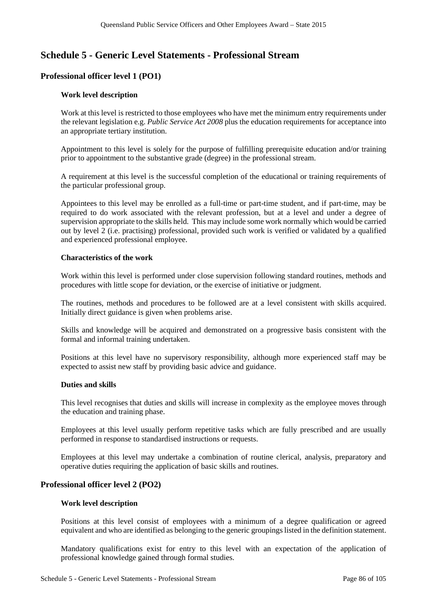# **Schedule 5 - Generic Level Statements - Professional Stream**

# **Professional officer level 1 (PO1)**

### **Work level description**

Work at this level is restricted to those employees who have met the minimum entry requirements under the relevant legislation e.g. *Public Service Act 2008* plus the education requirements for acceptance into an appropriate tertiary institution.

Appointment to this level is solely for the purpose of fulfilling prerequisite education and/or training prior to appointment to the substantive grade (degree) in the professional stream.

A requirement at this level is the successful completion of the educational or training requirements of the particular professional group.

Appointees to this level may be enrolled as a full-time or part-time student, and if part-time, may be required to do work associated with the relevant profession, but at a level and under a degree of supervision appropriate to the skills held. This may include some work normally which would be carried out by level 2 (i.e. practising) professional, provided such work is verified or validated by a qualified and experienced professional employee.

#### **Characteristics of the work**

Work within this level is performed under close supervision following standard routines, methods and procedures with little scope for deviation, or the exercise of initiative or judgment.

The routines, methods and procedures to be followed are at a level consistent with skills acquired. Initially direct guidance is given when problems arise.

Skills and knowledge will be acquired and demonstrated on a progressive basis consistent with the formal and informal training undertaken.

Positions at this level have no supervisory responsibility, although more experienced staff may be expected to assist new staff by providing basic advice and guidance.

#### **Duties and skills**

This level recognises that duties and skills will increase in complexity as the employee moves through the education and training phase.

Employees at this level usually perform repetitive tasks which are fully prescribed and are usually performed in response to standardised instructions or requests.

Employees at this level may undertake a combination of routine clerical, analysis, preparatory and operative duties requiring the application of basic skills and routines.

### **Professional officer level 2 (PO2)**

#### **Work level description**

Positions at this level consist of employees with a minimum of a degree qualification or agreed equivalent and who are identified as belonging to the generic groupingslisted in the definition statement.

Mandatory qualifications exist for entry to this level with an expectation of the application of professional knowledge gained through formal studies.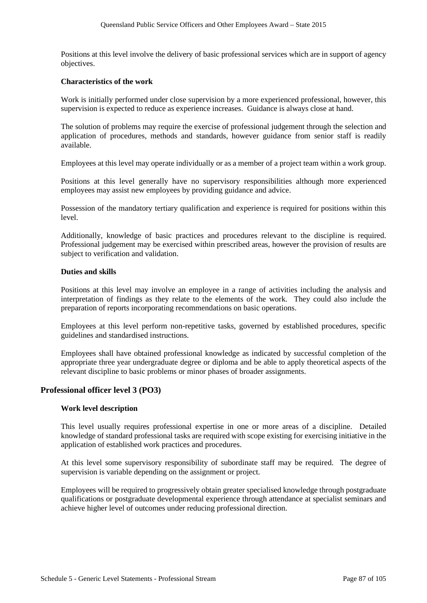Positions at this level involve the delivery of basic professional services which are in support of agency objectives.

#### **Characteristics of the work**

Work is initially performed under close supervision by a more experienced professional, however, this supervision is expected to reduce as experience increases. Guidance is always close at hand.

The solution of problems may require the exercise of professional judgement through the selection and application of procedures, methods and standards, however guidance from senior staff is readily available.

Employees at this level may operate individually or as a member of a project team within a work group.

Positions at this level generally have no supervisory responsibilities although more experienced employees may assist new employees by providing guidance and advice.

Possession of the mandatory tertiary qualification and experience is required for positions within this level.

Additionally, knowledge of basic practices and procedures relevant to the discipline is required. Professional judgement may be exercised within prescribed areas, however the provision of results are subject to verification and validation.

#### **Duties and skills**

Positions at this level may involve an employee in a range of activities including the analysis and interpretation of findings as they relate to the elements of the work. They could also include the preparation of reports incorporating recommendations on basic operations.

Employees at this level perform non-repetitive tasks, governed by established procedures, specific guidelines and standardised instructions.

Employees shall have obtained professional knowledge as indicated by successful completion of the appropriate three year undergraduate degree or diploma and be able to apply theoretical aspects of the relevant discipline to basic problems or minor phases of broader assignments.

### **Professional officer level 3 (PO3)**

### **Work level description**

This level usually requires professional expertise in one or more areas of a discipline. Detailed knowledge of standard professional tasks are required with scope existing for exercising initiative in the application of established work practices and procedures.

At this level some supervisory responsibility of subordinate staff may be required. The degree of supervision is variable depending on the assignment or project.

Employees will be required to progressively obtain greater specialised knowledge through postgraduate qualifications or postgraduate developmental experience through attendance at specialist seminars and achieve higher level of outcomes under reducing professional direction.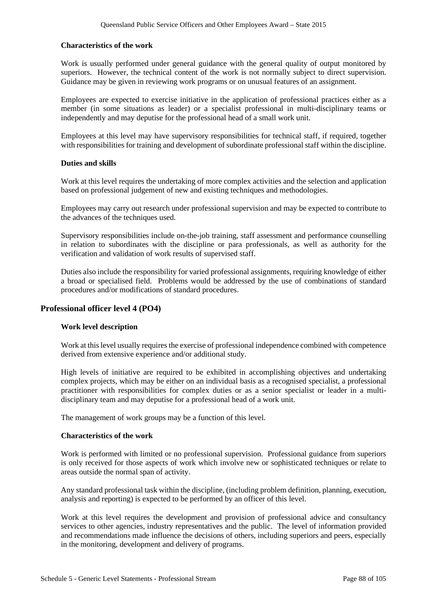## **Characteristics of the work**

Work is usually performed under general guidance with the general quality of output monitored by superiors. However, the technical content of the work is not normally subject to direct supervision. Guidance may be given in reviewing work programs or on unusual features of an assignment.

Employees are expected to exercise initiative in the application of professional practices either as a member (in some situations as leader) or a specialist professional in multi-disciplinary teams or independently and may deputise for the professional head of a small work unit.

Employees at this level may have supervisory responsibilities for technical staff, if required, together with responsibilities for training and development of subordinate professional staff within the discipline.

### **Duties and skills**

Work at this level requires the undertaking of more complex activities and the selection and application based on professional judgement of new and existing techniques and methodologies.

Employees may carry out research under professional supervision and may be expected to contribute to the advances of the techniques used.

Supervisory responsibilities include on-the-job training, staff assessment and performance counselling in relation to subordinates with the discipline or para professionals, as well as authority for the verification and validation of work results of supervised staff.

Duties also include the responsibility for varied professional assignments, requiring knowledge of either a broad or specialised field. Problems would be addressed by the use of combinations of standard procedures and/or modifications of standard procedures.

# **Professional officer level 4 (PO4)**

### **Work level description**

Work at this level usually requires the exercise of professional independence combined with competence derived from extensive experience and/or additional study.

High levels of initiative are required to be exhibited in accomplishing objectives and undertaking complex projects, which may be either on an individual basis as a recognised specialist, a professional practitioner with responsibilities for complex duties or as a senior specialist or leader in a multidisciplinary team and may deputise for a professional head of a work unit.

The management of work groups may be a function of this level.

### **Characteristics of the work**

Work is performed with limited or no professional supervision. Professional guidance from superiors is only received for those aspects of work which involve new or sophisticated techniques or relate to areas outside the normal span of activity.

Any standard professional task within the discipline, (including problem definition, planning, execution, analysis and reporting) is expected to be performed by an officer of this level.

Work at this level requires the development and provision of professional advice and consultancy services to other agencies, industry representatives and the public. The level of information provided and recommendations made influence the decisions of others, including superiors and peers, especially in the monitoring, development and delivery of programs.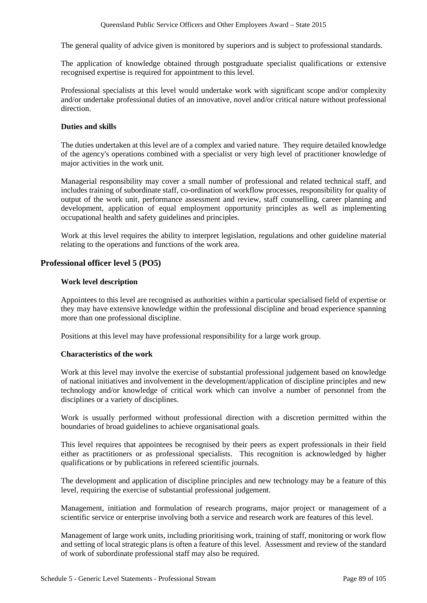The general quality of advice given is monitored by superiors and is subject to professional standards.

The application of knowledge obtained through postgraduate specialist qualifications or extensive recognised expertise is required for appointment to this level.

Professional specialists at this level would undertake work with significant scope and/or complexity and/or undertake professional duties of an innovative, novel and/or critical nature without professional direction.

## **Duties and skills**

The duties undertaken at this level are of a complex and varied nature. They require detailed knowledge of the agency's operations combined with a specialist or very high level of practitioner knowledge of major activities in the work unit.

Managerial responsibility may cover a small number of professional and related technical staff, and includes training of subordinate staff, co-ordination of workflow processes, responsibility for quality of output of the work unit, performance assessment and review, staff counselling, career planning and development, application of equal employment opportunity principles as well as implementing occupational health and safety guidelines and principles.

Work at this level requires the ability to interpret legislation, regulations and other guideline material relating to the operations and functions of the work area.

# **Professional officer level 5 (PO5)**

### **Work level description**

Appointees to this level are recognised as authorities within a particular specialised field of expertise or they may have extensive knowledge within the professional discipline and broad experience spanning more than one professional discipline.

Positions at this level may have professional responsibility for a large work group.

### **Characteristics of the work**

Work at this level may involve the exercise of substantial professional judgement based on knowledge of national initiatives and involvement in the development/application of discipline principles and new technology and/or knowledge of critical work which can involve a number of personnel from the disciplines or a variety of disciplines.

Work is usually performed without professional direction with a discretion permitted within the boundaries of broad guidelines to achieve organisational goals.

This level requires that appointees be recognised by their peers as expert professionals in their field either as practitioners or as professional specialists. This recognition is acknowledged by higher qualifications or by publications in refereed scientific journals.

The development and application of discipline principles and new technology may be a feature of this level, requiring the exercise of substantial professional judgement.

Management, initiation and formulation of research programs, major project or management of a scientific service or enterprise involving both a service and research work are features of this level.

Management of large work units, including prioritising work, training of staff, monitoring or work flow and setting of local strategic plans is often a feature of this level. Assessment and review of the standard of work of subordinate professional staff may also be required.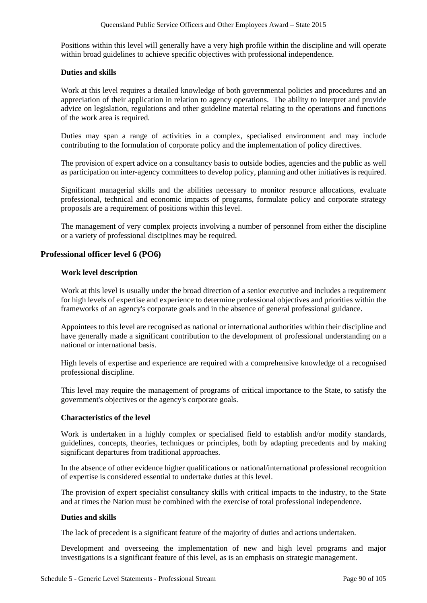Positions within this level will generally have a very high profile within the discipline and will operate within broad guidelines to achieve specific objectives with professional independence.

## **Duties and skills**

Work at this level requires a detailed knowledge of both governmental policies and procedures and an appreciation of their application in relation to agency operations. The ability to interpret and provide advice on legislation, regulations and other guideline material relating to the operations and functions of the work area is required.

Duties may span a range of activities in a complex, specialised environment and may include contributing to the formulation of corporate policy and the implementation of policy directives.

The provision of expert advice on a consultancy basis to outside bodies, agencies and the public as well as participation on inter-agency committees to develop policy, planning and other initiatives is required.

Significant managerial skills and the abilities necessary to monitor resource allocations, evaluate professional, technical and economic impacts of programs, formulate policy and corporate strategy proposals are a requirement of positions within this level.

The management of very complex projects involving a number of personnel from either the discipline or a variety of professional disciplines may be required.

# **Professional officer level 6 (PO6)**

### **Work level description**

Work at this level is usually under the broad direction of a senior executive and includes a requirement for high levels of expertise and experience to determine professional objectives and priorities within the frameworks of an agency's corporate goals and in the absence of general professional guidance.

Appointees to this level are recognised as national or international authorities within their discipline and have generally made a significant contribution to the development of professional understanding on a national or international basis.

High levels of expertise and experience are required with a comprehensive knowledge of a recognised professional discipline.

This level may require the management of programs of critical importance to the State, to satisfy the government's objectives or the agency's corporate goals.

### **Characteristics of the level**

Work is undertaken in a highly complex or specialised field to establish and/or modify standards, guidelines, concepts, theories, techniques or principles, both by adapting precedents and by making significant departures from traditional approaches.

In the absence of other evidence higher qualifications or national/international professional recognition of expertise is considered essential to undertake duties at this level.

The provision of expert specialist consultancy skills with critical impacts to the industry, to the State and at times the Nation must be combined with the exercise of total professional independence.

### **Duties and skills**

The lack of precedent is a significant feature of the majority of duties and actions undertaken.

Development and overseeing the implementation of new and high level programs and major investigations is a significant feature of this level, as is an emphasis on strategic management.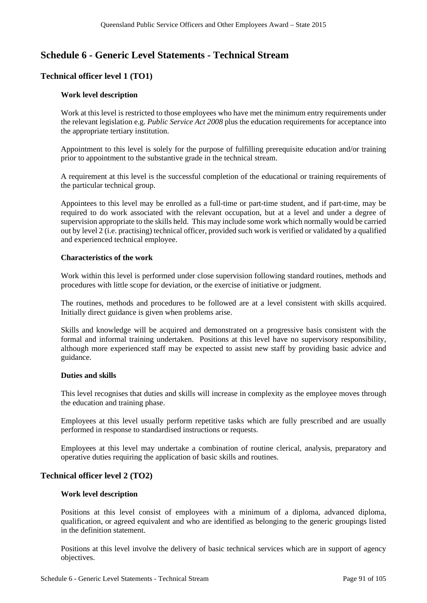# **Schedule 6 - Generic Level Statements - Technical Stream**

# **Technical officer level 1 (TO1)**

### **Work level description**

Work at this level is restricted to those employees who have met the minimum entry requirements under the relevant legislation e.g. *Public Service Act 2008* plus the education requirements for acceptance into the appropriate tertiary institution.

Appointment to this level is solely for the purpose of fulfilling prerequisite education and/or training prior to appointment to the substantive grade in the technical stream.

A requirement at this level is the successful completion of the educational or training requirements of the particular technical group.

Appointees to this level may be enrolled as a full-time or part-time student, and if part-time, may be required to do work associated with the relevant occupation, but at a level and under a degree of supervision appropriate to the skills held. This may include some work which normally would be carried out by level 2 (i.e. practising) technical officer, provided such work is verified or validated by a qualified and experienced technical employee.

### **Characteristics of the work**

Work within this level is performed under close supervision following standard routines, methods and procedures with little scope for deviation, or the exercise of initiative or judgment.

The routines, methods and procedures to be followed are at a level consistent with skills acquired. Initially direct guidance is given when problems arise.

Skills and knowledge will be acquired and demonstrated on a progressive basis consistent with the formal and informal training undertaken. Positions at this level have no supervisory responsibility, although more experienced staff may be expected to assist new staff by providing basic advice and guidance.

## **Duties and skills**

This level recognises that duties and skills will increase in complexity as the employee moves through the education and training phase.

Employees at this level usually perform repetitive tasks which are fully prescribed and are usually performed in response to standardised instructions or requests.

Employees at this level may undertake a combination of routine clerical, analysis, preparatory and operative duties requiring the application of basic skills and routines.

## **Technical officer level 2 (TO2)**

### **Work level description**

Positions at this level consist of employees with a minimum of a diploma, advanced diploma, qualification, or agreed equivalent and who are identified as belonging to the generic groupings listed in the definition statement.

Positions at this level involve the delivery of basic technical services which are in support of agency objectives.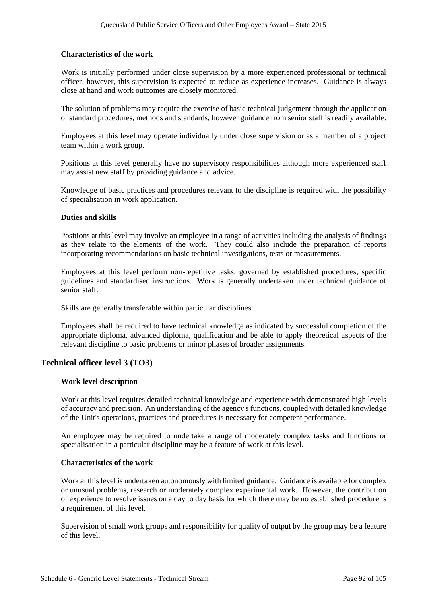#### **Characteristics of the work**

Work is initially performed under close supervision by a more experienced professional or technical officer, however, this supervision is expected to reduce as experience increases. Guidance is always close at hand and work outcomes are closely monitored.

The solution of problems may require the exercise of basic technical judgement through the application of standard procedures, methods and standards, however guidance from senior staff is readily available.

Employees at this level may operate individually under close supervision or as a member of a project team within a work group.

Positions at this level generally have no supervisory responsibilities although more experienced staff may assist new staff by providing guidance and advice.

Knowledge of basic practices and procedures relevant to the discipline is required with the possibility of specialisation in work application.

#### **Duties and skills**

Positions at this level may involve an employee in a range of activities including the analysis of findings as they relate to the elements of the work. They could also include the preparation of reports incorporating recommendations on basic technical investigations, tests or measurements.

Employees at this level perform non-repetitive tasks, governed by established procedures, specific guidelines and standardised instructions. Work is generally undertaken under technical guidance of senior staff.

Skills are generally transferable within particular disciplines.

Employees shall be required to have technical knowledge as indicated by successful completion of the appropriate diploma, advanced diploma, qualification and be able to apply theoretical aspects of the relevant discipline to basic problems or minor phases of broader assignments.

### **Technical officer level 3 (TO3)**

#### **Work level description**

Work at this level requires detailed technical knowledge and experience with demonstrated high levels of accuracy and precision. An understanding of the agency's functions, coupled with detailed knowledge of the Unit's operations, practices and procedures is necessary for competent performance.

An employee may be required to undertake a range of moderately complex tasks and functions or specialisation in a particular discipline may be a feature of work at this level.

#### **Characteristics of the work**

Work at thislevel is undertaken autonomously with limited guidance. Guidance is available for complex or unusual problems, research or moderately complex experimental work. However, the contribution of experience to resolve issues on a day to day basis for which there may be no established procedure is a requirement of this level.

Supervision of small work groups and responsibility for quality of output by the group may be a feature of this level.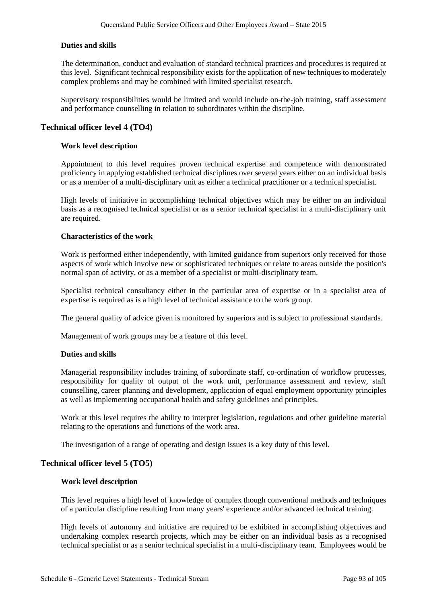## **Duties and skills**

The determination, conduct and evaluation of standard technical practices and procedures is required at this level. Significant technical responsibility exists for the application of new techniques to moderately complex problems and may be combined with limited specialist research.

Supervisory responsibilities would be limited and would include on-the-job training, staff assessment and performance counselling in relation to subordinates within the discipline.

## **Technical officer level 4 (TO4)**

## **Work level description**

Appointment to this level requires proven technical expertise and competence with demonstrated proficiency in applying established technical disciplines over several years either on an individual basis or as a member of a multi-disciplinary unit as either a technical practitioner or a technical specialist.

High levels of initiative in accomplishing technical objectives which may be either on an individual basis as a recognised technical specialist or as a senior technical specialist in a multi-disciplinary unit are required.

### **Characteristics of the work**

Work is performed either independently, with limited guidance from superiors only received for those aspects of work which involve new or sophisticated techniques or relate to areas outside the position's normal span of activity, or as a member of a specialist or multi-disciplinary team.

Specialist technical consultancy either in the particular area of expertise or in a specialist area of expertise is required as is a high level of technical assistance to the work group.

The general quality of advice given is monitored by superiors and is subject to professional standards.

Management of work groups may be a feature of this level.

### **Duties and skills**

Managerial responsibility includes training of subordinate staff, co-ordination of workflow processes, responsibility for quality of output of the work unit, performance assessment and review, staff counselling, career planning and development, application of equal employment opportunity principles as well as implementing occupational health and safety guidelines and principles.

Work at this level requires the ability to interpret legislation, regulations and other guideline material relating to the operations and functions of the work area.

The investigation of a range of operating and design issues is a key duty of this level.

### **Technical officer level 5 (TO5)**

### **Work level description**

This level requires a high level of knowledge of complex though conventional methods and techniques of a particular discipline resulting from many years' experience and/or advanced technical training.

High levels of autonomy and initiative are required to be exhibited in accomplishing objectives and undertaking complex research projects, which may be either on an individual basis as a recognised technical specialist or as a senior technical specialist in a multi-disciplinary team. Employees would be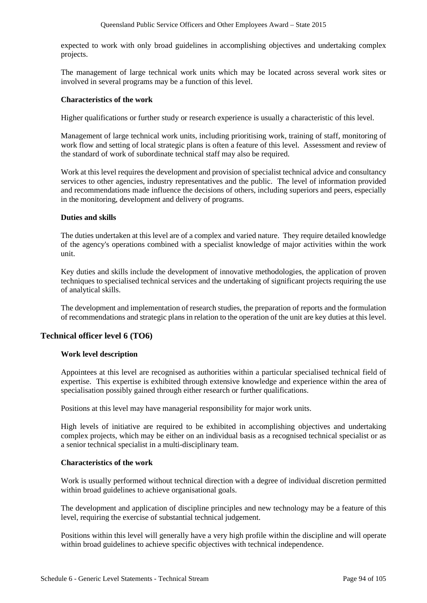expected to work with only broad guidelines in accomplishing objectives and undertaking complex projects.

The management of large technical work units which may be located across several work sites or involved in several programs may be a function of this level.

## **Characteristics of the work**

Higher qualifications or further study or research experience is usually a characteristic of this level.

Management of large technical work units, including prioritising work, training of staff, monitoring of work flow and setting of local strategic plans is often a feature of this level. Assessment and review of the standard of work of subordinate technical staff may also be required.

Work at this level requires the development and provision of specialist technical advice and consultancy services to other agencies, industry representatives and the public. The level of information provided and recommendations made influence the decisions of others, including superiors and peers, especially in the monitoring, development and delivery of programs.

### **Duties and skills**

The duties undertaken at this level are of a complex and varied nature. They require detailed knowledge of the agency's operations combined with a specialist knowledge of major activities within the work unit.

Key duties and skills include the development of innovative methodologies, the application of proven techniques to specialised technical services and the undertaking of significant projects requiring the use of analytical skills.

The development and implementation of research studies, the preparation of reports and the formulation of recommendations and strategic plans in relation to the operation of the unit are key duties at this level.

# **Technical officer level 6 (TO6)**

### **Work level description**

Appointees at this level are recognised as authorities within a particular specialised technical field of expertise. This expertise is exhibited through extensive knowledge and experience within the area of specialisation possibly gained through either research or further qualifications.

Positions at this level may have managerial responsibility for major work units.

High levels of initiative are required to be exhibited in accomplishing objectives and undertaking complex projects, which may be either on an individual basis as a recognised technical specialist or as a senior technical specialist in a multi-disciplinary team.

## **Characteristics of the work**

Work is usually performed without technical direction with a degree of individual discretion permitted within broad guidelines to achieve organisational goals.

The development and application of discipline principles and new technology may be a feature of this level, requiring the exercise of substantial technical judgement.

Positions within this level will generally have a very high profile within the discipline and will operate within broad guidelines to achieve specific objectives with technical independence.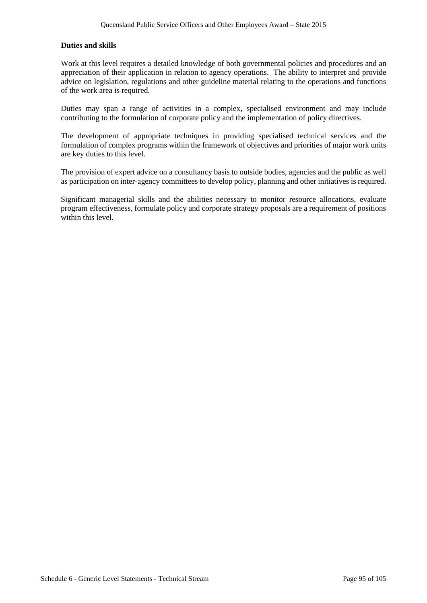## **Duties and skills**

Work at this level requires a detailed knowledge of both governmental policies and procedures and an appreciation of their application in relation to agency operations. The ability to interpret and provide advice on legislation, regulations and other guideline material relating to the operations and functions of the work area is required.

Duties may span a range of activities in a complex, specialised environment and may include contributing to the formulation of corporate policy and the implementation of policy directives.

The development of appropriate techniques in providing specialised technical services and the formulation of complex programs within the framework of objectives and priorities of major work units are key duties to this level.

The provision of expert advice on a consultancy basis to outside bodies, agencies and the public as well as participation on inter-agency committees to develop policy, planning and other initiatives is required.

Significant managerial skills and the abilities necessary to monitor resource allocations, evaluate program effectiveness, formulate policy and corporate strategy proposals are a requirement of positions within this level.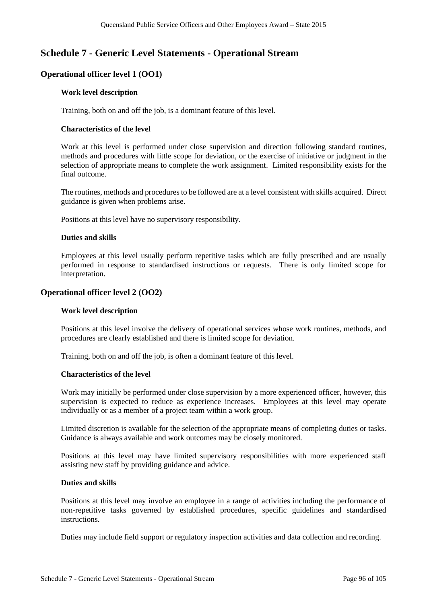# **Schedule 7 - Generic Level Statements - Operational Stream**

# **Operational officer level 1 (OO1)**

## **Work level description**

Training, both on and off the job, is a dominant feature of this level.

## **Characteristics of the level**

Work at this level is performed under close supervision and direction following standard routines, methods and procedures with little scope for deviation, or the exercise of initiative or judgment in the selection of appropriate means to complete the work assignment. Limited responsibility exists for the final outcome.

The routines, methods and procedures to be followed are at a level consistent with skills acquired. Direct guidance is given when problems arise.

Positions at this level have no supervisory responsibility.

### **Duties and skills**

Employees at this level usually perform repetitive tasks which are fully prescribed and are usually performed in response to standardised instructions or requests. There is only limited scope for interpretation.

# **Operational officer level 2 (OO2)**

### **Work level description**

Positions at this level involve the delivery of operational services whose work routines, methods, and procedures are clearly established and there is limited scope for deviation.

Training, both on and off the job, is often a dominant feature of this level.

### **Characteristics of the level**

Work may initially be performed under close supervision by a more experienced officer, however, this supervision is expected to reduce as experience increases. Employees at this level may operate individually or as a member of a project team within a work group.

Limited discretion is available for the selection of the appropriate means of completing duties or tasks. Guidance is always available and work outcomes may be closely monitored.

Positions at this level may have limited supervisory responsibilities with more experienced staff assisting new staff by providing guidance and advice.

### **Duties and skills**

Positions at this level may involve an employee in a range of activities including the performance of non-repetitive tasks governed by established procedures, specific guidelines and standardised instructions.

Duties may include field support or regulatory inspection activities and data collection and recording.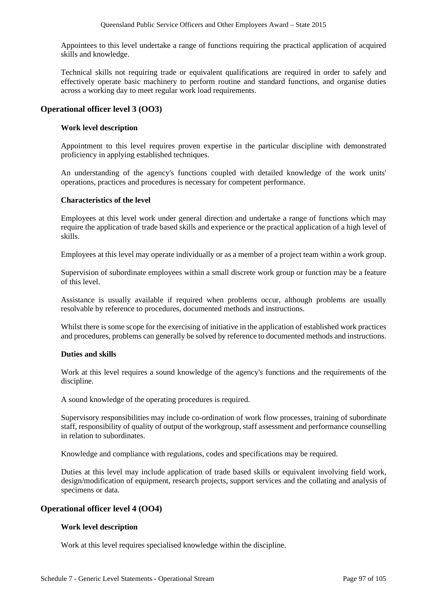Appointees to this level undertake a range of functions requiring the practical application of acquired skills and knowledge.

Technical skills not requiring trade or equivalent qualifications are required in order to safely and effectively operate basic machinery to perform routine and standard functions, and organise duties across a working day to meet regular work load requirements.

# **Operational officer level 3 (OO3)**

## **Work level description**

Appointment to this level requires proven expertise in the particular discipline with demonstrated proficiency in applying established techniques.

An understanding of the agency's functions coupled with detailed knowledge of the work units' operations, practices and procedures is necessary for competent performance.

## **Characteristics of the level**

Employees at this level work under general direction and undertake a range of functions which may require the application of trade based skills and experience or the practical application of a high level of skills.

Employees at this level may operate individually or as a member of a project team within a work group.

Supervision of subordinate employees within a small discrete work group or function may be a feature of this level.

Assistance is usually available if required when problems occur, although problems are usually resolvable by reference to procedures, documented methods and instructions.

Whilst there is some scope for the exercising of initiative in the application of established work practices and procedures, problems can generally be solved by reference to documented methods and instructions.

### **Duties and skills**

Work at this level requires a sound knowledge of the agency's functions and the requirements of the discipline.

A sound knowledge of the operating procedures is required.

Supervisory responsibilities may include co-ordination of work flow processes, training of subordinate staff, responsibility of quality of output of the workgroup, staff assessment and performance counselling in relation to subordinates.

Knowledge and compliance with regulations, codes and specifications may be required.

Duties at this level may include application of trade based skills or equivalent involving field work, design/modification of equipment, research projects, support services and the collating and analysis of specimens or data.

# **Operational officer level 4 (OO4)**

### **Work level description**

Work at this level requires specialised knowledge within the discipline.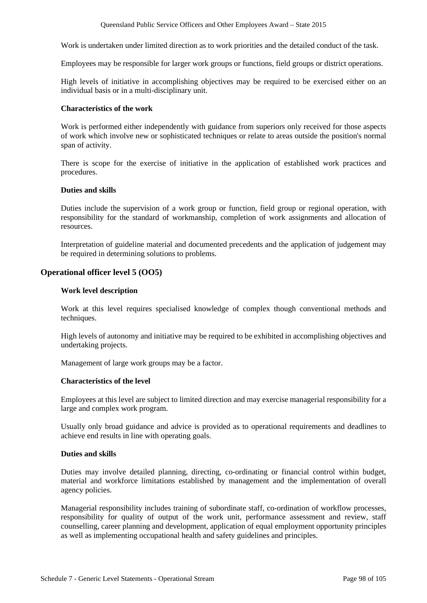Work is undertaken under limited direction as to work priorities and the detailed conduct of the task.

Employees may be responsible for larger work groups or functions, field groups or district operations.

High levels of initiative in accomplishing objectives may be required to be exercised either on an individual basis or in a multi-disciplinary unit.

#### **Characteristics of the work**

Work is performed either independently with guidance from superiors only received for those aspects of work which involve new or sophisticated techniques or relate to areas outside the position's normal span of activity.

There is scope for the exercise of initiative in the application of established work practices and procedures.

#### **Duties and skills**

Duties include the supervision of a work group or function, field group or regional operation, with responsibility for the standard of workmanship, completion of work assignments and allocation of resources.

Interpretation of guideline material and documented precedents and the application of judgement may be required in determining solutions to problems.

### **Operational officer level 5 (OO5)**

#### **Work level description**

Work at this level requires specialised knowledge of complex though conventional methods and techniques.

High levels of autonomy and initiative may be required to be exhibited in accomplishing objectives and undertaking projects.

Management of large work groups may be a factor.

#### **Characteristics of the level**

Employees at this level are subject to limited direction and may exercise managerial responsibility for a large and complex work program.

Usually only broad guidance and advice is provided as to operational requirements and deadlines to achieve end results in line with operating goals.

#### **Duties and skills**

Duties may involve detailed planning, directing, co-ordinating or financial control within budget, material and workforce limitations established by management and the implementation of overall agency policies.

Managerial responsibility includes training of subordinate staff, co-ordination of workflow processes, responsibility for quality of output of the work unit, performance assessment and review, staff counselling, career planning and development, application of equal employment opportunity principles as well as implementing occupational health and safety guidelines and principles.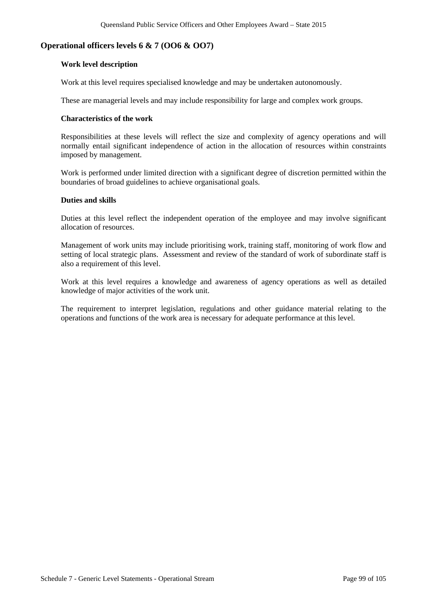## **Operational officers levels 6 & 7 (OO6 & OO7)**

#### **Work level description**

Work at this level requires specialised knowledge and may be undertaken autonomously.

These are managerial levels and may include responsibility for large and complex work groups.

#### **Characteristics of the work**

Responsibilities at these levels will reflect the size and complexity of agency operations and will normally entail significant independence of action in the allocation of resources within constraints imposed by management.

Work is performed under limited direction with a significant degree of discretion permitted within the boundaries of broad guidelines to achieve organisational goals.

## **Duties and skills**

Duties at this level reflect the independent operation of the employee and may involve significant allocation of resources.

Management of work units may include prioritising work, training staff, monitoring of work flow and setting of local strategic plans. Assessment and review of the standard of work of subordinate staff is also a requirement of this level.

Work at this level requires a knowledge and awareness of agency operations as well as detailed knowledge of major activities of the work unit.

The requirement to interpret legislation, regulations and other guidance material relating to the operations and functions of the work area is necessary for adequate performance at this level.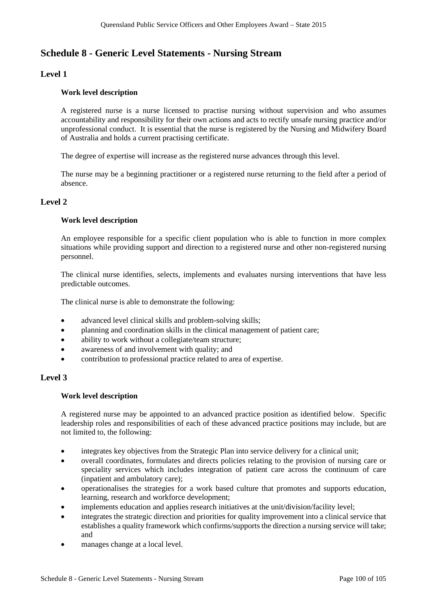# **Schedule 8 - Generic Level Statements - Nursing Stream**

# **Level 1**

## **Work level description**

A registered nurse is a nurse licensed to practise nursing without supervision and who assumes accountability and responsibility for their own actions and acts to rectify unsafe nursing practice and/or unprofessional conduct. It is essential that the nurse is registered by the Nursing and Midwifery Board of Australia and holds a current practising certificate.

The degree of expertise will increase as the registered nurse advances through this level.

The nurse may be a beginning practitioner or a registered nurse returning to the field after a period of absence.

# **Level 2**

# **Work level description**

An employee responsible for a specific client population who is able to function in more complex situations while providing support and direction to a registered nurse and other non-registered nursing personnel.

The clinical nurse identifies, selects, implements and evaluates nursing interventions that have less predictable outcomes.

The clinical nurse is able to demonstrate the following:

- advanced level clinical skills and problem-solving skills;
- planning and coordination skills in the clinical management of patient care;
- ability to work without a collegiate/team structure;
- awareness of and involvement with quality; and
- contribution to professional practice related to area of expertise.

### **Level 3**

### **Work level description**

A registered nurse may be appointed to an advanced practice position as identified below. Specific leadership roles and responsibilities of each of these advanced practice positions may include, but are not limited to, the following:

- integrates key objectives from the Strategic Plan into service delivery for a clinical unit;
- overall coordinates, formulates and directs policies relating to the provision of nursing care or speciality services which includes integration of patient care across the continuum of care (inpatient and ambulatory care);
- operationalises the strategies for a work based culture that promotes and supports education, learning, research and workforce development;
- implements education and applies research initiatives at the unit/division/facility level;
- integrates the strategic direction and priorities for quality improvement into a clinical service that establishes a quality framework which confirms/supports the direction a nursing service will take; and
- manages change at a local level.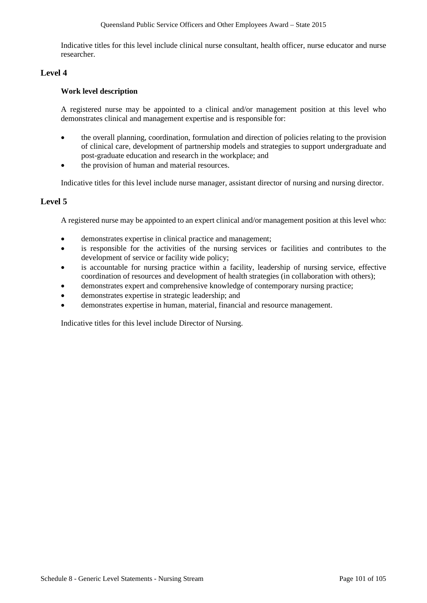Indicative titles for this level include clinical nurse consultant, health officer, nurse educator and nurse researcher.

# **Level 4**

## **Work level description**

A registered nurse may be appointed to a clinical and/or management position at this level who demonstrates clinical and management expertise and is responsible for:

- the overall planning, coordination, formulation and direction of policies relating to the provision of clinical care, development of partnership models and strategies to support undergraduate and post-graduate education and research in the workplace; and
- the provision of human and material resources.

Indicative titles for this level include nurse manager, assistant director of nursing and nursing director.

# **Level 5**

A registered nurse may be appointed to an expert clinical and/or management position at this level who:

- demonstrates expertise in clinical practice and management;
- is responsible for the activities of the nursing services or facilities and contributes to the development of service or facility wide policy;
- is accountable for nursing practice within a facility, leadership of nursing service, effective coordination of resources and development of health strategies (in collaboration with others);
- demonstrates expert and comprehensive knowledge of contemporary nursing practice;
- demonstrates expertise in strategic leadership; and
- demonstrates expertise in human, material, financial and resource management.

Indicative titles for this level include Director of Nursing.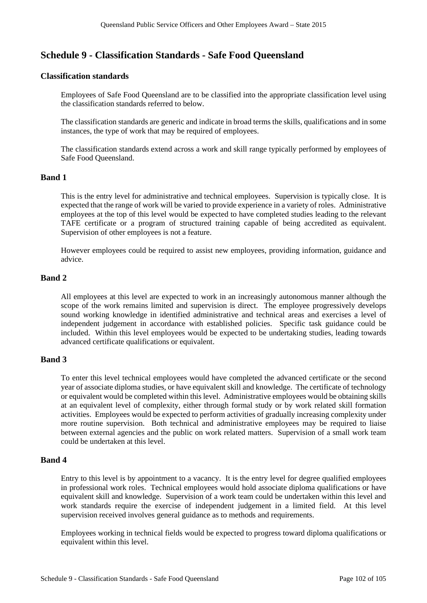# **Schedule 9 - Classification Standards - Safe Food Queensland**

## **Classification standards**

Employees of Safe Food Queensland are to be classified into the appropriate classification level using the classification standards referred to below.

The classification standards are generic and indicate in broad terms the skills, qualifications and in some instances, the type of work that may be required of employees.

The classification standards extend across a work and skill range typically performed by employees of Safe Food Queensland.

## **Band 1**

This is the entry level for administrative and technical employees. Supervision is typically close. It is expected that the range of work will be varied to provide experience in a variety of roles. Administrative employees at the top of this level would be expected to have completed studies leading to the relevant TAFE certificate or a program of structured training capable of being accredited as equivalent. Supervision of other employees is not a feature.

However employees could be required to assist new employees, providing information, guidance and advice.

## **Band 2**

All employees at this level are expected to work in an increasingly autonomous manner although the scope of the work remains limited and supervision is direct. The employee progressively develops sound working knowledge in identified administrative and technical areas and exercises a level of independent judgement in accordance with established policies. Specific task guidance could be included. Within this level employees would be expected to be undertaking studies, leading towards advanced certificate qualifications or equivalent.

# **Band 3**

To enter this level technical employees would have completed the advanced certificate or the second year of associate diploma studies, or have equivalent skill and knowledge. The certificate of technology or equivalent would be completed within this level. Administrative employees would be obtaining skills at an equivalent level of complexity, either through formal study or by work related skill formation activities. Employees would be expected to perform activities of gradually increasing complexity under more routine supervision. Both technical and administrative employees may be required to liaise between external agencies and the public on work related matters. Supervision of a small work team could be undertaken at this level.

### **Band 4**

Entry to this level is by appointment to a vacancy. It is the entry level for degree qualified employees in professional work roles. Technical employees would hold associate diploma qualifications or have equivalent skill and knowledge. Supervision of a work team could be undertaken within this level and work standards require the exercise of independent judgement in a limited field. At this level supervision received involves general guidance as to methods and requirements.

Employees working in technical fields would be expected to progress toward diploma qualifications or equivalent within this level.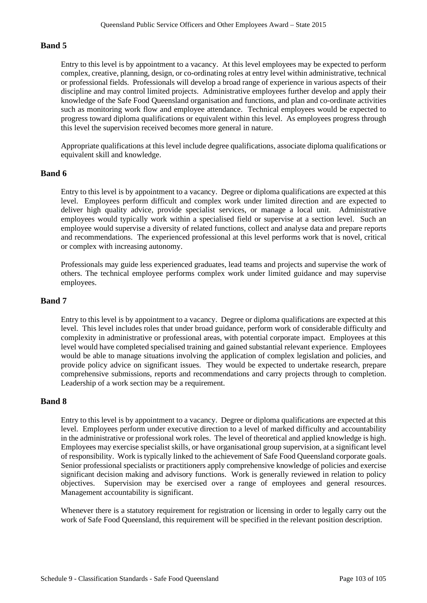# **Band 5**

Entry to this level is by appointment to a vacancy. At this level employees may be expected to perform complex, creative, planning, design, or co-ordinating roles at entry level within administrative, technical or professional fields. Professionals will develop a broad range of experience in various aspects of their discipline and may control limited projects. Administrative employees further develop and apply their knowledge of the Safe Food Queensland organisation and functions, and plan and co-ordinate activities such as monitoring work flow and employee attendance. Technical employees would be expected to progress toward diploma qualifications or equivalent within this level. As employees progress through this level the supervision received becomes more general in nature.

Appropriate qualifications at this level include degree qualifications, associate diploma qualifications or equivalent skill and knowledge.

## **Band 6**

Entry to this level is by appointment to a vacancy. Degree or diploma qualifications are expected at this level. Employees perform difficult and complex work under limited direction and are expected to deliver high quality advice, provide specialist services, or manage a local unit. Administrative employees would typically work within a specialised field or supervise at a section level. Such an employee would supervise a diversity of related functions, collect and analyse data and prepare reports and recommendations. The experienced professional at this level performs work that is novel, critical or complex with increasing autonomy.

Professionals may guide less experienced graduates, lead teams and projects and supervise the work of others. The technical employee performs complex work under limited guidance and may supervise employees.

## **Band 7**

Entry to this level is by appointment to a vacancy. Degree or diploma qualifications are expected at this level. This level includes roles that under broad guidance, perform work of considerable difficulty and complexity in administrative or professional areas, with potential corporate impact. Employees at this level would have completed specialised training and gained substantial relevant experience. Employees would be able to manage situations involving the application of complex legislation and policies, and provide policy advice on significant issues. They would be expected to undertake research, prepare comprehensive submissions, reports and recommendations and carry projects through to completion. Leadership of a work section may be a requirement.

### **Band 8**

Entry to this level is by appointment to a vacancy. Degree or diploma qualifications are expected at this level. Employees perform under executive direction to a level of marked difficulty and accountability in the administrative or professional work roles. The level of theoretical and applied knowledge is high. Employees may exercise specialist skills, or have organisational group supervision, at a significant level of responsibility. Work is typically linked to the achievement of Safe Food Queensland corporate goals. Senior professional specialists or practitioners apply comprehensive knowledge of policies and exercise significant decision making and advisory functions. Work is generally reviewed in relation to policy objectives. Supervision may be exercised over a range of employees and general resources. Management accountability is significant.

Whenever there is a statutory requirement for registration or licensing in order to legally carry out the work of Safe Food Queensland, this requirement will be specified in the relevant position description.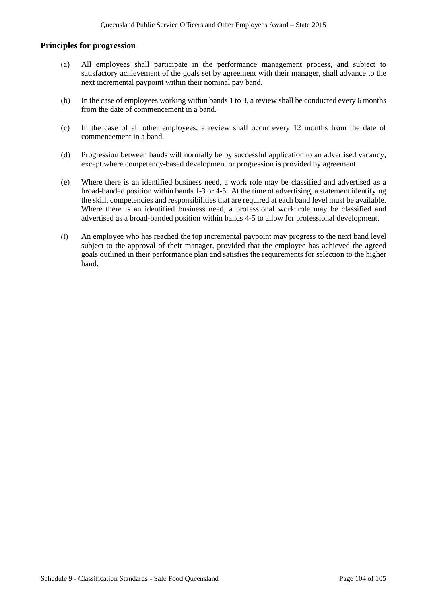## **Principles for progression**

- (a) All employees shall participate in the performance management process, and subject to satisfactory achievement of the goals set by agreement with their manager, shall advance to the next incremental paypoint within their nominal pay band.
- (b) In the case of employees working within bands 1 to 3, a review shall be conducted every 6 months from the date of commencement in a band.
- (c) In the case of all other employees, a review shall occur every 12 months from the date of commencement in a band.
- (d) Progression between bands will normally be by successful application to an advertised vacancy, except where competency-based development or progression is provided by agreement.
- (e) Where there is an identified business need, a work role may be classified and advertised as a broad-banded position within bands 1-3 or 4-5. At the time of advertising, a statement identifying the skill, competencies and responsibilities that are required at each band level must be available. Where there is an identified business need, a professional work role may be classified and advertised as a broad-banded position within bands 4-5 to allow for professional development.
- (f) An employee who has reached the top incremental paypoint may progress to the next band level subject to the approval of their manager, provided that the employee has achieved the agreed goals outlined in their performance plan and satisfies the requirements for selection to the higher band.